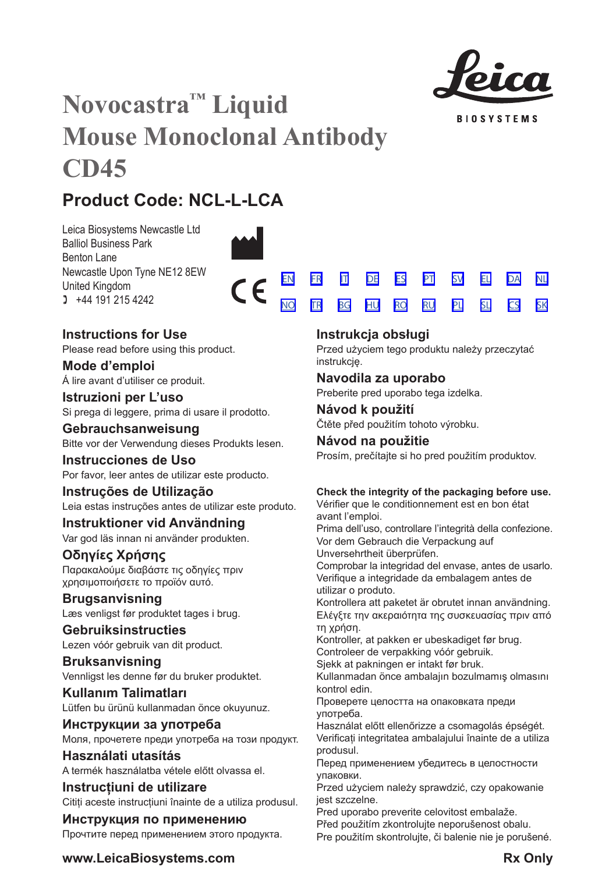

**BIOSYSTEMS** 

[SV](#page-20-0) [EL](#page-23-0) [DA](#page-26-0) [PL](#page-50-0) [SL](#page-53-0) [CS](#page-56-0)

[NL](#page-29-0)

[SK](#page-59-0)

# **Novocastra™ Liquid Mouse Monoclonal Antibody CD45**

# **Product Code: NCL-L-LCA**

Leica Biosystems Newcastle Ltd Balliol Business Park Benton Lane Newcastle Upon Tyne NE12 8EW United Kingdom  $1 +44 191 215 4242$ 



 $\epsilon$ 

## **Instructions for Use**

Please read before using this product.

**Mode d'emploi** Á lire avant d'utiliser ce produit.

**Istruzioni per L'uso** Si prega di leggere, prima di usare il prodotto.

**Gebrauchsanweisung** Bitte vor der Verwendung dieses Produkts lesen.

**Instrucciones de Uso** Por favor, leer antes de utilizar este producto.

## **Instruções de Utilização**

Leia estas instruções antes de utilizar este produto.

## **Instruktioner vid Användning**

Var god läs innan ni använder produkten.

## **Οδηγίες Χρήσης**

Παρακαλούμε διαβάστε τις οδηγίες πριν χρησιμοποιήσετε το προϊόν αυτό.

## **Brugsanvisning**

Læs venligst før produktet tages i brug.

## **Gebruiksinstructies**

Lezen vóór gebruik van dit product.

## **Bruksanvisning** Vennligst les denne før du bruker produktet.

**Kullanım Talimatları** Lütfen bu ürünü kullanmadan önce okuyunuz.

## **Инструкции за употреба** Моля, прочетете преди употреба на този продукт.

**Használati utasítás** A termék használatba vétele előtt olvassa el.

## **Instrucțiuni de utilizare** Cititi aceste instructiuni înainte de a utiliza produsul.

**Инструкция по применению** Прочтите перед применением этого продукта.

## **Instrukcja obsługi**

[EN](#page-2-0) [FR](#page-5-0) [IT](#page-8-0) [DE](#page-11-0) [ES](#page-14-0) [PT](#page-17-0) <u>[NO](#page-32-0) [TR](#page-35-0) [BG](#page-38-0) [HU](#page-41-0) [RO](#page-44-0) [RU](#page-47-0)</u>

> Przed użyciem tego produktu należy przeczytać instrukcję.

## **Navodila za uporabo**

Preberite pred uporabo tega izdelka.

## **Návod k použití** Čtěte před použitím tohoto výrobku.

## **Návod na použitie**

Prosím, prečítajte si ho pred použitím produktov.

## **Check the integrity of the packaging before use.**

Vérifier que le conditionnement est en bon état avant l'emploi.

Prima dell'uso, controllare l'integrità della confezione. Vor dem Gebrauch die Verpackung auf

Unversehrtheit überprüfen.

Comprobar la integridad del envase, antes de usarlo. Verifique a integridade da embalagem antes de utilizar o produto.

Kontrollera att paketet är obrutet innan användning. Ελέγξτε την ακεραιότητα της συσκευασίας πριν από τη χρήση.

Kontroller, at pakken er ubeskadiget før brug. Controleer de verpakking vóór gebruik.

Sjekk at pakningen er intakt før bruk.

Kullanmadan önce ambalajın bozulmamış olmasını kontrol edin.

Проверете целостта на опаковката преди употреба.

Használat előtt ellenőrizze a csomagolás épségét. Verificați integritatea ambalajului înainte de a utiliza produsul.

Перед применением убедитесь в целостности упаковки.

Przed użyciem należy sprawdzić, czy opakowanie jest szczelne.

Pred uporabo preverite celovitost embalaže.

Před použitím zkontrolujte neporušenost obalu. Pre použitím skontrolujte, či balenie nie je porušené.

## **www.LeicaBiosystems.com Rx** Only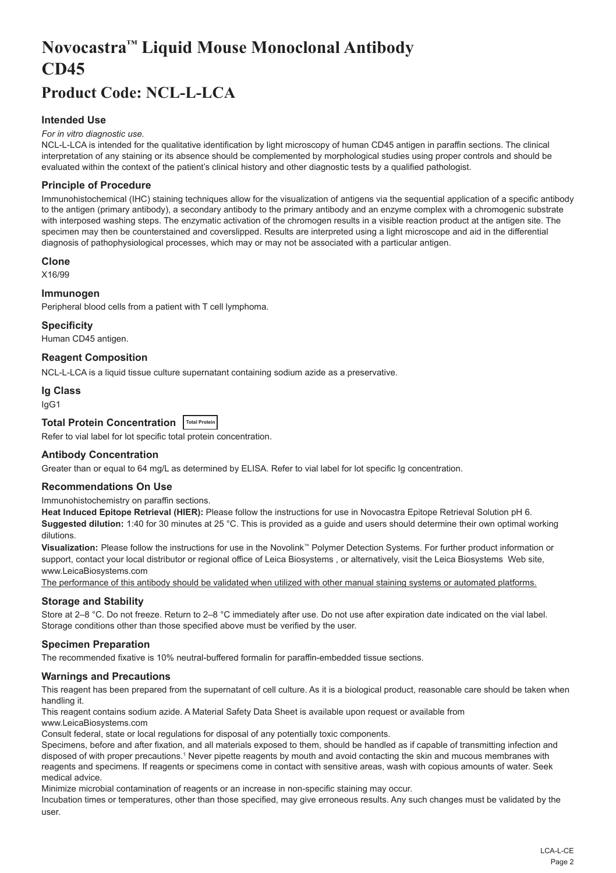# <span id="page-2-0"></span>**Novocastra™ Liquid Mouse Monoclonal Antibody CD45**

## **Product Code: NCL-L-LCA**

## **Intended Use**

#### *For in vitro diagnostic use.*

NCL-L-LCA is intended for the qualitative identification by light microscopy of human CD45 antigen in paraffin sections. The clinical interpretation of any staining or its absence should be complemented by morphological studies using proper controls and should be evaluated within the context of the patient's clinical history and other diagnostic tests by a qualified pathologist.

## **Principle of Procedure**

Immunohistochemical (IHC) staining techniques allow for the visualization of antigens via the sequential application of a specific antibody to the antigen (primary antibody), a secondary antibody to the primary antibody and an enzyme complex with a chromogenic substrate with interposed washing steps. The enzymatic activation of the chromogen results in a visible reaction product at the antigen site. The specimen may then be counterstained and coverslipped. Results are interpreted using a light microscope and aid in the differential diagnosis of pathophysiological processes, which may or may not be associated with a particular antigen.

#### **Clone**

X16/99

#### **Immunogen**

Peripheral blood cells from a patient with T cell lymphoma.

#### **Specificity**

Human CD45 antigen.

## **Reagent Composition**

NCL-L-LCA is a liquid tissue culture supernatant containing sodium azide as a preservative.

#### **Ig Class**

IgG1

## **Total Protein Concentration Total Protein**

Refer to vial label for lot specific total protein concentration.

### **Antibody Concentration**

Greater than or equal to 64 mg/L as determined by ELISA. Refer to vial label for lot specific Ig concentration.

## **Recommendations On Use**

Immunohistochemistry on paraffin sections.

**Heat Induced Epitope Retrieval (HIER):** Please follow the instructions for use in Novocastra Epitope Retrieval Solution pH 6. **Suggested dilution:** 1:40 for 30 minutes at 25 °C. This is provided as a guide and users should determine their own optimal working dilutions.

**Visualization:** Please follow the instructions for use in the Novolink™ Polymer Detection Systems. For further product information or support, contact your local distributor or regional office of Leica Biosystems , or alternatively, visit the Leica Biosystems Web site, www.LeicaBiosystems.com

The performance of this antibody should be validated when utilized with other manual staining systems or automated platforms.

## **Storage and Stability**

Store at 2–8 °C. Do not freeze. Return to 2–8 °C immediately after use. Do not use after expiration date indicated on the vial label. Storage conditions other than those specified above must be verified by the user.

#### **Specimen Preparation**

The recommended fixative is 10% neutral-buffered formalin for paraffin-embedded tissue sections.

#### **Warnings and Precautions**

This reagent has been prepared from the supernatant of cell culture. As it is a biological product, reasonable care should be taken when handling it.

This reagent contains sodium azide. A Material Safety Data Sheet is available upon request or available from

www.LeicaBiosystems.com

Consult federal, state or local regulations for disposal of any potentially toxic components.

Specimens, before and after fixation, and all materials exposed to them, should be handled as if capable of transmitting infection and disposed of with proper precautions.1 Never pipette reagents by mouth and avoid contacting the skin and mucous membranes with reagents and specimens. If reagents or specimens come in contact with sensitive areas, wash with copious amounts of water. Seek medical advice.

Minimize microbial contamination of reagents or an increase in non-specific staining may occur.

Incubation times or temperatures, other than those specified, may give erroneous results. Any such changes must be validated by the user.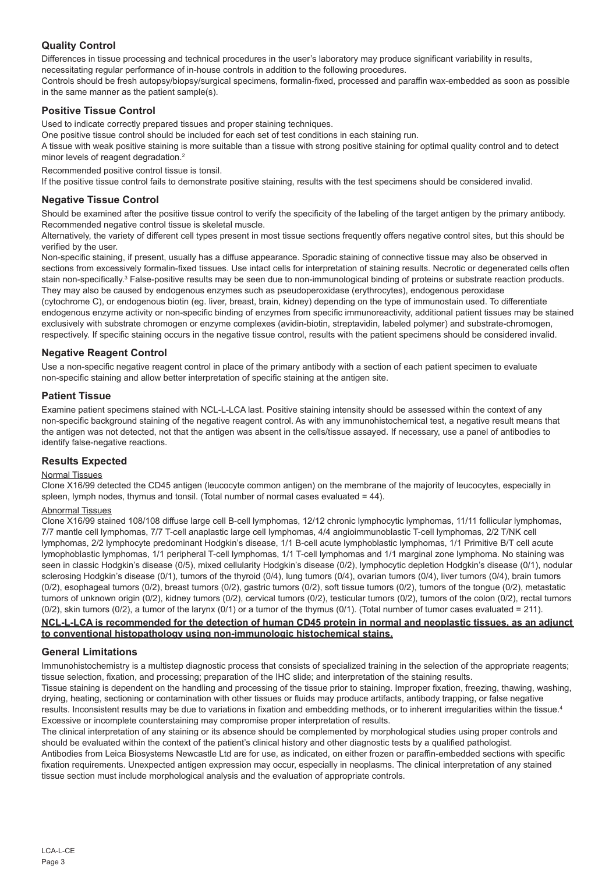## **Quality Control**

Differences in tissue processing and technical procedures in the user's laboratory may produce significant variability in results, necessitating regular performance of in-house controls in addition to the following procedures.

Controls should be fresh autopsy/biopsy/surgical specimens, formalin-fixed, processed and paraffin wax-embedded as soon as possible in the same manner as the patient sample(s).

## **Positive Tissue Control**

Used to indicate correctly prepared tissues and proper staining techniques.

One positive tissue control should be included for each set of test conditions in each staining run.

A tissue with weak positive staining is more suitable than a tissue with strong positive staining for optimal quality control and to detect minor levels of reagent degradation.<sup>2</sup>

Recommended positive control tissue is tonsil.

If the positive tissue control fails to demonstrate positive staining, results with the test specimens should be considered invalid.

## **Negative Tissue Control**

Should be examined after the positive tissue control to verify the specificity of the labeling of the target antigen by the primary antibody. Recommended negative control tissue is skeletal muscle.

Alternatively, the variety of different cell types present in most tissue sections frequently offers negative control sites, but this should be verified by the user.

Non-specific staining, if present, usually has a diffuse appearance. Sporadic staining of connective tissue may also be observed in sections from excessively formalin-fixed tissues. Use intact cells for interpretation of staining results. Necrotic or degenerated cells often stain non-specifically.<sup>3</sup> False-positive results may be seen due to non-immunological binding of proteins or substrate reaction products. They may also be caused by endogenous enzymes such as pseudoperoxidase (erythrocytes), endogenous peroxidase

(cytochrome C), or endogenous biotin (eg. liver, breast, brain, kidney) depending on the type of immunostain used. To differentiate endogenous enzyme activity or non-specific binding of enzymes from specific immunoreactivity, additional patient tissues may be stained exclusively with substrate chromogen or enzyme complexes (avidin-biotin, streptavidin, labeled polymer) and substrate-chromogen, respectively. If specific staining occurs in the negative tissue control, results with the patient specimens should be considered invalid.

## **Negative Reagent Control**

Use a non-specific negative reagent control in place of the primary antibody with a section of each patient specimen to evaluate non-specific staining and allow better interpretation of specific staining at the antigen site.

## **Patient Tissue**

Examine patient specimens stained with NCL-L-LCA last. Positive staining intensity should be assessed within the context of any non-specific background staining of the negative reagent control. As with any immunohistochemical test, a negative result means that the antigen was not detected, not that the antigen was absent in the cells/tissue assayed. If necessary, use a panel of antibodies to identify false-negative reactions.

## **Results Expected**

## Normal Tissues

Clone X16/99 detected the CD45 antigen (leucocyte common antigen) on the membrane of the majority of leucocytes, especially in spleen, lymph nodes, thymus and tonsil. (Total number of normal cases evaluated = 44).

#### Abnormal Tissues

Clone X16/99 stained 108/108 diffuse large cell B-cell lymphomas, 12/12 chronic lymphocytic lymphomas, 11/11 follicular lymphomas, 7/7 mantle cell lymphomas, 7/7 T-cell anaplastic large cell lymphomas, 4/4 angioimmunoblastic T-cell lymphomas, 2/2 T/NK cell lymphomas, 2/2 lymphocyte predominant Hodgkin's disease, 1/1 B-cell acute lymphoblastic lymphomas, 1/1 Primitive B/T cell acute lymophoblastic lymphomas, 1/1 peripheral T-cell lymphomas, 1/1 T-cell lymphomas and 1/1 marginal zone lymphoma. No staining was seen in classic Hodgkin's disease (0/5), mixed cellularity Hodgkin's disease (0/2), lymphocytic depletion Hodgkin's disease (0/1), nodular sclerosing Hodgkin's disease (0/1), tumors of the thyroid (0/4), lung tumors (0/4), ovarian tumors (0/4), liver tumors (0/4), brain tumors (0/2), esophageal tumors (0/2), breast tumors (0/2), gastric tumors (0/2), soft tissue tumors (0/2), tumors of the tongue (0/2), metastatic tumors of unknown origin (0/2), kidney tumors (0/2), cervical tumors (0/2), testicular tumors (0/2), tumors of the colon (0/2), rectal tumors  $(0/2)$ , skin tumors  $(0/2)$ , a tumor of the larynx  $(0/1)$  or a tumor of the thymus  $(0/1)$ . (Total number of tumor cases evaluated = 211).

## **NCL-L-LCA is recommended for the detection of human CD45 protein in normal and neoplastic tissues, as an adjunct to conventional histopathology using non-immunologic histochemical stains.**

## **General Limitations**

Immunohistochemistry is a multistep diagnostic process that consists of specialized training in the selection of the appropriate reagents; tissue selection, fixation, and processing; preparation of the IHC slide; and interpretation of the staining results.

Tissue staining is dependent on the handling and processing of the tissue prior to staining. Improper fixation, freezing, thawing, washing, drying, heating, sectioning or contamination with other tissues or fluids may produce artifacts, antibody trapping, or false negative results. Inconsistent results may be due to variations in fixation and embedding methods, or to inherent irregularities within the tissue.4 Excessive or incomplete counterstaining may compromise proper interpretation of results.

The clinical interpretation of any staining or its absence should be complemented by morphological studies using proper controls and should be evaluated within the context of the patient's clinical history and other diagnostic tests by a qualified pathologist. Antibodies from Leica Biosystems Newcastle Ltd are for use, as indicated, on either frozen or paraffin-embedded sections with specific fixation requirements. Unexpected antigen expression may occur, especially in neoplasms. The clinical interpretation of any stained

tissue section must include morphological analysis and the evaluation of appropriate controls.

LCA-L-CE Page 3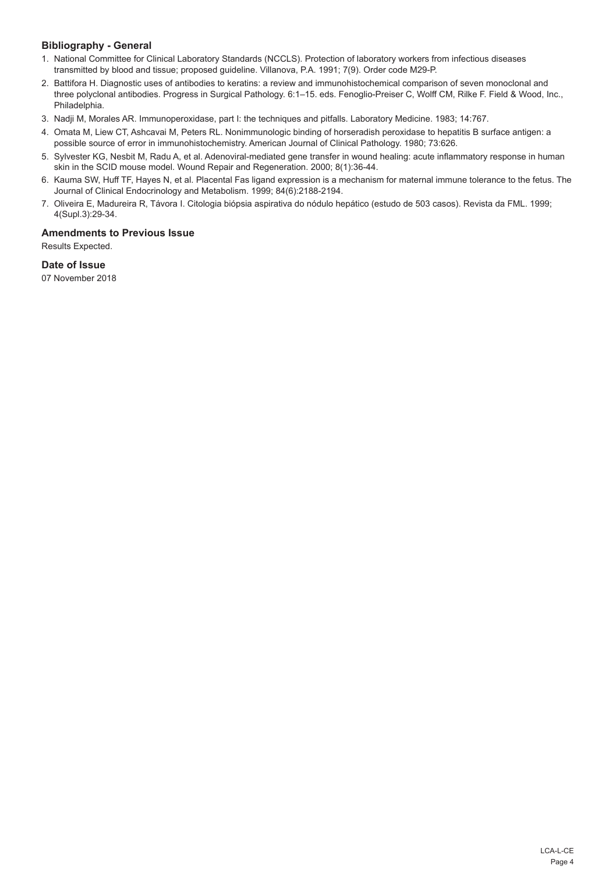## **Bibliography - General**

- 1. National Committee for Clinical Laboratory Standards (NCCLS). Protection of laboratory workers from infectious diseases transmitted by blood and tissue; proposed guideline. Villanova, P.A. 1991; 7(9). Order code M29-P.
- 2. Battifora H. Diagnostic uses of antibodies to keratins: a review and immunohistochemical comparison of seven monoclonal and three polyclonal antibodies. Progress in Surgical Pathology. 6:1–15. eds. Fenoglio-Preiser C, Wolff CM, Rilke F. Field & Wood, Inc., Philadelphia.
- 3. Nadji M, Morales AR. Immunoperoxidase, part I: the techniques and pitfalls. Laboratory Medicine. 1983; 14:767.
- 4. Omata M, Liew CT, Ashcavai M, Peters RL. Nonimmunologic binding of horseradish peroxidase to hepatitis B surface antigen: a possible source of error in immunohistochemistry. American Journal of Clinical Pathology. 1980; 73:626.
- 5. Sylvester KG, Nesbit M, Radu A, et al. Adenoviral-mediated gene transfer in wound healing: acute inflammatory response in human skin in the SCID mouse model. Wound Repair and Regeneration. 2000; 8(1):36-44.
- 6. Kauma SW, Huff TF, Hayes N, et al. Placental Fas ligand expression is a mechanism for maternal immune tolerance to the fetus. The Journal of Clinical Endocrinology and Metabolism. 1999; 84(6):2188-2194.
- 7. Oliveira E, Madureira R, Távora I. Citologia biópsia aspirativa do nódulo hepático (estudo de 503 casos). Revista da FML. 1999; 4(Supl.3):29-34.

## **Amendments to Previous Issue**

Results Expected.

## **Date of Issue**

07 November 2018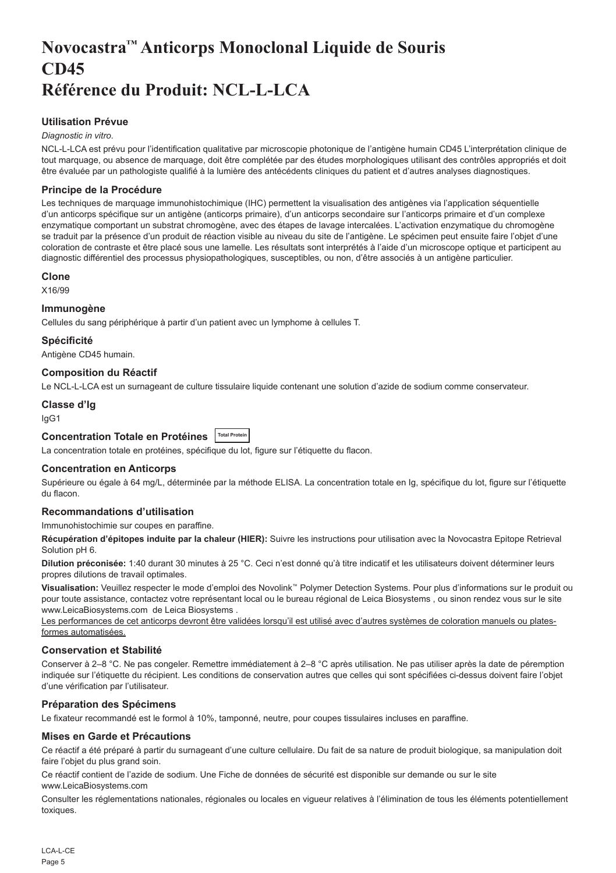## <span id="page-5-0"></span>**Novocastra™ Anticorps Monoclonal Liquide de Souris CD45 Référence du Produit: NCL-L-LCA**

## **Utilisation Prévue**

#### *Diagnostic in vitro*.

NCL-L-LCA est prévu pour l'identification qualitative par microscopie photonique de l'antigène humain CD45 L'interprétation clinique de tout marquage, ou absence de marquage, doit être complétée par des études morphologiques utilisant des contrôles appropriés et doit être évaluée par un pathologiste qualifié à la lumière des antécédents cliniques du patient et d'autres analyses diagnostiques.

### **Principe de la Procédure**

Les techniques de marquage immunohistochimique (IHC) permettent la visualisation des antigènes via l'application séquentielle d'un anticorps spécifique sur un antigène (anticorps primaire), d'un anticorps secondaire sur l'anticorps primaire et d'un complexe enzymatique comportant un substrat chromogène, avec des étapes de lavage intercalées. L'activation enzymatique du chromogène se traduit par la présence d'un produit de réaction visible au niveau du site de l'antigène. Le spécimen peut ensuite faire l'objet d'une coloration de contraste et être placé sous une lamelle. Les résultats sont interprétés à l'aide d'un microscope optique et participent au diagnostic différentiel des processus physiopathologiques, susceptibles, ou non, d'être associés à un antigène particulier.

#### **Clone**

X16/99

#### **Immunogène**

Cellules du sang périphérique à partir d'un patient avec un lymphome à cellules T.

**Spécificité**

Antigène CD45 humain.

## **Composition du Réactif**

Le NCL-L-LCA est un surnageant de culture tissulaire liquide contenant une solution d'azide de sodium comme conservateur.

#### **Classe d'Ig**

IgG1

## **Concentration Totale en Protéines Total Protein**

La concentration totale en protéines, spécifique du lot, figure sur l'étiquette du flacon.

## **Concentration en Anticorps**

Supérieure ou égale à 64 mg/L, déterminée par la méthode ELISA. La concentration totale en Ig, spécifique du lot, figure sur l'étiquette du flacon.

### **Recommandations d'utilisation**

#### Immunohistochimie sur coupes en paraffine.

**Récupération d'épitopes induite par la chaleur (HIER):** Suivre les instructions pour utilisation avec la Novocastra Epitope Retrieval Solution pH 6.

**Dilution préconisée:** 1:40 durant 30 minutes à 25 °C. Ceci n'est donné qu'à titre indicatif et les utilisateurs doivent déterminer leurs propres dilutions de travail optimales.

**Visualisation:** Veuillez respecter le mode d'emploi des Novolink™ Polymer Detection Systems. Pour plus d'informations sur le produit ou pour toute assistance, contactez votre représentant local ou le bureau régional de Leica Biosystems , ou sinon rendez vous sur le site www.LeicaBiosystems.com de Leica Biosystems .

Les performances de cet anticorps devront être validées lorsqu'il est utilisé avec d'autres systèmes de coloration manuels ou platesformes automatisées.

#### **Conservation et Stabilité**

Conserver à 2–8 °C. Ne pas congeler. Remettre immédiatement à 2–8 °C après utilisation. Ne pas utiliser après la date de péremption indiquée sur l'étiquette du récipient. Les conditions de conservation autres que celles qui sont spécifiées ci-dessus doivent faire l'objet d'une vérification par l'utilisateur.

#### **Préparation des Spécimens**

Le fixateur recommandé est le formol à 10%, tamponné, neutre, pour coupes tissulaires incluses en paraffine.

## **Mises en Garde et Précautions**

Ce réactif a été préparé à partir du surnageant d'une culture cellulaire. Du fait de sa nature de produit biologique, sa manipulation doit faire l'objet du plus grand soin.

Ce réactif contient de l'azide de sodium. Une Fiche de données de sécurité est disponible sur demande ou sur le site www.LeicaBiosystems.com

Consulter les réglementations nationales, régionales ou locales en vigueur relatives à l'élimination de tous les éléments potentiellement toxiques.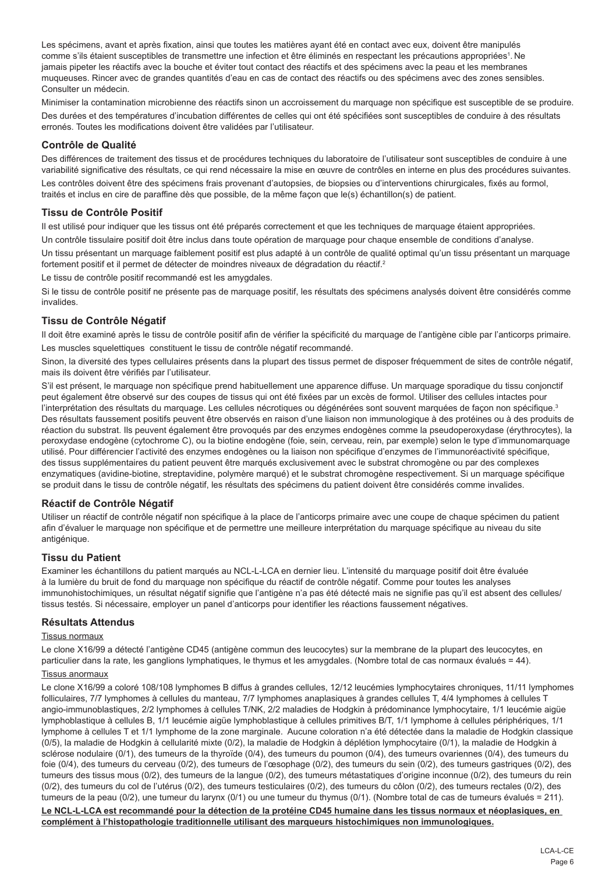Les spécimens, avant et après fixation, ainsi que toutes les matières ayant été en contact avec eux, doivent être manipulés comme s'ils étaient susceptibles de transmettre une infection et être éliminés en respectant les précautions appropriées<sup>1</sup>. Ne jamais pipeter les réactifs avec la bouche et éviter tout contact des réactifs et des spécimens avec la peau et les membranes muqueuses. Rincer avec de grandes quantités d'eau en cas de contact des réactifs ou des spécimens avec des zones sensibles. Consulter un médecin.

Minimiser la contamination microbienne des réactifs sinon un accroissement du marquage non spécifique est susceptible de se produire. Des durées et des températures d'incubation différentes de celles qui ont été spécifiées sont susceptibles de conduire à des résultats erronés. Toutes les modifications doivent être validées par l'utilisateur.

#### **Contrôle de Qualité**

Des différences de traitement des tissus et de procédures techniques du laboratoire de l'utilisateur sont susceptibles de conduire à une variabilité significative des résultats, ce qui rend nécessaire la mise en œuvre de contrôles en interne en plus des procédures suivantes.

Les contrôles doivent être des spécimens frais provenant d'autopsies, de biopsies ou d'interventions chirurgicales, fixés au formol, traités et inclus en cire de paraffine dès que possible, de la même façon que le(s) échantillon(s) de patient.

## **Tissu de Contrôle Positif**

Il est utilisé pour indiquer que les tissus ont été préparés correctement et que les techniques de marquage étaient appropriées.

Un contrôle tissulaire positif doit être inclus dans toute opération de marquage pour chaque ensemble de conditions d'analyse.

Un tissu présentant un marquage faiblement positif est plus adapté à un contrôle de qualité optimal qu'un tissu présentant un marquage fortement positif et il permet de détecter de moindres niveaux de dégradation du réactif.<sup>2</sup>

Le tissu de contrôle positif recommandé est les amygdales.

Si le tissu de contrôle positif ne présente pas de marquage positif, les résultats des spécimens analysés doivent être considérés comme invalides.

## **Tissu de Contrôle Négatif**

Il doit être examiné après le tissu de contrôle positif afin de vérifier la spécificité du marquage de l'antigène cible par l'anticorps primaire. Les muscles squelettiques constituent le tissu de contrôle négatif recommandé.

Sinon, la diversité des types cellulaires présents dans la plupart des tissus permet de disposer fréquemment de sites de contrôle négatif, mais ils doivent être vérifiés par l'utilisateur.

S'il est présent, le marquage non spécifique prend habituellement une apparence diffuse. Un marquage sporadique du tissu conjonctif peut également être observé sur des coupes de tissus qui ont été fixées par un excès de formol. Utiliser des cellules intactes pour l'interprétation des résultats du marquage. Les cellules nécrotiques ou dégénérées sont souvent marquées de façon non spécifique.<sup>3</sup> Des résultats faussement positifs peuvent être observés en raison d'une liaison non immunologique à des protéines ou à des produits de réaction du substrat. Ils peuvent également être provoqués par des enzymes endogènes comme la pseudoperoxydase (érythrocytes), la peroxydase endogène (cytochrome C), ou la biotine endogène (foie, sein, cerveau, rein, par exemple) selon le type d'immunomarquage utilisé. Pour différencier l'activité des enzymes endogènes ou la liaison non spécifique d'enzymes de l'immunoréactivité spécifique, des tissus supplémentaires du patient peuvent être marqués exclusivement avec le substrat chromogène ou par des complexes enzymatiques (avidine-biotine, streptavidine, polymère marqué) et le substrat chromogène respectivement. Si un marquage spécifique se produit dans le tissu de contrôle négatif, les résultats des spécimens du patient doivent être considérés comme invalides.

## **Réactif de Contrôle Négatif**

Utiliser un réactif de contrôle négatif non spécifique à la place de l'anticorps primaire avec une coupe de chaque spécimen du patient afin d'évaluer le marquage non spécifique et de permettre une meilleure interprétation du marquage spécifique au niveau du site antigénique.

## **Tissu du Patient**

Examiner les échantillons du patient marqués au NCL-L-LCA en dernier lieu. L'intensité du marquage positif doit être évaluée à la lumière du bruit de fond du marquage non spécifique du réactif de contrôle négatif. Comme pour toutes les analyses immunohistochimiques, un résultat négatif signifie que l'antigène n'a pas été détecté mais ne signifie pas qu'il est absent des cellules/ tissus testés. Si nécessaire, employer un panel d'anticorps pour identifier les réactions faussement négatives.

#### **Résultats Attendus**

#### Tissus normaux

Le clone X16/99 a détecté l'antigène CD45 (antigène commun des leucocytes) sur la membrane de la plupart des leucocytes, en particulier dans la rate, les ganglions lymphatiques, le thymus et les amygdales. (Nombre total de cas normaux évalués = 44).

#### Tissus anormaux

Le clone X16/99 a coloré 108/108 lymphomes B diffus à grandes cellules, 12/12 leucémies lymphocytaires chroniques, 11/11 lymphomes folliculaires, 7/7 lymphomes à cellules du manteau, 7/7 lymphomes anaplasiques à grandes cellules T, 4/4 lymphomes à cellules T angio-immunoblastiques, 2/2 lymphomes à cellules T/NK, 2/2 maladies de Hodgkin à prédominance lymphocytaire, 1/1 leucémie aigüe lymphoblastique à cellules B, 1/1 leucémie aigüe lymphoblastique à cellules primitives B/T, 1/1 lymphome à cellules périphériques, 1/1 lymphome à cellules T et 1/1 lymphome de la zone marginale. Aucune coloration n'a été détectée dans la maladie de Hodgkin classique (0/5), la maladie de Hodgkin à cellularité mixte (0/2), la maladie de Hodgkin à déplétion lymphocytaire (0/1), la maladie de Hodgkin à sclérose nodulaire (0/1), des tumeurs de la thyroïde (0/4), des tumeurs du poumon (0/4), des tumeurs ovariennes (0/4), des tumeurs du foie (0/4), des tumeurs du cerveau (0/2), des tumeurs de l'œsophage (0/2), des tumeurs du sein (0/2), des tumeurs gastriques (0/2), des tumeurs des tissus mous (0/2), des tumeurs de la langue (0/2), des tumeurs métastatiques d'origine inconnue (0/2), des tumeurs du rein (0/2), des tumeurs du col de l'utérus (0/2), des tumeurs testiculaires (0/2), des tumeurs du côlon (0/2), des tumeurs rectales (0/2), des tumeurs de la peau (0/2), une tumeur du larynx (0/1) ou une tumeur du thymus (0/1). (Nombre total de cas de tumeurs évalués = 211).

**Le NCL-L-LCA est recommandé pour la détection de la protéine CD45 humaine dans les tissus normaux et néoplasiques, en complément à l'histopathologie traditionnelle utilisant des marqueurs histochimiques non immunologiques.**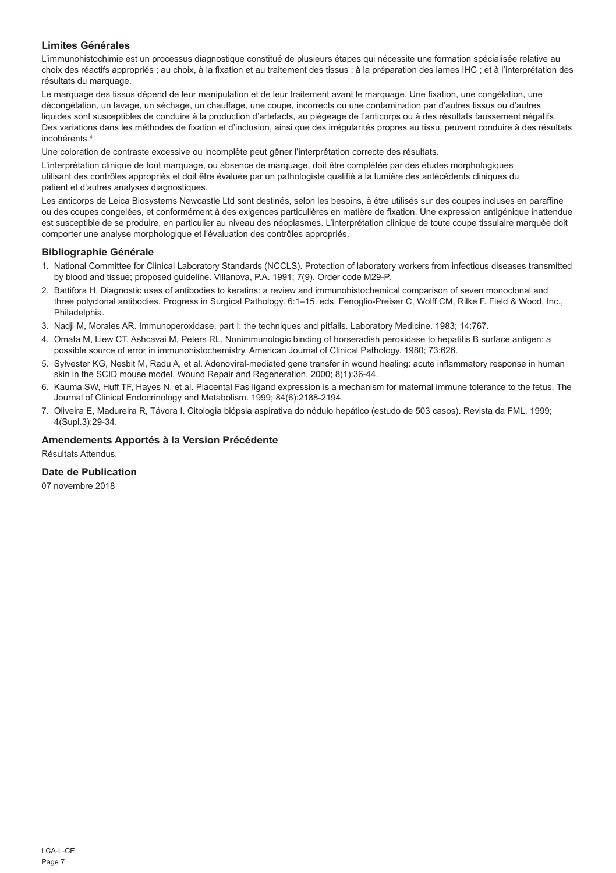## **Limites Générales**

L'immunohistochimie est un processus diagnostique constitué de plusieurs étapes qui nécessite une formation spécialisée relative au choix des réactifs appropriés ; au choix, à la fixation et au traitement des tissus ; à la préparation des lames IHC ; et à l'interprétation des résultats du marquage.

Le marquage des tissus dépend de leur manipulation et de leur traitement avant le marquage. Une fixation, une congélation, une décongélation, un lavage, un séchage, un chauffage, une coupe, incorrects ou une contamination par d'autres tissus ou d'autres liquides sont susceptibles de conduire à la production d'artefacts, au piégeage de l'anticorps ou à des résultats faussement négatifs. Des variations dans les méthodes de fixation et d'inclusion, ainsi que des irrégularités propres au tissu, peuvent conduire à des résultats incohérents.4

Une coloration de contraste excessive ou incomplète peut gêner l'interprétation correcte des résultats.

L'interprétation clinique de tout marquage, ou absence de marquage, doit être complétée par des études morphologiques utilisant des contrôles appropriés et doit être évaluée par un pathologiste qualifié à la lumière des antécédents cliniques du patient et d'autres analyses diagnostiques.

Les anticorps de Leica Biosystems Newcastle Ltd sont destinés, selon les besoins, à être utilisés sur des coupes incluses en paraffine ou des coupes congelées, et conformément à des exigences particulières en matière de fixation. Une expression antigénique inattendue est susceptible de se produire, en particulier au niveau des néoplasmes. L'interprétation clinique de toute coupe tissulaire marquée doit comporter une analyse morphologique et l'évaluation des contrôles appropriés.

#### **Bibliographie Générale**

- 1. National Committee for Clinical Laboratory Standards (NCCLS). Protection of laboratory workers from infectious diseases transmitted by blood and tissue; proposed guideline. Villanova, P.A. 1991; 7(9). Order code M29-P.
- 2. Battifora H. Diagnostic uses of antibodies to keratins: a review and immunohistochemical comparison of seven monoclonal and three polyclonal antibodies. Progress in Surgical Pathology. 6:1–15. eds. Fenoglio-Preiser C, Wolff CM, Rilke F. Field & Wood, Inc., Philadelphia.
- 3. Nadji M, Morales AR. Immunoperoxidase, part I: the techniques and pitfalls. Laboratory Medicine. 1983; 14:767.
- 4. Omata M, Liew CT, Ashcavai M, Peters RL. Nonimmunologic binding of horseradish peroxidase to hepatitis B surface antigen: a possible source of error in immunohistochemistry. American Journal of Clinical Pathology. 1980; 73:626.
- 5. Sylvester KG, Nesbit M, Radu A, et al. Adenoviral-mediated gene transfer in wound healing: acute inflammatory response in human skin in the SCID mouse model. Wound Repair and Regeneration. 2000; 8(1):36-44.
- 6. Kauma SW, Huff TF, Hayes N, et al. Placental Fas ligand expression is a mechanism for maternal immune tolerance to the fetus. The Journal of Clinical Endocrinology and Metabolism. 1999; 84(6):2188-2194.
- 7. Oliveira E, Madureira R, Távora I. Citologia biópsia aspirativa do nódulo hepático (estudo de 503 casos). Revista da FML. 1999; 4(Supl.3):29-34.

## **Amendements Apportés à la Version Précédente**

Résultats Attendus.

### **Date de Publication**

07 novembre 2018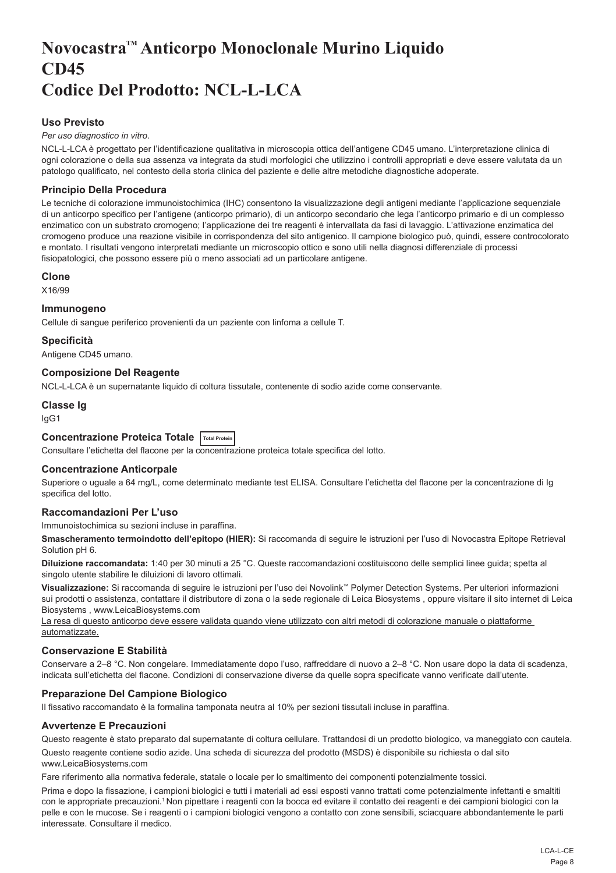## <span id="page-8-0"></span>**Novocastra™ Anticorpo Monoclonale Murino Liquido CD45 Codice Del Prodotto: NCL-L-LCA**

## **Uso Previsto**

#### *Per uso diagnostico in vitro*.

NCL-L-LCA è progettato per l'identificazione qualitativa in microscopia ottica dell'antigene CD45 umano. L'interpretazione clinica di ogni colorazione o della sua assenza va integrata da studi morfologici che utilizzino i controlli appropriati e deve essere valutata da un patologo qualificato, nel contesto della storia clinica del paziente e delle altre metodiche diagnostiche adoperate.

## **Principio Della Procedura**

Le tecniche di colorazione immunoistochimica (IHC) consentono la visualizzazione degli antigeni mediante l'applicazione sequenziale di un anticorpo specifico per l'antigene (anticorpo primario), di un anticorpo secondario che lega l'anticorpo primario e di un complesso enzimatico con un substrato cromogeno; l'applicazione dei tre reagenti è intervallata da fasi di lavaggio. L'attivazione enzimatica del cromogeno produce una reazione visibile in corrispondenza del sito antigenico. Il campione biologico può, quindi, essere controcolorato e montato. I risultati vengono interpretati mediante un microscopio ottico e sono utili nella diagnosi differenziale di processi fisiopatologici, che possono essere più o meno associati ad un particolare antigene.

#### **Clone**

X16/99

#### **Immunogeno**

Cellule di sangue periferico provenienti da un paziente con linfoma a cellule T.

**Specificità**

Antigene CD45 umano.

## **Composizione Del Reagente**

NCL-L-LCA è un supernatante liquido di coltura tissutale, contenente di sodio azide come conservante.

#### **Classe Ig**

IgG1

## **Concentrazione Proteica Totale Total Protein**

Consultare l'etichetta del flacone per la concentrazione proteica totale specifica del lotto.

## **Concentrazione Anticorpale**

Superiore o uguale a 64 mg/L, come determinato mediante test ELISA. Consultare l'etichetta del flacone per la concentrazione di Ig specifica del lotto.

## **Raccomandazioni Per L'uso**

Immunoistochimica su sezioni incluse in paraffina.

**Smascheramento termoindotto dell'epitopo (HIER):** Si raccomanda di seguire le istruzioni per l'uso di Novocastra Epitope Retrieval Solution pH 6.

**Diluizione raccomandata:** 1:40 per 30 minuti a 25 °C. Queste raccomandazioni costituiscono delle semplici linee guida; spetta al singolo utente stabilire le diluizioni di lavoro ottimali.

**Visualizzazione:** Si raccomanda di seguire le istruzioni per l'uso dei Novolink™ Polymer Detection Systems. Per ulteriori informazioni sui prodotti o assistenza, contattare il distributore di zona o la sede regionale di Leica Biosystems , oppure visitare il sito internet di Leica Biosystems , www.LeicaBiosystems.com

La resa di questo anticorpo deve essere validata quando viene utilizzato con altri metodi di colorazione manuale o piattaforme automatizzate.

## **Conservazione E Stabilità**

Conservare a 2–8 °C. Non congelare. Immediatamente dopo l'uso, raffreddare di nuovo a 2–8 °C. Non usare dopo la data di scadenza, indicata sull'etichetta del flacone. Condizioni di conservazione diverse da quelle sopra specificate vanno verificate dall'utente.

## **Preparazione Del Campione Biologico**

Il fissativo raccomandato è la formalina tamponata neutra al 10% per sezioni tissutali incluse in paraffina.

## **Avvertenze E Precauzioni**

Questo reagente è stato preparato dal supernatante di coltura cellulare. Trattandosi di un prodotto biologico, va maneggiato con cautela.

Questo reagente contiene sodio azide. Una scheda di sicurezza del prodotto (MSDS) è disponibile su richiesta o dal sito www.LeicaBiosystems.com

Fare riferimento alla normativa federale, statale o locale per lo smaltimento dei componenti potenzialmente tossici.

Prima e dopo la fissazione, i campioni biologici e tutti i materiali ad essi esposti vanno trattati come potenzialmente infettanti e smaltiti con le appropriate precauzioni.<sup>1</sup> Non pipettare i reagenti con la bocca ed evitare il contatto dei reagenti e dei campioni biologici con la pelle e con le mucose. Se i reagenti o i campioni biologici vengono a contatto con zone sensibili, sciacquare abbondantemente le parti interessate. Consultare il medico.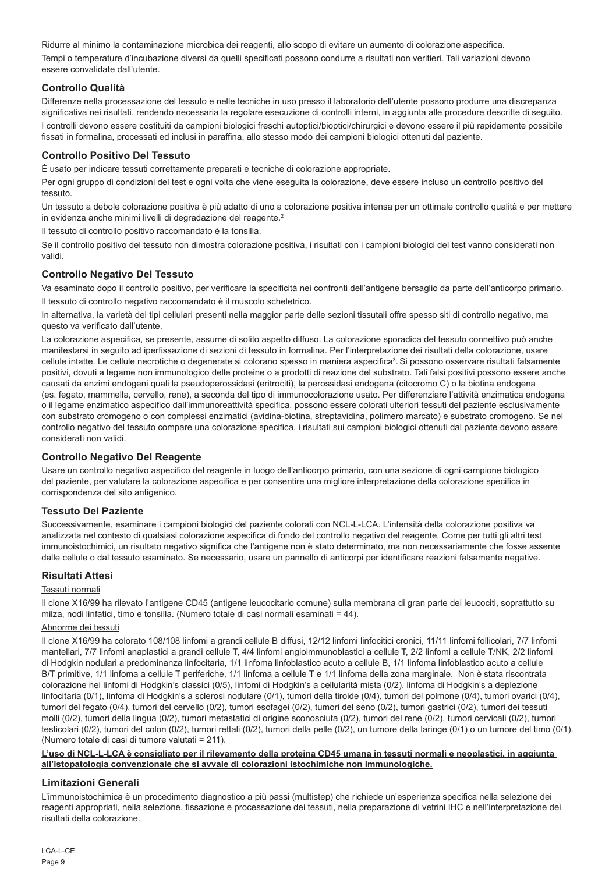Ridurre al minimo la contaminazione microbica dei reagenti, allo scopo di evitare un aumento di colorazione aspecifica. Tempi o temperature d'incubazione diversi da quelli specificati possono condurre a risultati non veritieri. Tali variazioni devono essere convalidate dall'utente.

## **Controllo Qualità**

Differenze nella processazione del tessuto e nelle tecniche in uso presso il laboratorio dell'utente possono produrre una discrepanza significativa nei risultati, rendendo necessaria la regolare esecuzione di controlli interni, in aggiunta alle procedure descritte di seguito. I controlli devono essere costituiti da campioni biologici freschi autoptici/bioptici/chirurgici e devono essere il più rapidamente possibile fissati in formalina, processati ed inclusi in paraffina, allo stesso modo dei campioni biologici ottenuti dal paziente.

## **Controllo Positivo Del Tessuto**

È usato per indicare tessuti correttamente preparati e tecniche di colorazione appropriate.

Per ogni gruppo di condizioni del test e ogni volta che viene eseguita la colorazione, deve essere incluso un controllo positivo del tessuto.

Un tessuto a debole colorazione positiva è più adatto di uno a colorazione positiva intensa per un ottimale controllo qualità e per mettere in evidenza anche minimi livelli di degradazione del reagente.<sup>2</sup>

Il tessuto di controllo positivo raccomandato è la tonsilla.

Se il controllo positivo del tessuto non dimostra colorazione positiva, i risultati con i campioni biologici del test vanno considerati non validi.

## **Controllo Negativo Del Tessuto**

Va esaminato dopo il controllo positivo, per verificare la specificità nei confronti dell'antigene bersaglio da parte dell'anticorpo primario. Il tessuto di controllo negativo raccomandato è il muscolo scheletrico.

In alternativa, la varietà dei tipi cellulari presenti nella maggior parte delle sezioni tissutali offre spesso siti di controllo negativo, ma questo va verificato dall'utente.

La colorazione aspecifica, se presente, assume di solito aspetto diffuso. La colorazione sporadica del tessuto connettivo può anche manifestarsi in seguito ad iperfissazione di sezioni di tessuto in formalina. Per l'interpretazione dei risultati della colorazione, usare cellule intatte. Le cellule necrotiche o degenerate si colorano spesso in maniera aspecifica<sup>3</sup>. Si possono osservare risultati falsamente positivi, dovuti a legame non immunologico delle proteine o a prodotti di reazione del substrato. Tali falsi positivi possono essere anche causati da enzimi endogeni quali la pseudoperossidasi (eritrociti), la perossidasi endogena (citocromo C) o la biotina endogena (es. fegato, mammella, cervello, rene), a seconda del tipo di immunocolorazione usato. Per differenziare l'attività enzimatica endogena o il legame enzimatico aspecifico dall'immunoreattività specifica, possono essere colorati ulteriori tessuti del paziente esclusivamente con substrato cromogeno o con complessi enzimatici (avidina-biotina, streptavidina, polimero marcato) e substrato cromogeno. Se nel controllo negativo del tessuto compare una colorazione specifica, i risultati sui campioni biologici ottenuti dal paziente devono essere considerati non validi.

## **Controllo Negativo Del Reagente**

Usare un controllo negativo aspecifico del reagente in luogo dell'anticorpo primario, con una sezione di ogni campione biologico del paziente, per valutare la colorazione aspecifica e per consentire una migliore interpretazione della colorazione specifica in corrispondenza del sito antigenico.

## **Tessuto Del Paziente**

Successivamente, esaminare i campioni biologici del paziente colorati con NCL-L-LCA. L'intensità della colorazione positiva va analizzata nel contesto di qualsiasi colorazione aspecifica di fondo del controllo negativo del reagente. Come per tutti gli altri test immunoistochimici, un risultato negativo significa che l'antigene non è stato determinato, ma non necessariamente che fosse assente dalle cellule o dal tessuto esaminato. Se necessario, usare un pannello di anticorpi per identificare reazioni falsamente negative.

## **Risultati Attesi**

#### Tessuti normali

Il clone X16/99 ha rilevato l'antigene CD45 (antigene leucocitario comune) sulla membrana di gran parte dei leucociti, soprattutto su milza, nodi linfatici, timo e tonsilla. (Numero totale di casi normali esaminati = 44).

#### Abnorme dei tessuti

Il clone X16/99 ha colorato 108/108 linfomi a grandi cellule B diffusi, 12/12 linfomi linfocitici cronici, 11/11 linfomi follicolari, 7/7 linfomi mantellari, 7/7 linfomi anaplastici a grandi cellule T, 4/4 linfomi angioimmunoblastici a cellule T, 2/2 linfomi a cellule T/NK, 2/2 linfomi di Hodgkin nodulari a predominanza linfocitaria, 1/1 linfoma linfoblastico acuto a cellule B, 1/1 linfoma linfoblastico acuto a cellule B/T primitive, 1/1 linfoma a cellule T periferiche, 1/1 linfoma a cellule T e 1/1 linfoma della zona marginale. Non è stata riscontrata colorazione nei linfomi di Hodgkin's classici (0/5), linfomi di Hodgkin's a cellularità mista (0/2), linfoma di Hodgkin's a deplezione linfocitaria (0/1), linfoma di Hodgkin's a sclerosi nodulare (0/1), tumori della tiroide (0/4), tumori del polmone (0/4), tumori ovarici (0/4), tumori del fegato (0/4), tumori del cervello (0/2), tumori esofagei (0/2), tumori del seno (0/2), tumori gastrici (0/2), tumori dei tessuti molli (0/2), tumori della lingua (0/2), tumori metastatici di origine sconosciuta (0/2), tumori del rene (0/2), tumori cervicali (0/2), tumori testicolari (0/2), tumori del colon (0/2), tumori rettali (0/2), tumori della pelle (0/2), un tumore della laringe (0/1) o un tumore del timo (0/1). (Numero totale di casi di tumore valutati = 211).

#### **L'uso di NCL-L-LCA è consigliato per il rilevamento della proteina CD45 umana in tessuti normali e neoplastici, in aggiunta all'istopatologia convenzionale che si avvale di colorazioni istochimiche non immunologiche.**

## **Limitazioni Generali**

L'immunoistochimica è un procedimento diagnostico a più passi (multistep) che richiede un'esperienza specifica nella selezione dei reagenti appropriati, nella selezione, fissazione e processazione dei tessuti, nella preparazione di vetrini IHC e nell'interpretazione dei risultati della colorazione.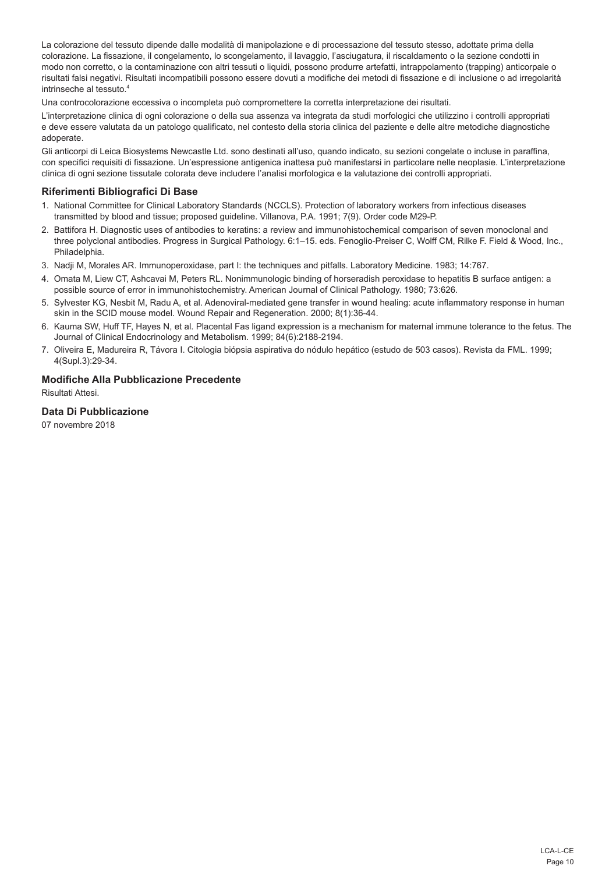La colorazione del tessuto dipende dalle modalità di manipolazione e di processazione del tessuto stesso, adottate prima della colorazione. La fissazione, il congelamento, lo scongelamento, il lavaggio, l'asciugatura, il riscaldamento o la sezione condotti in modo non corretto, o la contaminazione con altri tessuti o liquidi, possono produrre artefatti, intrappolamento (trapping) anticorpale o risultati falsi negativi. Risultati incompatibili possono essere dovuti a modifiche dei metodi di fissazione e di inclusione o ad irregolarità intrinseche al tessuto.4

Una controcolorazione eccessiva o incompleta può compromettere la corretta interpretazione dei risultati.

L'interpretazione clinica di ogni colorazione o della sua assenza va integrata da studi morfologici che utilizzino i controlli appropriati e deve essere valutata da un patologo qualificato, nel contesto della storia clinica del paziente e delle altre metodiche diagnostiche adoperate.

Gli anticorpi di Leica Biosystems Newcastle Ltd. sono destinati all'uso, quando indicato, su sezioni congelate o incluse in paraffina, con specifici requisiti di fissazione. Un'espressione antigenica inattesa può manifestarsi in particolare nelle neoplasie. L'interpretazione clinica di ogni sezione tissutale colorata deve includere l'analisi morfologica e la valutazione dei controlli appropriati.

## **Riferimenti Bibliografici Di Base**

- 1. National Committee for Clinical Laboratory Standards (NCCLS). Protection of laboratory workers from infectious diseases transmitted by blood and tissue; proposed guideline. Villanova, P.A. 1991; 7(9). Order code M29-P.
- 2. Battifora H. Diagnostic uses of antibodies to keratins: a review and immunohistochemical comparison of seven monoclonal and three polyclonal antibodies. Progress in Surgical Pathology. 6:1–15. eds. Fenoglio-Preiser C, Wolff CM, Rilke F. Field & Wood, Inc., Philadelphia.
- 3. Nadji M, Morales AR. Immunoperoxidase, part I: the techniques and pitfalls. Laboratory Medicine. 1983; 14:767.
- 4. Omata M, Liew CT, Ashcavai M, Peters RL. Nonimmunologic binding of horseradish peroxidase to hepatitis B surface antigen: a possible source of error in immunohistochemistry. American Journal of Clinical Pathology. 1980; 73:626.
- 5. Sylvester KG, Nesbit M, Radu A, et al. Adenoviral-mediated gene transfer in wound healing: acute inflammatory response in human skin in the SCID mouse model. Wound Repair and Regeneration. 2000; 8(1):36-44.
- 6. Kauma SW, Huff TF, Hayes N, et al. Placental Fas ligand expression is a mechanism for maternal immune tolerance to the fetus. The Journal of Clinical Endocrinology and Metabolism. 1999; 84(6):2188-2194.
- 7. Oliveira E, Madureira R, Távora I. Citologia biópsia aspirativa do nódulo hepático (estudo de 503 casos). Revista da FML. 1999; 4(Supl.3):29-34.

## **Modifiche Alla Pubblicazione Precedente**

Risultati Attesi.

## **Data Di Pubblicazione**

07 novembre 2018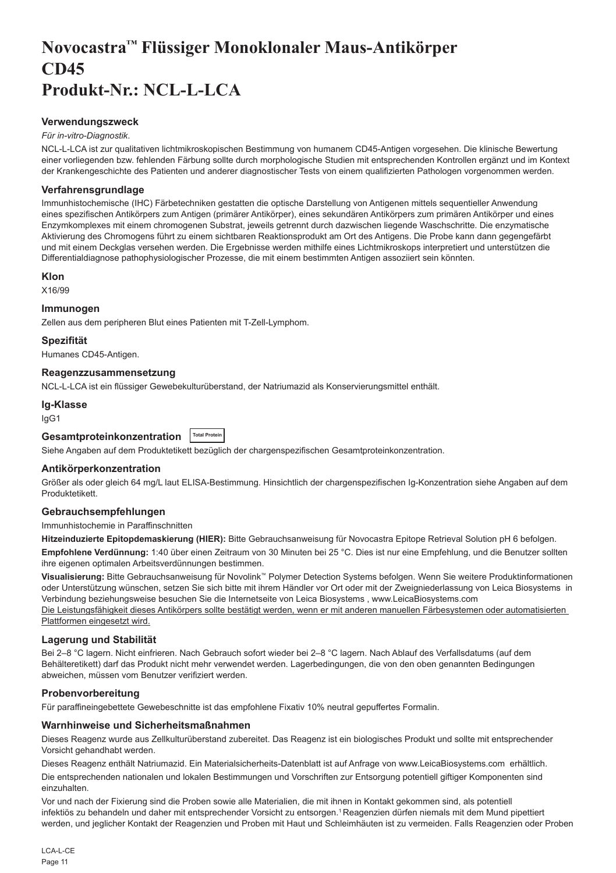## <span id="page-11-0"></span>**Novocastra™ Flüssiger Monoklonaler Maus-Antikörper CD45 Produkt-Nr.: NCL-L-LCA**

### **Verwendungszweck**

#### *Für in-vitro-Diagnostik*.

NCL-L-LCA ist zur qualitativen lichtmikroskopischen Bestimmung von humanem CD45-Antigen vorgesehen. Die klinische Bewertung einer vorliegenden bzw. fehlenden Färbung sollte durch morphologische Studien mit entsprechenden Kontrollen ergänzt und im Kontext der Krankengeschichte des Patienten und anderer diagnostischer Tests von einem qualifizierten Pathologen vorgenommen werden.

### **Verfahrensgrundlage**

Immunhistochemische (IHC) Färbetechniken gestatten die optische Darstellung von Antigenen mittels sequentieller Anwendung eines spezifischen Antikörpers zum Antigen (primärer Antikörper), eines sekundären Antikörpers zum primären Antikörper und eines Enzymkomplexes mit einem chromogenen Substrat, jeweils getrennt durch dazwischen liegende Waschschritte. Die enzymatische Aktivierung des Chromogens führt zu einem sichtbaren Reaktionsprodukt am Ort des Antigens. Die Probe kann dann gegengefärbt und mit einem Deckglas versehen werden. Die Ergebnisse werden mithilfe eines Lichtmikroskops interpretiert und unterstützen die Differentialdiagnose pathophysiologischer Prozesse, die mit einem bestimmten Antigen assoziiert sein könnten.

#### **Klon**

X16/99

#### **Immunogen**

Zellen aus dem peripheren Blut eines Patienten mit T-Zell-Lymphom.

#### **Spezifität**

Humanes CD45-Antigen.

#### **Reagenzzusammensetzung**

NCL-L-LCA ist ein flüssiger Gewebekulturüberstand, der Natriumazid als Konservierungsmittel enthält.

#### **Ig-Klasse**

IgG1

| Gesamtproteinkonzentration  Total Protein |  |
|-------------------------------------------|--|
|-------------------------------------------|--|

Siehe Angaben auf dem Produktetikett bezüglich der chargenspezifischen Gesamtproteinkonzentration.

#### **Antikörperkonzentration**

Größer als oder gleich 64 mg/L laut ELISA-Bestimmung. Hinsichtlich der chargenspezifischen Ig-Konzentration siehe Angaben auf dem Produktetikett.

### **Gebrauchsempfehlungen**

Immunhistochemie in Paraffinschnitten

**Hitzeinduzierte Epitopdemaskierung (HIER):** Bitte Gebrauchsanweisung für Novocastra Epitope Retrieval Solution pH 6 befolgen. **Empfohlene Verdünnung:** 1:40 über einen Zeitraum von 30 Minuten bei 25 °C. Dies ist nur eine Empfehlung, und die Benutzer sollten ihre eigenen optimalen Arbeitsverdünnungen bestimmen.

**Visualisierung:** Bitte Gebrauchsanweisung für Novolink™ Polymer Detection Systems befolgen. Wenn Sie weitere Produktinformationen oder Unterstützung wünschen, setzen Sie sich bitte mit ihrem Händler vor Ort oder mit der Zweigniederlassung von Leica Biosystems in Verbindung beziehungsweise besuchen Sie die Internetseite von Leica Biosystems , www.LeicaBiosystems.com Die Leistungsfähigkeit dieses Antikörpers sollte bestätigt werden, wenn er mit anderen manuellen Färbesystemen oder automatisierten Plattformen eingesetzt wird.

#### **Lagerung und Stabilität**

Bei 2–8 °C lagern. Nicht einfrieren. Nach Gebrauch sofort wieder bei 2–8 °C lagern. Nach Ablauf des Verfallsdatums (auf dem Behälteretikett) darf das Produkt nicht mehr verwendet werden. Lagerbedingungen, die von den oben genannten Bedingungen abweichen, müssen vom Benutzer verifiziert werden.

#### **Probenvorbereitung**

Für paraffineingebettete Gewebeschnitte ist das empfohlene Fixativ 10% neutral gepuffertes Formalin.

#### **Warnhinweise und Sicherheitsmaßnahmen**

Dieses Reagenz wurde aus Zellkulturüberstand zubereitet. Das Reagenz ist ein biologisches Produkt und sollte mit entsprechender Vorsicht gehandhabt werden.

Dieses Reagenz enthält Natriumazid. Ein Materialsicherheits-Datenblatt ist auf Anfrage von www.LeicaBiosystems.com erhältlich.

Die entsprechenden nationalen und lokalen Bestimmungen und Vorschriften zur Entsorgung potentiell giftiger Komponenten sind einzuhalten.

Vor und nach der Fixierung sind die Proben sowie alle Materialien, die mit ihnen in Kontakt gekommen sind, als potentiell infektiös zu behandeln und daher mit entsprechender Vorsicht zu entsorgen.<sup>1</sup>Reagenzien dürfen niemals mit dem Mund pipettiert werden, und jeglicher Kontakt der Reagenzien und Proben mit Haut und Schleimhäuten ist zu vermeiden. Falls Reagenzien oder Proben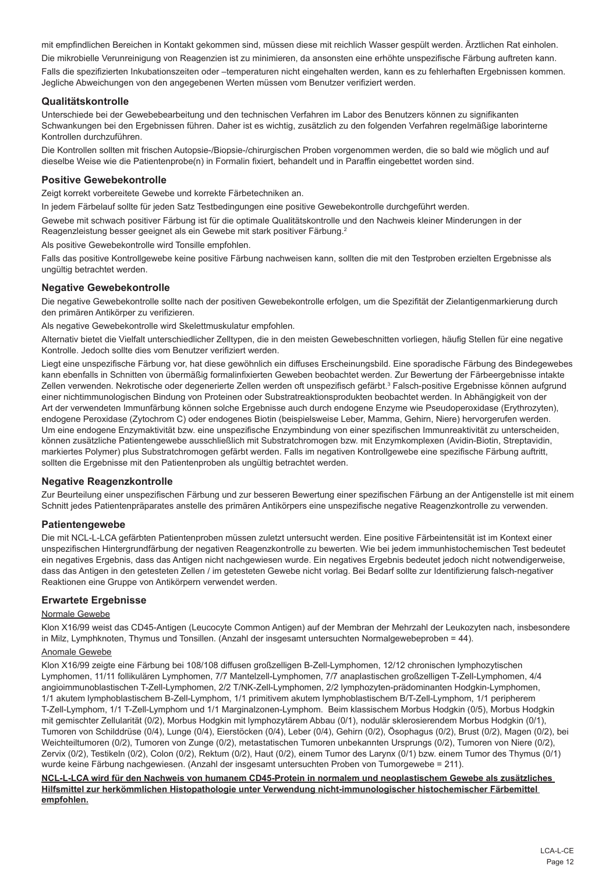mit empfindlichen Bereichen in Kontakt gekommen sind, müssen diese mit reichlich Wasser gespült werden. Ärztlichen Rat einholen. Die mikrobielle Verunreinigung von Reagenzien ist zu minimieren, da ansonsten eine erhöhte unspezifische Färbung auftreten kann. Falls die spezifizierten Inkubationszeiten oder –temperaturen nicht eingehalten werden, kann es zu fehlerhaften Ergebnissen kommen. Jegliche Abweichungen von den angegebenen Werten müssen vom Benutzer verifiziert werden.

## **Qualitätskontrolle**

Unterschiede bei der Gewebebearbeitung und den technischen Verfahren im Labor des Benutzers können zu signifikanten Schwankungen bei den Ergebnissen führen. Daher ist es wichtig, zusätzlich zu den folgenden Verfahren regelmäßige laborinterne Kontrollen durchzuführen.

Die Kontrollen sollten mit frischen Autopsie-/Biopsie-/chirurgischen Proben vorgenommen werden, die so bald wie möglich und auf dieselbe Weise wie die Patientenprobe(n) in Formalin fixiert, behandelt und in Paraffin eingebettet worden sind.

### **Positive Gewebekontrolle**

Zeigt korrekt vorbereitete Gewebe und korrekte Färbetechniken an.

In jedem Färbelauf sollte für jeden Satz Testbedingungen eine positive Gewebekontrolle durchgeführt werden.

Gewebe mit schwach positiver Färbung ist für die optimale Qualitätskontrolle und den Nachweis kleiner Minderungen in der Reagenzleistung besser geeignet als ein Gewebe mit stark positiver Färbung.<sup>2</sup>

Als positive Gewebekontrolle wird Tonsille empfohlen.

Falls das positive Kontrollgewebe keine positive Färbung nachweisen kann, sollten die mit den Testproben erzielten Ergebnisse als ungültig betrachtet werden.

#### **Negative Gewebekontrolle**

Die negative Gewebekontrolle sollte nach der positiven Gewebekontrolle erfolgen, um die Spezifität der Zielantigenmarkierung durch den primären Antikörper zu verifizieren.

Als negative Gewebekontrolle wird Skelettmuskulatur empfohlen.

Alternativ bietet die Vielfalt unterschiedlicher Zelltypen, die in den meisten Gewebeschnitten vorliegen, häufig Stellen für eine negative Kontrolle. Jedoch sollte dies vom Benutzer verifiziert werden.

Liegt eine unspezifische Färbung vor, hat diese gewöhnlich ein diffuses Erscheinungsbild. Eine sporadische Färbung des Bindegewebes kann ebenfalls in Schnitten von übermäßig formalinfixierten Geweben beobachtet werden. Zur Bewertung der Färbeergebnisse intakte Zellen verwenden. Nekrotische oder degenerierte Zellen werden oft unspezifisch gefärbt.<sup>3</sup> Falsch-positive Ergebnisse können aufgrund einer nichtimmunologischen Bindung von Proteinen oder Substratreaktionsprodukten beobachtet werden. In Abhängigkeit von der Art der verwendeten Immunfärbung können solche Ergebnisse auch durch endogene Enzyme wie Pseudoperoxidase (Erythrozyten), endogene Peroxidase (Zytochrom C) oder endogenes Biotin (beispielsweise Leber, Mamma, Gehirn, Niere) hervorgerufen werden. Um eine endogene Enzymaktivität bzw. eine unspezifische Enzymbindung von einer spezifischen Immunreaktivität zu unterscheiden, können zusätzliche Patientengewebe ausschließlich mit Substratchromogen bzw. mit Enzymkomplexen (Avidin-Biotin, Streptavidin, markiertes Polymer) plus Substratchromogen gefärbt werden. Falls im negativen Kontrollgewebe eine spezifische Färbung auftritt, sollten die Ergebnisse mit den Patientenproben als ungültig betrachtet werden.

## **Negative Reagenzkontrolle**

Zur Beurteilung einer unspezifischen Färbung und zur besseren Bewertung einer spezifischen Färbung an der Antigenstelle ist mit einem Schnitt jedes Patientenpräparates anstelle des primären Antikörpers eine unspezifische negative Reagenzkontrolle zu verwenden.

## **Patientengewebe**

Die mit NCL-L-LCA gefärbten Patientenproben müssen zuletzt untersucht werden. Eine positive Färbeintensität ist im Kontext einer unspezifischen Hintergrundfärbung der negativen Reagenzkontrolle zu bewerten. Wie bei jedem immunhistochemischen Test bedeutet ein negatives Ergebnis, dass das Antigen nicht nachgewiesen wurde. Ein negatives Ergebnis bedeutet jedoch nicht notwendigerweise, dass das Antigen in den getesteten Zellen / im getesteten Gewebe nicht vorlag. Bei Bedarf sollte zur Identifizierung falsch-negativer Reaktionen eine Gruppe von Antikörpern verwendet werden.

## **Erwartete Ergebnisse**

#### Normale Gewebe

Klon X16/99 weist das CD45-Antigen (Leucocyte Common Antigen) auf der Membran der Mehrzahl der Leukozyten nach, insbesondere in Milz, Lymphknoten, Thymus und Tonsillen. (Anzahl der insgesamt untersuchten Normalgewebeproben = 44).

## Anomale Gewebe

Klon X16/99 zeigte eine Färbung bei 108/108 diffusen großzelligen B-Zell-Lymphomen, 12/12 chronischen lymphozytischen Lymphomen, 11/11 follikulären Lymphomen, 7/7 Mantelzell-Lymphomen, 7/7 anaplastischen großzelligen T-Zell-Lymphomen, 4/4 angioimmunoblastischen T-Zell-Lymphomen, 2/2 T/NK-Zell-Lymphomen, 2/2 lymphozyten-prädominanten Hodgkin-Lymphomen, 1/1 akutem lymphoblastischem B-Zell-Lymphom, 1/1 primitivem akutem lymphoblastischem B/T-Zell-Lymphom, 1/1 peripherem T-Zell-Lymphom, 1/1 T-Zell-Lymphom und 1/1 Marginalzonen-Lymphom. Beim klassischem Morbus Hodgkin (0/5), Morbus Hodgkin mit gemischter Zellularität (0/2), Morbus Hodgkin mit lymphozytärem Abbau (0/1), nodulär sklerosierendem Morbus Hodgkin (0/1), Tumoren von Schilddrüse (0/4), Lunge (0/4), Eierstöcken (0/4), Leber (0/4), Gehirn (0/2), Ösophagus (0/2), Brust (0/2), Magen (0/2), bei Weichteiltumoren (0/2), Tumoren von Zunge (0/2), metastatischen Tumoren unbekannten Ursprungs (0/2), Tumoren von Niere (0/2), Zervix (0/2), Testikeln (0/2), Colon (0/2), Rektum (0/2), Haut (0/2), einem Tumor des Larynx (0/1) bzw. einem Tumor des Thymus (0/1) wurde keine Färbung nachgewiesen. (Anzahl der insgesamt untersuchten Proben von Tumorgewebe = 211).

**NCL-L-LCA wird für den Nachweis von humanem CD45-Protein in normalem und neoplastischem Gewebe als zusätzliches Hilfsmittel zur herkömmlichen Histopathologie unter Verwendung nicht-immunologischer histochemischer Färbemittel empfohlen.**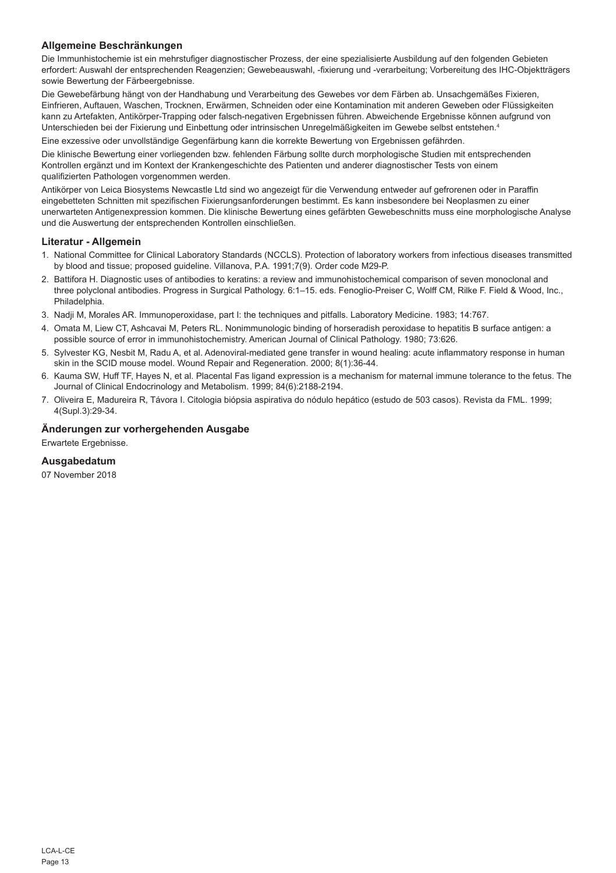## **Allgemeine Beschränkungen**

Die Immunhistochemie ist ein mehrstufiger diagnostischer Prozess, der eine spezialisierte Ausbildung auf den folgenden Gebieten erfordert: Auswahl der entsprechenden Reagenzien; Gewebeauswahl, -fixierung und -verarbeitung; Vorbereitung des IHC-Objektträgers sowie Bewertung der Färbeergebnisse.

Die Gewebefärbung hängt von der Handhabung und Verarbeitung des Gewebes vor dem Färben ab. Unsachgemäßes Fixieren, Einfrieren, Auftauen, Waschen, Trocknen, Erwärmen, Schneiden oder eine Kontamination mit anderen Geweben oder Flüssigkeiten kann zu Artefakten, Antikörper-Trapping oder falsch-negativen Ergebnissen führen. Abweichende Ergebnisse können aufgrund von Unterschieden bei der Fixierung und Einbettung oder intrinsischen Unregelmäßigkeiten im Gewebe selbst entstehen.4

Eine exzessive oder unvollständige Gegenfärbung kann die korrekte Bewertung von Ergebnissen gefährden.

Die klinische Bewertung einer vorliegenden bzw. fehlenden Färbung sollte durch morphologische Studien mit entsprechenden Kontrollen ergänzt und im Kontext der Krankengeschichte des Patienten und anderer diagnostischer Tests von einem qualifizierten Pathologen vorgenommen werden.

Antikörper von Leica Biosystems Newcastle Ltd sind wo angezeigt für die Verwendung entweder auf gefrorenen oder in Paraffin eingebetteten Schnitten mit spezifischen Fixierungsanforderungen bestimmt. Es kann insbesondere bei Neoplasmen zu einer unerwarteten Antigenexpression kommen. Die klinische Bewertung eines gefärbten Gewebeschnitts muss eine morphologische Analyse und die Auswertung der entsprechenden Kontrollen einschließen.

## **Literatur - Allgemein**

- 1. National Committee for Clinical Laboratory Standards (NCCLS). Protection of laboratory workers from infectious diseases transmitted by blood and tissue; proposed guideline. Villanova, P.A. 1991;7(9). Order code M29-P.
- 2. Battifora H. Diagnostic uses of antibodies to keratins: a review and immunohistochemical comparison of seven monoclonal and three polyclonal antibodies. Progress in Surgical Pathology. 6:1–15. eds. Fenoglio-Preiser C, Wolff CM, Rilke F. Field & Wood, Inc., Philadelphia.
- 3. Nadji M, Morales AR. Immunoperoxidase, part I: the techniques and pitfalls. Laboratory Medicine. 1983; 14:767.
- 4. Omata M, Liew CT, Ashcavai M, Peters RL. Nonimmunologic binding of horseradish peroxidase to hepatitis B surface antigen: a possible source of error in immunohistochemistry. American Journal of Clinical Pathology. 1980; 73:626.
- 5. Sylvester KG, Nesbit M, Radu A, et al. Adenoviral-mediated gene transfer in wound healing: acute inflammatory response in human skin in the SCID mouse model. Wound Repair and Regeneration. 2000; 8(1):36-44.
- 6. Kauma SW, Huff TF, Hayes N, et al. Placental Fas ligand expression is a mechanism for maternal immune tolerance to the fetus. The Journal of Clinical Endocrinology and Metabolism. 1999; 84(6):2188-2194.
- 7. Oliveira E, Madureira R, Távora I. Citologia biópsia aspirativa do nódulo hepático (estudo de 503 casos). Revista da FML. 1999; 4(Supl.3):29-34.

## **Änderungen zur vorhergehenden Ausgabe**

Erwartete Ergebnisse.

## **Ausgabedatum**

07 November 2018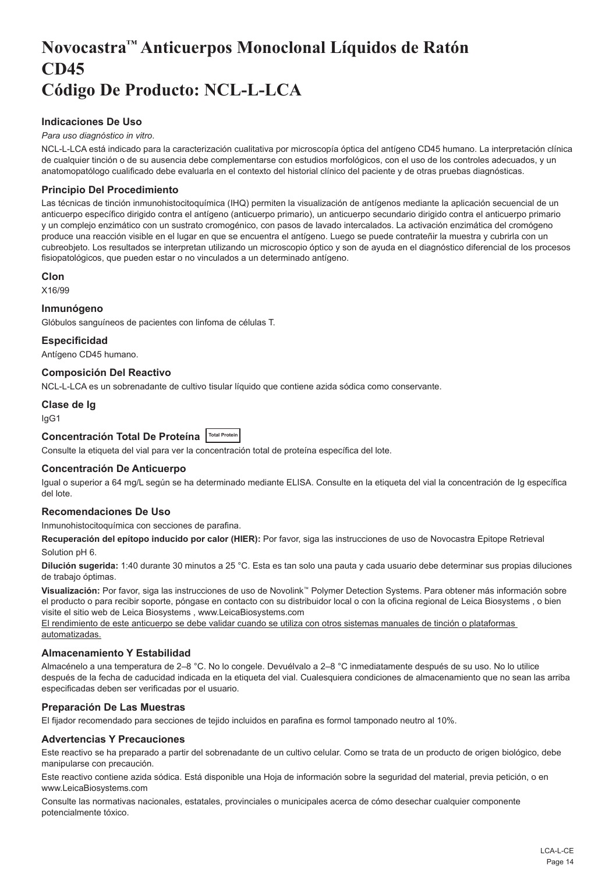## <span id="page-14-0"></span>**Novocastra™ Anticuerpos Monoclonal Líquidos de Ratón CD45 Código De Producto: NCL-L-LCA**

## **Indicaciones De Uso**

#### *Para uso diagnóstico in vitro*.

NCL-L-LCA está indicado para la caracterización cualitativa por microscopía óptica del antígeno CD45 humano. La interpretación clínica de cualquier tinción o de su ausencia debe complementarse con estudios morfológicos, con el uso de los controles adecuados, y un anatomopatólogo cualificado debe evaluarla en el contexto del historial clínico del paciente y de otras pruebas diagnósticas.

## **Principio Del Procedimiento**

Las técnicas de tinción inmunohistocitoquímica (IHQ) permiten la visualización de antígenos mediante la aplicación secuencial de un anticuerpo específico dirigido contra el antígeno (anticuerpo primario), un anticuerpo secundario dirigido contra el anticuerpo primario y un complejo enzimático con un sustrato cromogénico, con pasos de lavado intercalados. La activación enzimática del cromógeno produce una reacción visible en el lugar en que se encuentra el antígeno. Luego se puede contrateñir la muestra y cubrirla con un cubreobjeto. Los resultados se interpretan utilizando un microscopio óptico y son de ayuda en el diagnóstico diferencial de los procesos fisiopatológicos, que pueden estar o no vinculados a un determinado antígeno.

#### **Clon**

X16/99

#### **Inmunógeno**

Glóbulos sanguíneos de pacientes con linfoma de células T.

#### **Especificidad**

Antígeno CD45 humano.

## **Composición Del Reactivo**

NCL-L-LCA es un sobrenadante de cultivo tisular líquido que contiene azida sódica como conservante.

#### **Clase de Ig**

IgG1

## **Concentración Total De Proteína Total Protein**

Consulte la etiqueta del vial para ver la concentración total de proteína específica del lote.

## **Concentración De Anticuerpo**

Igual o superior a 64 mg/L según se ha determinado mediante ELISA. Consulte en la etiqueta del vial la concentración de Ig específica del lote.

## **Recomendaciones De Uso**

#### Inmunohistocitoquímica con secciones de parafina.

**Recuperación del epítopo inducido por calor (HIER):** Por favor, siga las instrucciones de uso de Novocastra Epitope Retrieval Solution pH 6.

**Dilución sugerida:** 1:40 durante 30 minutos a 25 °C. Esta es tan solo una pauta y cada usuario debe determinar sus propias diluciones de trabajo óptimas.

**Visualización:** Por favor, siga las instrucciones de uso de Novolink™ Polymer Detection Systems. Para obtener más información sobre el producto o para recibir soporte, póngase en contacto con su distribuidor local o con la oficina regional de Leica Biosystems , o bien visite el sitio web de Leica Biosystems , www.LeicaBiosystems.com

El rendimiento de este anticuerpo se debe validar cuando se utiliza con otros sistemas manuales de tinción o plataformas automatizadas.

## **Almacenamiento Y Estabilidad**

Almacénelo a una temperatura de 2–8 °C. No lo congele. Devuélvalo a 2–8 °C inmediatamente después de su uso. No lo utilice después de la fecha de caducidad indicada en la etiqueta del vial. Cualesquiera condiciones de almacenamiento que no sean las arriba especificadas deben ser verificadas por el usuario.

## **Preparación De Las Muestras**

El fijador recomendado para secciones de tejido incluidos en parafina es formol tamponado neutro al 10%.

## **Advertencias Y Precauciones**

Este reactivo se ha preparado a partir del sobrenadante de un cultivo celular. Como se trata de un producto de origen biológico, debe manipularse con precaución.

Este reactivo contiene azida sódica. Está disponible una Hoja de información sobre la seguridad del material, previa petición, o en www.LeicaBiosystems.com

Consulte las normativas nacionales, estatales, provinciales o municipales acerca de cómo desechar cualquier componente potencialmente tóxico.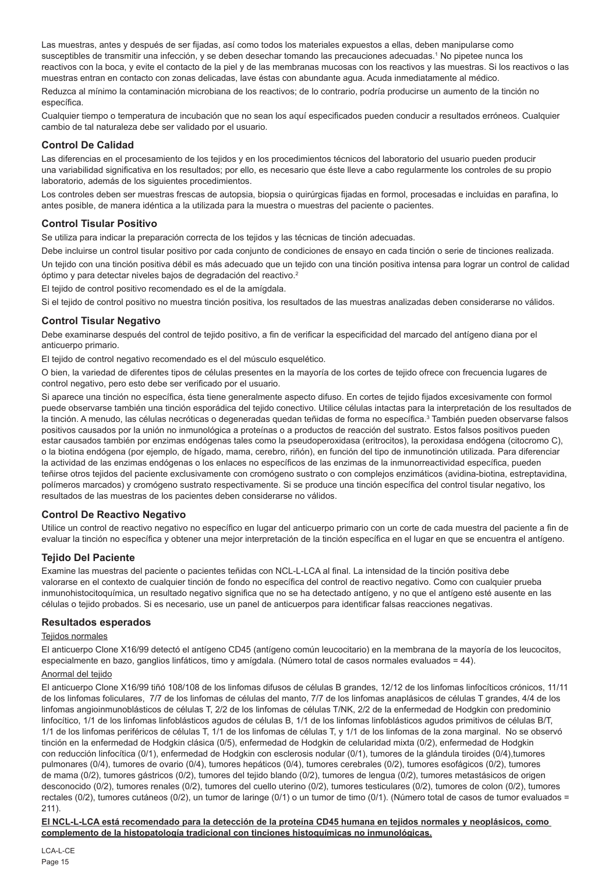Las muestras, antes y después de ser fijadas, así como todos los materiales expuestos a ellas, deben manipularse como susceptibles de transmitir una infección, y se deben desechar tomando las precauciones adecuadas.<sup>1</sup> No pipetee nunca los reactivos con la boca, y evite el contacto de la piel y de las membranas mucosas con los reactivos y las muestras. Si los reactivos o las muestras entran en contacto con zonas delicadas, lave éstas con abundante agua. Acuda inmediatamente al médico. Reduzca al mínimo la contaminación microbiana de los reactivos; de lo contrario, podría producirse un aumento de la tinción no específica.

Cualquier tiempo o temperatura de incubación que no sean los aquí especificados pueden conducir a resultados erróneos. Cualquier cambio de tal naturaleza debe ser validado por el usuario.

#### **Control De Calidad**

Las diferencias en el procesamiento de los tejidos y en los procedimientos técnicos del laboratorio del usuario pueden producir una variabilidad significativa en los resultados; por ello, es necesario que éste lleve a cabo regularmente los controles de su propio laboratorio, además de los siguientes procedimientos.

Los controles deben ser muestras frescas de autopsia, biopsia o quirúrgicas fijadas en formol, procesadas e incluidas en parafina, lo antes posible, de manera idéntica a la utilizada para la muestra o muestras del paciente o pacientes.

## **Control Tisular Positivo**

Se utiliza para indicar la preparación correcta de los tejidos y las técnicas de tinción adecuadas.

Debe incluirse un control tisular positivo por cada conjunto de condiciones de ensayo en cada tinción o serie de tinciones realizada. Un tejido con una tinción positiva débil es más adecuado que un tejido con una tinción positiva intensa para lograr un control de calidad óptimo y para detectar niveles bajos de degradación del reactivo.<sup>2</sup>

El tejido de control positivo recomendado es el de la amígdala.

Si el tejido de control positivo no muestra tinción positiva, los resultados de las muestras analizadas deben considerarse no válidos.

## **Control Tisular Negativo**

Debe examinarse después del control de tejido positivo, a fin de verificar la especificidad del marcado del antígeno diana por el anticuerpo primario.

El tejido de control negativo recomendado es el del músculo esquelético.

O bien, la variedad de diferentes tipos de células presentes en la mayoría de los cortes de tejido ofrece con frecuencia lugares de control negativo, pero esto debe ser verificado por el usuario.

Si aparece una tinción no específica, ésta tiene generalmente aspecto difuso. En cortes de tejido fijados excesivamente con formol puede observarse también una tinción esporádica del tejido conectivo. Utilice células intactas para la interpretación de los resultados de la tinción. A menudo, las células necróticas o degeneradas quedan teñidas de forma no específica.<sup>3</sup> También pueden observarse falsos positivos causados por la unión no inmunológica a proteínas o a productos de reacción del sustrato. Estos falsos positivos pueden estar causados también por enzimas endógenas tales como la pseudoperoxidasa (eritrocitos), la peroxidasa endógena (citocromo C), o la biotina endógena (por ejemplo, de hígado, mama, cerebro, riñón), en función del tipo de inmunotinción utilizada. Para diferenciar la actividad de las enzimas endógenas o los enlaces no específicos de las enzimas de la inmunorreactividad específica, pueden teñirse otros tejidos del paciente exclusivamente con cromógeno sustrato o con complejos enzimáticos (avidina-biotina, estreptavidina, polímeros marcados) y cromógeno sustrato respectivamente. Si se produce una tinción específica del control tisular negativo, los resultados de las muestras de los pacientes deben considerarse no válidos.

#### **Control De Reactivo Negativo**

Utilice un control de reactivo negativo no específico en lugar del anticuerpo primario con un corte de cada muestra del paciente a fin de evaluar la tinción no específica y obtener una mejor interpretación de la tinción específica en el lugar en que se encuentra el antígeno.

## **Tejido Del Paciente**

Examine las muestras del paciente o pacientes teñidas con NCL-L-LCA al final. La intensidad de la tinción positiva debe valorarse en el contexto de cualquier tinción de fondo no específica del control de reactivo negativo. Como con cualquier prueba inmunohistocitoquímica, un resultado negativo significa que no se ha detectado antígeno, y no que el antígeno esté ausente en las células o tejido probados. Si es necesario, use un panel de anticuerpos para identificar falsas reacciones negativas.

#### **Resultados esperados**

#### Teiidos normales

El anticuerpo Clone X16/99 detectó el antígeno CD45 (antígeno común leucocitario) en la membrana de la mayoría de los leucocitos, especialmente en bazo, ganglios linfáticos, timo y amígdala. (Número total de casos normales evaluados = 44).

#### Anormal del tejido

El anticuerpo Clone X16/99 tiñó 108/108 de los linfomas difusos de células B grandes, 12/12 de los linfomas linfocíticos crónicos, 11/11 de los linfomas foliculares, 7/7 de los linfomas de células del manto, 7/7 de los linfomas anaplásicos de células T grandes, 4/4 de los linfomas angioinmunoblásticos de células T, 2/2 de los linfomas de células T/NK, 2/2 de la enfermedad de Hodgkin con predominio linfocítico, 1/1 de los linfomas linfoblásticos agudos de células B, 1/1 de los linfomas linfoblásticos agudos primitivos de células B/T, 1/1 de los linfomas periféricos de células T, 1/1 de los linfomas de células T, y 1/1 de los linfomas de la zona marginal. No se observó tinción en la enfermedad de Hodgkin clásica (0/5), enfermedad de Hodgkin de celularidad mixta (0/2), enfermedad de Hodgkin con reducción linfocítica (0/1), enfermedad de Hodgkin con esclerosis nodular (0/1), tumores de la glándula tiroides (0/4),tumores pulmonares (0/4), tumores de ovario (0/4), tumores hepáticos (0/4), tumores cerebrales (0/2), tumores esofágicos (0/2), tumores de mama (0/2), tumores gástricos (0/2), tumores del tejido blando (0/2), tumores de lengua (0/2), tumores metastásicos de origen desconocido (0/2), tumores renales (0/2), tumores del cuello uterino (0/2), tumores testiculares (0/2), tumores de colon (0/2), tumores rectales (0/2), tumores cutáneos (0/2), un tumor de laringe (0/1) o un tumor de timo (0/1). (Número total de casos de tumor evaluados = 211).

**El NCL-L-LCA está recomendado para la detección de la proteína CD45 humana en tejidos normales y neoplásicos, como complemento de la histopatología tradicional con tinciones histoquímicas no inmunológicas.**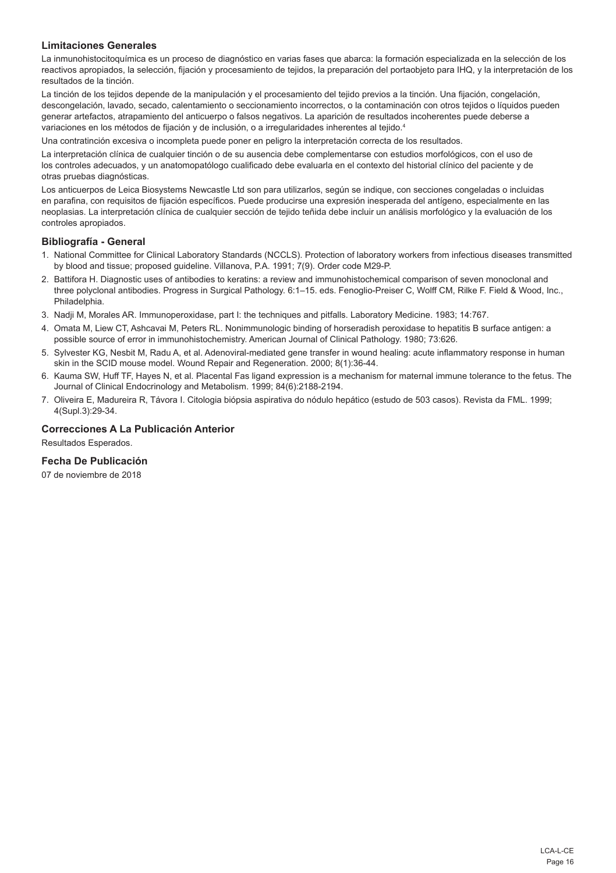## **Limitaciones Generales**

La inmunohistocitoquímica es un proceso de diagnóstico en varias fases que abarca: la formación especializada en la selección de los reactivos apropiados, la selección, fijación y procesamiento de tejidos, la preparación del portaobjeto para IHQ, y la interpretación de los resultados de la tinción.

La tinción de los tejidos depende de la manipulación y el procesamiento del tejido previos a la tinción. Una fijación, congelación, descongelación, lavado, secado, calentamiento o seccionamiento incorrectos, o la contaminación con otros tejidos o líquidos pueden generar artefactos, atrapamiento del anticuerpo o falsos negativos. La aparición de resultados incoherentes puede deberse a variaciones en los métodos de fijación y de inclusión, o a irregularidades inherentes al tejido.<sup>4</sup>

Una contratinción excesiva o incompleta puede poner en peligro la interpretación correcta de los resultados.

La interpretación clínica de cualquier tinción o de su ausencia debe complementarse con estudios morfológicos, con el uso de los controles adecuados, y un anatomopatólogo cualificado debe evaluarla en el contexto del historial clínico del paciente y de otras pruebas diagnósticas.

Los anticuerpos de Leica Biosystems Newcastle Ltd son para utilizarlos, según se indique, con secciones congeladas o incluidas en parafina, con requisitos de fijación específicos. Puede producirse una expresión inesperada del antígeno, especialmente en las neoplasias. La interpretación clínica de cualquier sección de tejido teñida debe incluir un análisis morfológico y la evaluación de los controles apropiados.

### **Bibliografía - General**

- 1. National Committee for Clinical Laboratory Standards (NCCLS). Protection of laboratory workers from infectious diseases transmitted by blood and tissue; proposed guideline. Villanova, P.A. 1991; 7(9). Order code M29-P.
- 2. Battifora H. Diagnostic uses of antibodies to keratins: a review and immunohistochemical comparison of seven monoclonal and three polyclonal antibodies. Progress in Surgical Pathology. 6:1–15. eds. Fenoglio-Preiser C, Wolff CM, Rilke F. Field & Wood, Inc., Philadelphia.
- 3. Nadji M, Morales AR. Immunoperoxidase, part I: the techniques and pitfalls. Laboratory Medicine. 1983; 14:767.
- 4. Omata M, Liew CT, Ashcavai M, Peters RL. Nonimmunologic binding of horseradish peroxidase to hepatitis B surface antigen: a possible source of error in immunohistochemistry. American Journal of Clinical Pathology. 1980; 73:626.
- 5. Sylvester KG, Nesbit M, Radu A, et al. Adenoviral-mediated gene transfer in wound healing: acute inflammatory response in human skin in the SCID mouse model. Wound Repair and Regeneration. 2000; 8(1):36-44.
- 6. Kauma SW, Huff TF, Hayes N, et al. Placental Fas ligand expression is a mechanism for maternal immune tolerance to the fetus. The Journal of Clinical Endocrinology and Metabolism. 1999; 84(6):2188-2194.
- 7. Oliveira E, Madureira R, Távora I. Citologia biópsia aspirativa do nódulo hepático (estudo de 503 casos). Revista da FML. 1999; 4(Supl.3):29-34.

## **Correcciones A La Publicación Anterior**

Resultados Esperados.

## **Fecha De Publicación**

07 de noviembre de 2018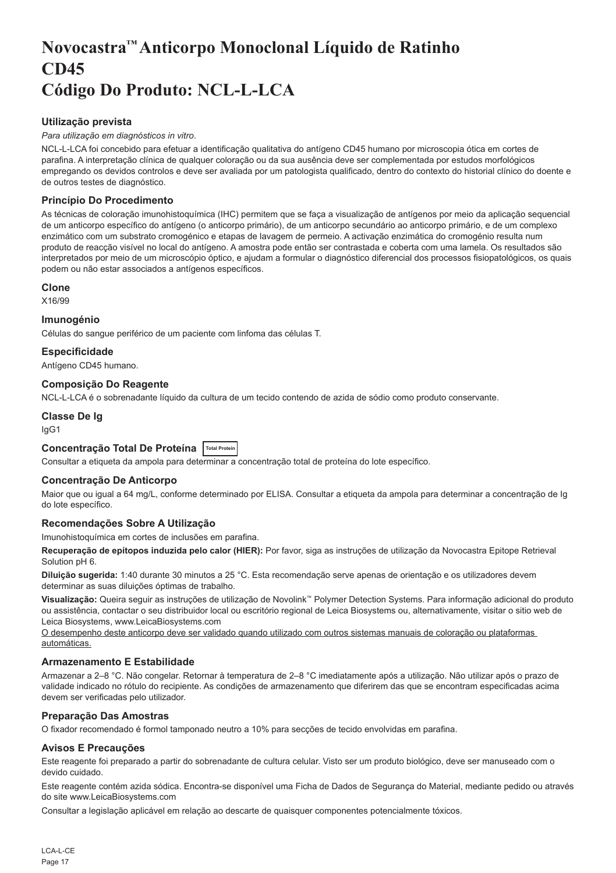## <span id="page-17-0"></span>**Novocastra™ Anticorpo Monoclonal Líquido de Ratinho CD45 Código Do Produto: NCL-L-LCA**

## **Utilização prevista**

#### *Para utilização em diagnósticos in vitro*.

NCL-L-LCA foi concebido para efetuar a identificação qualitativa do antígeno CD45 humano por microscopia ótica em cortes de parafina. A interpretação clínica de qualquer coloração ou da sua ausência deve ser complementada por estudos morfológicos empregando os devidos controlos e deve ser avaliada por um patologista qualificado, dentro do contexto do historial clínico do doente e de outros testes de diagnóstico.

## **Princípio Do Procedimento**

As técnicas de coloração imunohistoquímica (IHC) permitem que se faça a visualização de antígenos por meio da aplicação sequencial de um anticorpo específico do antígeno (o anticorpo primário), de um anticorpo secundário ao anticorpo primário, e de um complexo enzimático com um substrato cromogénico e etapas de lavagem de permeio. A activação enzimática do cromogénio resulta num produto de reacção visível no local do antígeno. A amostra pode então ser contrastada e coberta com uma lamela. Os resultados são interpretados por meio de um microscópio óptico, e ajudam a formular o diagnóstico diferencial dos processos fisiopatológicos, os quais podem ou não estar associados a antígenos específicos.

#### **Clone**

X16/99

## **Imunogénio**

Células do sangue periférico de um paciente com linfoma das células T.

## **Especificidade**

Antígeno CD45 humano.

## **Composição Do Reagente**

NCL-L-LCA é o sobrenadante líquido da cultura de um tecido contendo de azida de sódio como produto conservante.

## **Classe De Ig**

IgG1

## **Concentração Total De Proteína Total Protein**

Consultar a etiqueta da ampola para determinar a concentração total de proteína do lote específico.

## **Concentração De Anticorpo**

Maior que ou igual a 64 mg/L, conforme determinado por ELISA. Consultar a etiqueta da ampola para determinar a concentração de Ig do lote específico.

## **Recomendações Sobre A Utilização**

Imunohistoquímica em cortes de inclusões em parafina.

**Recuperação de epítopos induzida pelo calor (HIER):** Por favor, siga as instruções de utilização da Novocastra Epitope Retrieval Solution pH 6.

**Diluição sugerida:** 1:40 durante 30 minutos a 25 °C. Esta recomendação serve apenas de orientação e os utilizadores devem determinar as suas diluições óptimas de trabalho.

**Visualização:** Queira seguir as instruções de utilização de Novolink™ Polymer Detection Systems. Para informação adicional do produto ou assistência, contactar o seu distribuidor local ou escritório regional de Leica Biosystems ou, alternativamente, visitar o sitio web de Leica Biosystems, www.LeicaBiosystems.com

O desempenho deste anticorpo deve ser validado quando utilizado com outros sistemas manuais de coloração ou plataformas automáticas.

## **Armazenamento E Estabilidade**

Armazenar a 2–8 °C. Não congelar. Retornar à temperatura de 2–8 °C imediatamente após a utilização. Não utilizar após o prazo de validade indicado no rótulo do recipiente. As condições de armazenamento que diferirem das que se encontram especificadas acima devem ser verificadas pelo utilizador.

## **Preparação Das Amostras**

O fixador recomendado é formol tamponado neutro a 10% para secções de tecido envolvidas em parafina.

## **Avisos E Precauções**

Este reagente foi preparado a partir do sobrenadante de cultura celular. Visto ser um produto biológico, deve ser manuseado com o devido cuidado.

Este reagente contém azida sódica. Encontra-se disponível uma Ficha de Dados de Segurança do Material, mediante pedido ou através do site www.LeicaBiosystems.com

Consultar a legislação aplicável em relação ao descarte de quaisquer componentes potencialmente tóxicos.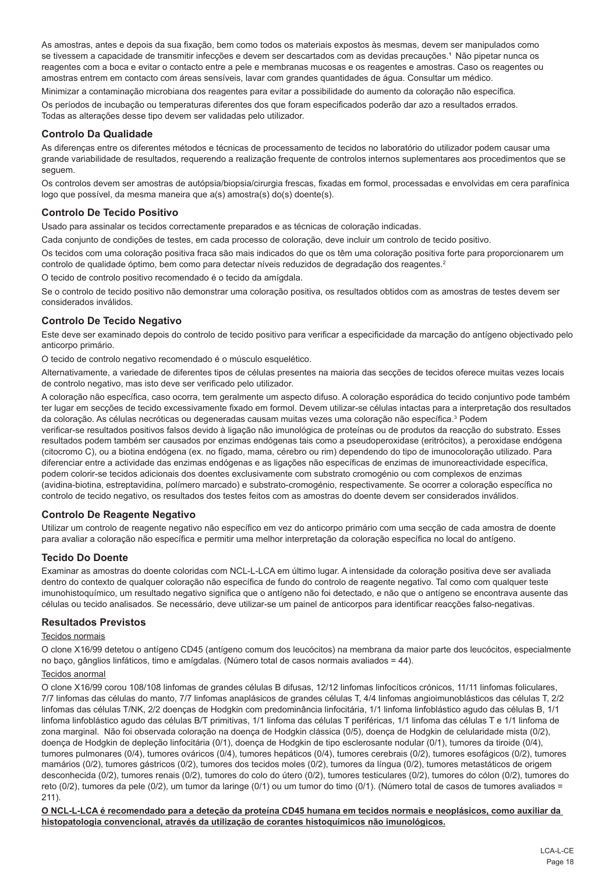As amostras, antes e depois da sua fixação, bem como todos os materiais expostos às mesmas, devem ser manipulados como se tivessem a capacidade de transmitir infecções e devem ser descartados com as devidas precauções.<sup>1</sup> Não pipetar nunca os reagentes com a boca e evitar o contacto entre a pele e membranas mucosas e os reagentes e amostras. Caso os reagentes ou amostras entrem em contacto com áreas sensíveis, lavar com grandes quantidades de água. Consultar um médico.

Minimizar a contaminação microbiana dos reagentes para evitar a possibilidade do aumento da coloração não específica. Os períodos de incubação ou temperaturas diferentes dos que foram especificados poderão dar azo a resultados errados. Todas as alterações desse tipo devem ser validadas pelo utilizador.

## **Controlo Da Qualidade**

As diferenças entre os diferentes métodos e técnicas de processamento de tecidos no laboratório do utilizador podem causar uma grande variabilidade de resultados, requerendo a realização frequente de controlos internos suplementares aos procedimentos que se seguem.

Os controlos devem ser amostras de autópsia/biopsia/cirurgia frescas, fixadas em formol, processadas e envolvidas em cera parafínica logo que possível, da mesma maneira que a(s) amostra(s) do(s) doente(s).

## **Controlo De Tecido Positivo**

Usado para assinalar os tecidos correctamente preparados e as técnicas de coloração indicadas.

Cada conjunto de condições de testes, em cada processo de coloração, deve incluir um controlo de tecido positivo.

Os tecidos com uma coloração positiva fraca são mais indicados do que os têm uma coloração positiva forte para proporcionarem um controlo de qualidade óptimo, bem como para detectar níveis reduzidos de degradação dos reagentes.<sup>2</sup>

O tecido de controlo positivo recomendado é o tecido da amígdala.

Se o controlo de tecido positivo não demonstrar uma coloração positiva, os resultados obtidos com as amostras de testes devem ser considerados inválidos.

## **Controlo De Tecido Negativo**

Este deve ser examinado depois do controlo de tecido positivo para verificar a especificidade da marcação do antígeno objectivado pelo anticorpo primário.

O tecido de controlo negativo recomendado é o músculo esquelético.

Alternativamente, a variedade de diferentes tipos de células presentes na maioria das secções de tecidos oferece muitas vezes locais de controlo negativo, mas isto deve ser verificado pelo utilizador.

A coloração não específica, caso ocorra, tem geralmente um aspecto difuso. A coloração esporádica do tecido conjuntivo pode também ter lugar em secções de tecido excessivamente fixado em formol. Devem utilizar-se células intactas para a interpretação dos resultados da coloração. As células necróticas ou degeneradas causam muitas vezes uma coloração não específica.<sup>3</sup> Podem

verificar-se resultados positivos falsos devido à ligação não imunológica de proteínas ou de produtos da reacção do substrato. Esses resultados podem também ser causados por enzimas endógenas tais como a pseudoperoxidase (eritrócitos), a peroxidase endógena (citocromo C), ou a biotina endógena (ex. no fígado, mama, cérebro ou rim) dependendo do tipo de imunocoloração utilizado. Para diferenciar entre a actividade das enzimas endógenas e as ligações não específicas de enzimas de imunoreactividade específica, podem colorir-se tecidos adicionais dos doentes exclusivamente com substrato cromogénio ou com complexos de enzimas (avidina-biotina, estreptavidina, polímero marcado) e substrato-cromogénio, respectivamente. Se ocorrer a coloração específica no controlo de tecido negativo, os resultados dos testes feitos com as amostras do doente devem ser considerados inválidos.

## **Controlo De Reagente Negativo**

Utilizar um controlo de reagente negativo não específico em vez do anticorpo primário com uma secção de cada amostra de doente para avaliar a coloração não específica e permitir uma melhor interpretação da coloração específica no local do antígeno.

## **Tecido Do Doente**

Examinar as amostras do doente coloridas com NCL-L-LCA em último lugar. A intensidade da coloração positiva deve ser avaliada dentro do contexto de qualquer coloração não específica de fundo do controlo de reagente negativo. Tal como com qualquer teste imunohistoquímico, um resultado negativo significa que o antígeno não foi detectado, e não que o antígeno se encontrava ausente das células ou tecido analisados. Se necessário, deve utilizar-se um painel de anticorpos para identificar reacções falso-negativas.

## **Resultados Previstos**

#### Tecidos normais

O clone X16/99 detetou o antígeno CD45 (antígeno comum dos leucócitos) na membrana da maior parte dos leucócitos, especialmente no baço, gânglios linfáticos, timo e amígdalas. (Número total de casos normais avaliados = 44).

#### Tecidos anormal

O clone X16/99 corou 108/108 linfomas de grandes células B difusas, 12/12 linfomas linfocíticos crónicos, 11/11 linfomas foliculares, 7/7 linfomas das células do manto, 7/7 linfomas anaplásicos de grandes células T, 4/4 linfomas angioimunoblásticos das células T, 2/2 linfomas das células T/NK, 2/2 doenças de Hodgkin com predominância linfocitária, 1/1 linfoma linfoblástico agudo das células B, 1/1 linfoma linfoblástico agudo das células B/T primitivas, 1/1 linfoma das células T periféricas, 1/1 linfoma das células T e 1/1 linfoma de zona marginal. Não foi observada coloração na doença de Hodgkin clássica (0/5), doença de Hodgkin de celularidade mista (0/2), doença de Hodgkin de depleção linfocitária (0/1), doença de Hodgkin de tipo esclerosante nodular (0/1), tumores da tiroide (0/4), tumores pulmonares (0/4), tumores ováricos (0/4), tumores hepáticos (0/4), tumores cerebrais (0/2), tumores esofágicos (0/2), tumores mamários (0/2), tumores gástricos (0/2), tumores dos tecidos moles (0/2), tumores da língua (0/2), tumores metastáticos de origem desconhecida (0/2), tumores renais (0/2), tumores do colo do útero (0/2), tumores testiculares (0/2), tumores do cólon (0/2), tumores do reto (0/2), tumores da pele (0/2), um tumor da laringe (0/1) ou um tumor do timo (0/1). (Número total de casos de tumores avaliados = 211).

**O NCL-L-LCA é recomendado para a deteção da proteína CD45 humana em tecidos normais e neoplásicos, como auxiliar da histopatologia convencional, através da utilização de corantes histoquímicos não imunológicos.**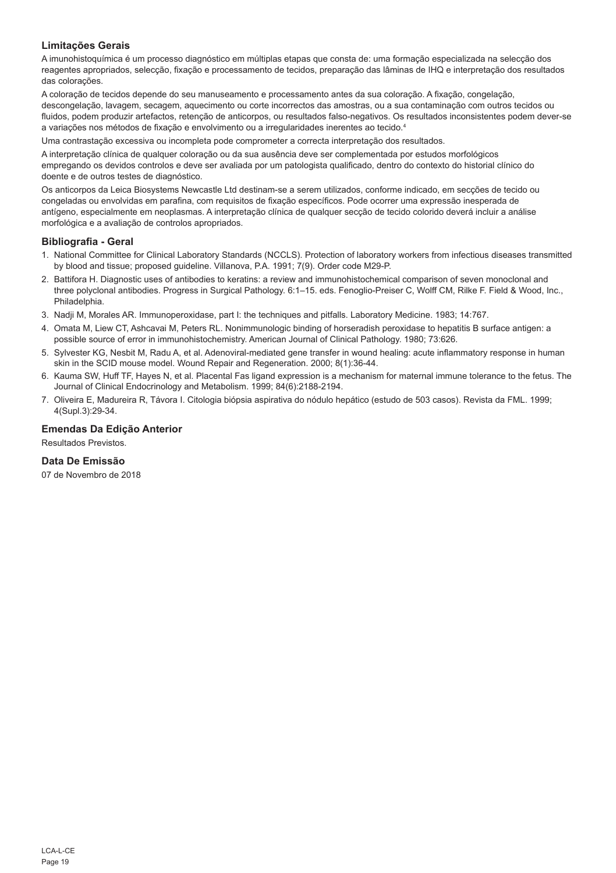## **Limitações Gerais**

A imunohistoquímica é um processo diagnóstico em múltiplas etapas que consta de: uma formação especializada na selecção dos reagentes apropriados, selecção, fixação e processamento de tecidos, preparação das lâminas de IHQ e interpretação dos resultados das colorações.

A coloração de tecidos depende do seu manuseamento e processamento antes da sua coloração. A fixação, congelação, descongelação, lavagem, secagem, aquecimento ou corte incorrectos das amostras, ou a sua contaminação com outros tecidos ou fluidos, podem produzir artefactos, retenção de anticorpos, ou resultados falso-negativos. Os resultados inconsistentes podem dever-se a variações nos métodos de fixação e envolvimento ou a irregularidades inerentes ao tecido.4

Uma contrastação excessiva ou incompleta pode comprometer a correcta interpretação dos resultados.

A interpretação clínica de qualquer coloração ou da sua ausência deve ser complementada por estudos morfológicos empregando os devidos controlos e deve ser avaliada por um patologista qualificado, dentro do contexto do historial clínico do doente e de outros testes de diagnóstico.

Os anticorpos da Leica Biosystems Newcastle Ltd destinam-se a serem utilizados, conforme indicado, em secções de tecido ou congeladas ou envolvidas em parafina, com requisitos de fixação específicos. Pode ocorrer uma expressão inesperada de antígeno, especialmente em neoplasmas. A interpretação clínica de qualquer secção de tecido colorido deverá incluir a análise morfológica e a avaliação de controlos apropriados.

## **Bibliografia - Geral**

- 1. National Committee for Clinical Laboratory Standards (NCCLS). Protection of laboratory workers from infectious diseases transmitted by blood and tissue; proposed guideline. Villanova, P.A. 1991; 7(9). Order code M29-P.
- 2. Battifora H. Diagnostic uses of antibodies to keratins: a review and immunohistochemical comparison of seven monoclonal and three polyclonal antibodies. Progress in Surgical Pathology. 6:1–15. eds. Fenoglio-Preiser C, Wolff CM, Rilke F. Field & Wood, Inc., Philadelphia.
- 3. Nadji M, Morales AR. Immunoperoxidase, part I: the techniques and pitfalls. Laboratory Medicine. 1983; 14:767.
- 4. Omata M, Liew CT, Ashcavai M, Peters RL. Nonimmunologic binding of horseradish peroxidase to hepatitis B surface antigen: a possible source of error in immunohistochemistry. American Journal of Clinical Pathology. 1980; 73:626.
- 5. Sylvester KG, Nesbit M, Radu A, et al. Adenoviral-mediated gene transfer in wound healing: acute inflammatory response in human skin in the SCID mouse model. Wound Repair and Regeneration. 2000; 8(1):36-44.
- 6. Kauma SW, Huff TF, Hayes N, et al. Placental Fas ligand expression is a mechanism for maternal immune tolerance to the fetus. The Journal of Clinical Endocrinology and Metabolism. 1999; 84(6):2188-2194.
- 7. Oliveira E, Madureira R, Távora I. Citologia biópsia aspirativa do nódulo hepático (estudo de 503 casos). Revista da FML. 1999; 4(Supl.3):29-34.

## **Emendas Da Edição Anterior**

Resultados Previstos.

## **Data De Emissão**

07 de Novembro de 2018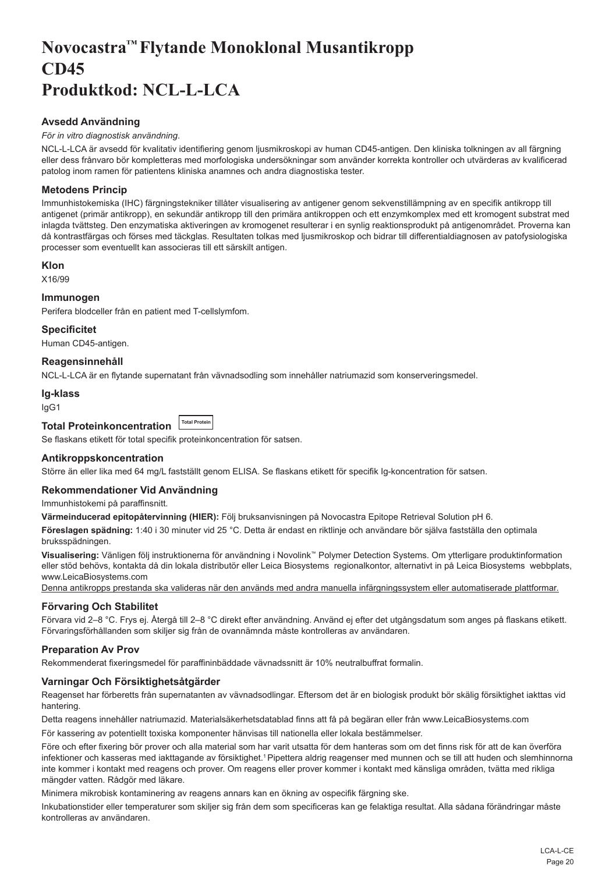## <span id="page-20-0"></span>**Novocastra™ Flytande Monoklonal Musantikropp CD45 Produktkod: NCL-L-LCA**

## **Avsedd Användning**

## *För in vitro diagnostisk användning*.

NCL-L-LCA är avsedd för kvalitativ identifiering genom ljusmikroskopi av human CD45-antigen. Den kliniska tolkningen av all färgning eller dess frånvaro bör kompletteras med morfologiska undersökningar som använder korrekta kontroller och utvärderas av kvalificerad patolog inom ramen för patientens kliniska anamnes och andra diagnostiska tester.

## **Metodens Princip**

Immunhistokemiska (IHC) färgningstekniker tillåter visualisering av antigener genom sekvenstillämpning av en specifik antikropp till antigenet (primär antikropp), en sekundär antikropp till den primära antikroppen och ett enzymkomplex med ett kromogent substrat med inlagda tvättsteg. Den enzymatiska aktiveringen av kromogenet resulterar i en synlig reaktionsprodukt på antigenområdet. Proverna kan då kontrastfärgas och förses med täckglas. Resultaten tolkas med ljusmikroskop och bidrar till differentialdiagnosen av patofysiologiska processer som eventuellt kan associeras till ett särskilt antigen.

## **Klon**

X16/99

## **Immunogen**

Perifera blodceller från en patient med T-cellslymfom.

**Specificitet**

Human CD45-antigen.

## **Reagensinnehåll**

NCL-L-LCA är en flytande supernatant från vävnadsodling som innehåller natriumazid som konserveringsmedel.

#### **Ig-klass**

IgG1

#### **Total Proteinkoncentration Total Protein**

Se flaskans etikett för total specifik proteinkoncentration för satsen.

## **Antikroppskoncentration**

Större än eller lika med 64 mg/L fastställt genom ELISA. Se flaskans etikett för specifik Ig-koncentration för satsen.

#### **Rekommendationer Vid Användning**

Immunhistokemi på paraffinsnitt.

**Värmeinducerad epitopåtervinning (HIER):** Följ bruksanvisningen på Novocastra Epitope Retrieval Solution pH 6.

**Föreslagen spädning:** 1:40 i 30 minuter vid 25 °C. Detta är endast en riktlinje och användare bör själva fastställa den optimala bruksspädningen.

**Visualisering:** Vänligen följ instruktionerna för användning i Novolink™ Polymer Detection Systems. Om ytterligare produktinformation eller stöd behövs, kontakta då din lokala distributör eller Leica Biosystems regionalkontor, alternativt in på Leica Biosystems webbplats, www.LeicaBiosystems.com

Denna antikropps prestanda ska valideras när den används med andra manuella infärgningssystem eller automatiserade plattformar.

## **Förvaring Och Stabilitet**

Förvara vid 2–8 °C. Frys ej. Återgå till 2–8 °C direkt efter användning. Använd ej efter det utgångsdatum som anges på flaskans etikett. Förvaringsförhållanden som skiljer sig från de ovannämnda måste kontrolleras av användaren.

## **Preparation Av Prov**

Rekommenderat fixeringsmedel för paraffininbäddade vävnadssnitt är 10% neutralbuffrat formalin.

## **Varningar Och Försiktighetsåtgärder**

Reagenset har förberetts från supernatanten av vävnadsodlingar. Eftersom det är en biologisk produkt bör skälig försiktighet iakttas vid hantering.

Detta reagens innehåller natriumazid. Materialsäkerhetsdatablad finns att få på begäran eller från www.LeicaBiosystems.com

För kassering av potentiellt toxiska komponenter hänvisas till nationella eller lokala bestämmelser.

Före och efter fixering bör prover och alla material som har varit utsatta för dem hanteras som om det finns risk för att de kan överföra infektioner och kasseras med iakttagande av försiktighet.<sup>1</sup> Pipettera aldrig reagenser med munnen och se till att huden och slemhinnorna inte kommer i kontakt med reagens och prover. Om reagens eller prover kommer i kontakt med känsliga områden, tvätta med rikliga mängder vatten. Rådgör med läkare.

Minimera mikrobisk kontaminering av reagens annars kan en ökning av ospecifik färgning ske.

Inkubationstider eller temperaturer som skiljer sig från dem som specificeras kan ge felaktiga resultat. Alla sådana förändringar måste kontrolleras av användaren.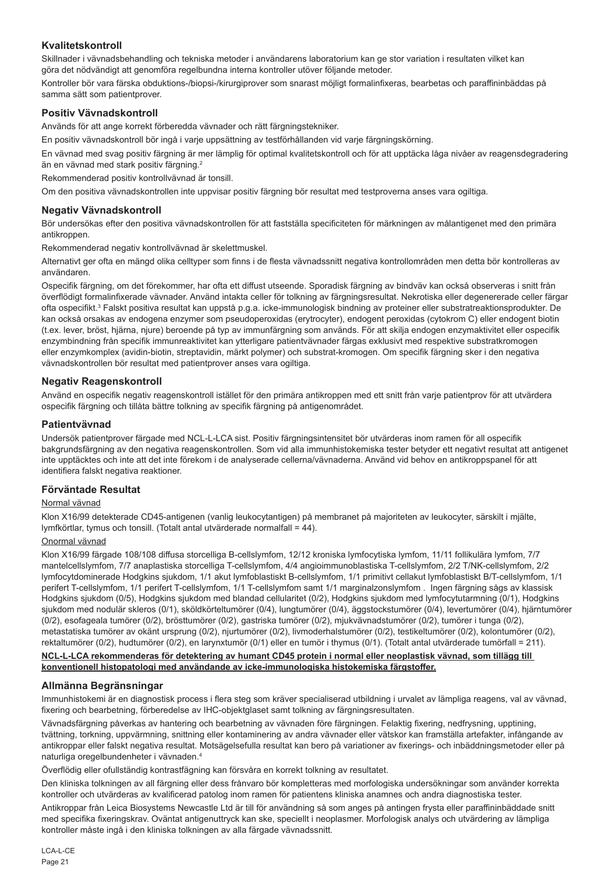## **Kvalitetskontroll**

Skillnader i vävnadsbehandling och tekniska metoder i användarens laboratorium kan ge stor variation i resultaten vilket kan göra det nödvändigt att genomföra regelbundna interna kontroller utöver följande metoder.

Kontroller bör vara färska obduktions-/biopsi-/kirurgiprover som snarast möjligt formalinfixeras, bearbetas och paraffininbäddas på samma sätt som patientprover.

## **Positiv Vävnadskontroll**

Används för att ange korrekt förberedda vävnader och rätt färgningstekniker.

En positiv vävnadskontroll bör ingå i varje uppsättning av testförhållanden vid varje färgningskörning.

En vävnad med svag positiv färgning är mer lämplig för optimal kvalitetskontroll och för att upptäcka låga nivåer av reagensdegradering än en vävnad med stark positiv färgning.<sup>2</sup>

Rekommenderad positiv kontrollvävnad är tonsill.

Om den positiva vävnadskontrollen inte uppvisar positiv färgning bör resultat med testproverna anses vara ogiltiga.

### **Negativ Vävnadskontroll**

Bör undersökas efter den positiva vävnadskontrollen för att fastställa specificiteten för märkningen av målantigenet med den primära antikroppen.

Rekommenderad negativ kontrollvävnad är skelettmuskel.

Alternativt ger ofta en mängd olika celltyper som finns i de flesta vävnadssnitt negativa kontrollområden men detta bör kontrolleras av användaren.

Ospecifik färgning, om det förekommer, har ofta ett diffust utseende. Sporadisk färgning av bindväv kan också observeras i snitt från överflödigt formalinfixerade vävnader. Använd intakta celler för tolkning av färgningsresultat. Nekrotiska eller degenererade celler färgar ofta ospecifikt.3 Falskt positiva resultat kan uppstå p.g.a. icke-immunologisk bindning av proteiner eller substratreaktionsprodukter. De kan också orsakas av endogena enzymer som pseudoperoxidas (erytrocyter), endogent peroxidas (cytokrom C) eller endogent biotin (t.ex. lever, bröst, hjärna, njure) beroende på typ av immunfärgning som används. För att skilja endogen enzymaktivitet eller ospecifik enzymbindning från specifik immunreaktivitet kan ytterligare patientvävnader färgas exklusivt med respektive substratkromogen eller enzymkomplex (avidin-biotin, streptavidin, märkt polymer) och substrat-kromogen. Om specifik färgning sker i den negativa vävnadskontrollen bör resultat med patientprover anses vara ogiltiga.

## **Negativ Reagenskontroll**

Använd en ospecifik negativ reagenskontroll istället för den primära antikroppen med ett snitt från varje patientprov för att utvärdera ospecifik färgning och tillåta bättre tolkning av specifik färgning på antigenområdet.

#### **Patientvävnad**

Undersök patientprover färgade med NCL-L-LCA sist. Positiv färgningsintensitet bör utvärderas inom ramen för all ospecifik bakgrundsfärgning av den negativa reagenskontrollen. Som vid alla immunhistokemiska tester betyder ett negativt resultat att antigenet inte upptäcktes och inte att det inte förekom i de analyserade cellerna/vävnaderna. Använd vid behov en antikroppspanel för att identifiera falskt negativa reaktioner.

#### **Förväntade Resultat**

#### Normal vävnad

Klon X16/99 detekterade CD45-antigenen (vanlig leukocytantigen) på membranet på majoriteten av leukocyter, särskilt i mjälte, lymfkörtlar, tymus och tonsill. (Totalt antal utvärderade normalfall = 44).

## Onormal vävnad

Klon X16/99 färgade 108/108 diffusa storcelliga B-cellslymfom, 12/12 kroniska lymfocytiska lymfom, 11/11 follikulära lymfom, 7/7 mantelcellslymfom, 7/7 anaplastiska storcelliga T-cellslymfom, 4/4 angioimmunoblastiska T-cellslymfom, 2/2 T/NK-cellslymfom, 2/2 lymfocytdominerade Hodgkins sjukdom, 1/1 akut lymfoblastiskt B-cellslymfom, 1/1 primitivt cellakut lymfoblastiskt B/T-cellslymfom, 1/1 perifert T-cellslymfom, 1/1 perifert T-cellslymfom, 1/1 T-cellslymfom samt 1/1 marginalzonslymfom . Ingen färgning sågs av klassisk Hodgkins sjukdom (0/5), Hodgkins sjukdom med blandad cellularitet (0/2), Hodgkins sjukdom med lymfocytutarmning (0/1), Hodgkins sjukdom med nodulär skleros (0/1), sköldkörteltumörer (0/4), lungtumörer (0/4), äggstockstumörer (0/4), levertumörer (0/4), hjärntumörer (0/2), esofageala tumörer (0/2), brösttumörer (0/2), gastriska tumörer (0/2), mjukvävnadstumörer (0/2), tumörer i tunga (0/2), metastatiska tumörer av okänt ursprung (0/2), njurtumörer (0/2), livmoderhalstumörer (0/2), testikeltumörer (0/2), kolontumörer (0/2), rektaltumörer (0/2), hudtumörer (0/2), en larynxtumör (0/1) eller en tumör i thymus (0/1). (Totalt antal utvärderade tumörfall = 211).

#### **NCL-L-LCA rekommenderas för detektering av humant CD45 protein i normal eller neoplastisk vävnad, som tillägg till konventionell histopatologi med användande av icke-immunologiska histokemiska färgstoffer.**

## **Allmänna Begränsningar**

Immunhistokemi är en diagnostisk process i flera steg som kräver specialiserad utbildning i urvalet av lämpliga reagens, val av vävnad, fixering och bearbetning, förberedelse av IHC-objektglaset samt tolkning av färgningsresultaten.

Vävnadsfärgning påverkas av hantering och bearbetning av vävnaden före färgningen. Felaktig fixering, nedfrysning, upptining, tvättning, torkning, uppvärmning, snittning eller kontaminering av andra vävnader eller vätskor kan framställa artefakter, infångande av antikroppar eller falskt negativa resultat. Motsägelsefulla resultat kan bero på variationer av fixerings- och inbäddningsmetoder eller på naturliga oregelbundenheter i vävnaden.4

Överflödig eller ofullständig kontrastfägning kan försvåra en korrekt tolkning av resultatet.

Den kliniska tolkningen av all färgning eller dess frånvaro bör kompletteras med morfologiska undersökningar som använder korrekta kontroller och utvärderas av kvalificerad patolog inom ramen för patientens kliniska anamnes och andra diagnostiska tester.

Antikroppar från Leica Biosystems Newcastle Ltd är till för användning så som anges på antingen frysta eller paraffininbäddade snitt med specifika fixeringskrav. Oväntat antigenuttryck kan ske, speciellt i neoplasmer. Morfologisk analys och utvärdering av lämpliga kontroller måste ingå i den kliniska tolkningen av alla färgade vävnadssnitt.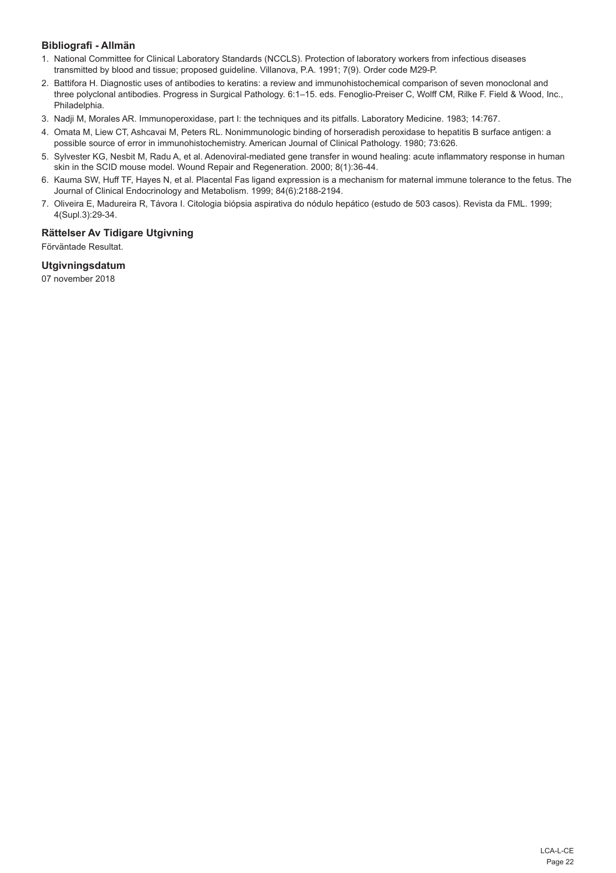## **Bibliografi - Allmän**

- 1. National Committee for Clinical Laboratory Standards (NCCLS). Protection of laboratory workers from infectious diseases transmitted by blood and tissue; proposed guideline. Villanova, P.A. 1991; 7(9). Order code M29-P.
- 2. Battifora H. Diagnostic uses of antibodies to keratins: a review and immunohistochemical comparison of seven monoclonal and three polyclonal antibodies. Progress in Surgical Pathology. 6:1–15. eds. Fenoglio-Preiser C, Wolff CM, Rilke F. Field & Wood, Inc., Philadelphia.
- 3. Nadji M, Morales AR. Immunoperoxidase, part I: the techniques and its pitfalls. Laboratory Medicine. 1983; 14:767.
- 4. Omata M, Liew CT, Ashcavai M, Peters RL. Nonimmunologic binding of horseradish peroxidase to hepatitis B surface antigen: a possible source of error in immunohistochemistry. American Journal of Clinical Pathology. 1980; 73:626.
- 5. Sylvester KG, Nesbit M, Radu A, et al. Adenoviral-mediated gene transfer in wound healing: acute inflammatory response in human skin in the SCID mouse model. Wound Repair and Regeneration. 2000; 8(1):36-44.
- 6. Kauma SW, Huff TF, Hayes N, et al. Placental Fas ligand expression is a mechanism for maternal immune tolerance to the fetus. The Journal of Clinical Endocrinology and Metabolism. 1999; 84(6):2188-2194.
- 7. Oliveira E, Madureira R, Távora I. Citologia biópsia aspirativa do nódulo hepático (estudo de 503 casos). Revista da FML. 1999; 4(Supl.3):29-34.

## **Rättelser Av Tidigare Utgivning**

Förväntade Resultat.

## **Utgivningsdatum**

07 november 2018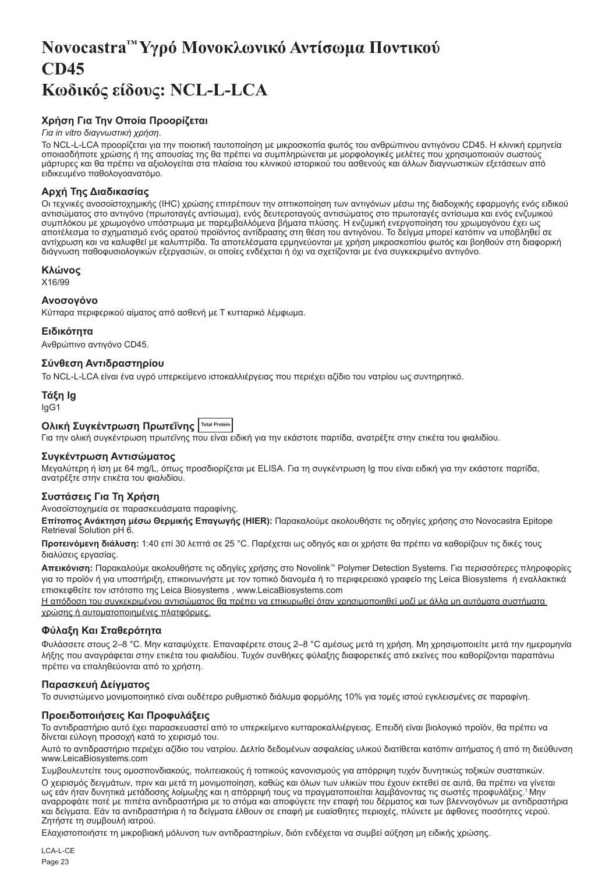## <span id="page-23-0"></span>**Novocastra™ Υγρό Μονοκλωνικό Αντίσωμα Ποντικού CD45 Κωδικός είδους: NCL-L-LCA**

## **Χρήση Για Την Οποία Προορίζεται**

#### *Για in vitro διαγνωστική χρήση*.

Το NCL-L-LCA προορίζεται για την ποιοτική ταυτοποίηση με μικροσκοπία φωτός του ανθρώπινου αντιγόνου CD45. Η κλινική ερμηνεία οποιασδήποτε χρώσης ή της απουσίας της θα πρέπει να συμπληρώνεται με μορφολογικές μελέτες που χρησιμοποιούν σωστούς μάρτυρες και θα πρέπει να αξιολογείται στα πλαίσια του κλινικού ιστορικού του ασθενούς και άλλων διαγνωστικών εξετάσεων από ειδικευμένο παθολογοανατόμο.

## **Αρχή Της Διαδικασίας**

Οι τεχνικές ανοσοϊστοχημικής (IHC) χρώσης επιτρέπουν την οπτικοποίηση των αντιγόνων μέσω της διαδοχικής εφαρμογής ενός ειδικού αντισώματος στο αντιγόνο (πρωτοταγές αντίσωμα), ενός δευτεροταγούς αντισώματος στο πρωτοταγές αντίσωμα και ενός ενζυμικού συμπλόκου με χρωμογόνο υπόστρωμα με παρεμβαλλόμενα βήματα πλύσης. Η ενζυμική ενεργοποίηση του χρωμογόνου έχει ως αποτέλεσμα το σχηματισμό ενός ορατού προϊόντος αντίδρασης στη θέση του αντιγόνου. Το δείγμα μπορεί κατόπιν να υποβληθεί σε αντίχρωση και να καλυφθεί με καλυπτρίδα. Τα αποτελέσματα ερμηνεύονται με χρήση μικροσκοπίου φωτός και βοηθούν στη διαφορική διάγνωση παθοφυσιολογικών εξεργασιών, οι οποίες ενδέχεται ή όχι να σχετίζονται με ένα συγκεκριμένο αντιγόνο.

#### **Κλώνος**

**Y16/99** 

## **Ανοσογόνο**

Κύτταρα περιφερικού αίματος από ασθενή με Τ κυτταρικό λέμφωμα.

#### **Ειδικότητα**

Ανθρώπινο αντιγόνο CD45.

## **Σύνθεση Αντιδραστηρίου**

Το NCL-L-LCA είναι ένα υγρό υπερκείμενο ιστοκαλλιέργειας που περιέχει αζίδιο του νατρίου ως συντηρητικό.

## **Τάξη Ig**

IgG1

## **Ολική Συγκέντρωση Πρωτεΐνης Total Protein**

Για την ολική συγκέντρωση πρωτεΐνης που είναι ειδική για την εκάστοτε παρτίδα, ανατρέξτε στην ετικέτα του φιαλιδίου.

## **Συγκέντρωση Αντισώματος**

Μεγαλύτερη ή ίση με 64 mg/L, όπως προσδιορίζεται με ELISA. Για τη συγκέντρωση Ig που είναι ειδική για την εκάστοτε παρτίδα, ανατρέξτε στην ετικέτα του φιαλιδίου.

## **Συστάσεις Για Τη Χρήση**

#### Ανοσοϊστοχημεία σε παρασκευάσματα παραφίνης.

**Επίτοπος Ανάκτηση μέσω Θερμικής Επαγωγής (HIER):** Παρακαλούμε ακολουθήστε τις οδηγίες χρήσης στο Novocastra Epitope Retrieval Solution pH 6.

**Προτεινόμενη διάλυση:** 1:40 επί 30 λεπτά σε 25 °C. Παρέχεται ως οδηγός και οι χρήστε θα πρέπει να καθορίζουν τις δικές τους διαλύσεις εργασίας.

**Απεικόνιση:** Παρακαλούμε ακολουθήστε τις οδηγίες χρήσης στο Novolink™ Polymer Detection Systems. Για περισσότερες πληροφορίες για το προϊόν ή για υποστήριξη, επικοινωνήστε με τον τοπικό διανομέα ή το περιφερειακό γραφείο της Leica Biosystems ή εναλλακτικά επισκεφθείτε τον ιστότοπο της Leica Biosystems , www.LeicaBiosystems.com

Η απόδοση του συγκεκριμένου αντισώματος θα πρέπει να επικυρωθεί όταν χρησιμοποιηθεί μαζί με άλλα μη αυτόματα συστήματα χρώσης ή αυτοματοποιημένες πλατφόρμες.

#### **Φύλαξη Και Σταθερότητα**

Φυλάσσετε στους 2–8 °C. Μην καταψύχετε. Επαναφέρετε στους 2–8 °C αμέσως μετά τη χρήση. Μη χρησιμοποιείτε μετά την ημερομηνία λήξης που αναγράφεται στην ετικέτα του φιαλιδίου. Τυχόν συνθήκες φύλαξης διαφορετικές από εκείνες που καθορίζονται παραπάνω πρέπει να επαληθεύονται από το χρήστη.

## **Παρασκευή Δείγματος**

Το συνιστώμενο μονιμοποιητικό είναι ουδέτερο ρυθμιστικό διάλυμα φορμόλης 10% για τομές ιστού εγκλεισμένες σε παραφίνη.

## **Προειδοποιήσεις Και Προφυλάξεις**

Το αντιδραστήριο αυτό έχει παρασκευαστεί από το υπερκείμενο κυτταροκαλλιέργειας. Επειδή είναι βιολογικό προϊόν, θα πρέπει να δίνεται εύλογη προσοχή κατά το χειρισμό του.

Αυτό το αντιδραστήριο περιέχει αζίδιο του νατρίου. Δελτίο δεδομένων ασφαλείας υλικού διατίθεται κατόπιν αιτήματος ή από τη διεύθυνση www.LeicaBiosystems.com

Συμβουλευτείτε τους ομοσπονδιακούς, πολιτειακούς ή τοπικούς κανονισμούς για απόρριψη τυχόν δυνητικώς τοξικών συστατικών. Ο χειρισμός δειγμάτων, πριν και μετά τη μονιμοποίηση, καθώς και όλων των υλικών που έχουν εκτεθεί σε αυτά, θα πρέπει να γίνεται ως εάν ήταν δυνητικά μετάδοσης λοίμωξης και η απόρριψή τους να πραγματοποιείται λαμβάνοντας τις σωστές προφυλάξεις.<sup>1</sup>Μην αναρροφάτε ποτέ με πιπέτα αντιδραστήρια με το στόμα και αποφύγετε την επαφή του δέρματος και των βλεννογόνων με αντιδραστήρια και δείγματα. Εάν τα αντιδραστήρια ή τα δείγματα έλθουν σε επαφή με ευαίσθητες περιοχές, πλύνετε με άφθονες ποσότητες νερού. Ζητήστε τη συμβουλή ιατρού.

Ελαχιστοποιήστε τη μικροβιακή μόλυνση των αντιδραστηρίων, διότι ενδέχεται να συμβεί αύξηση μη ειδικής χρώσης.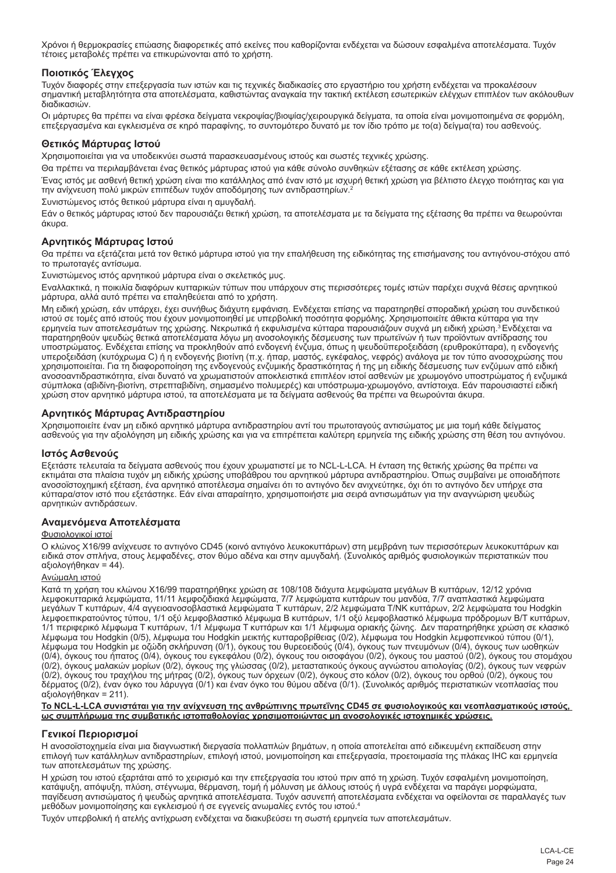Χρόνοι ή θερμοκρασίες επώασης διαφορετικές από εκείνες που καθορίζονται ενδέχεται να δώσουν εσφαλμένα αποτελέσματα. Τυχόν τέτοιες μεταβολές πρέπει να επικυρώνονται από το χρήστη.

## **Ποιοτικός Έλεγχος**

Τυχόν διαφορές στην επεξεργασία των ιστών και τις τεχνικές διαδικασίες στο εργαστήριο του χρήστη ενδέχεται να προκαλέσουν σημαντική μεταβλητότητα στα αποτελέσματα, καθιστώντας αναγκαία την τακτική εκτέλεση εσωτερικών ελέγχων επιπλέον των ακόλουθων διαδικασιών.

Οι μάρτυρες θα πρέπει να είναι φρέσκα δείγματα νεκροψίας/βιοψίας/χειρουργικά δείγματα, τα οποία είναι μονιμοποιημένα σε φορμόλη, επεξεργασμένα και εγκλεισμένα σε κηρό παραφίνης, το συντομότερο δυνατό με τον ίδιο τρόπο με το(α) δείγμα(τα) του ασθενούς.

### **Θετικός Μάρτυρας Ιστού**

Χρησιμοποιείται για να υποδεικνύει σωστά παρασκευασμένους ιστούς και σωστές τεχνικές χρώσης.

Θα πρέπει να περιλαμβάνεται ένας θετικός μάρτυρας ιστού για κάθε σύνολο συνθηκών εξέτασης σε κάθε εκτέλεση χρώσης.

Ένας ιστός με ασθενή θετική χρώση είναι πιο κατάλληλος από έναν ιστό με ισχυρή θετική χρώση για βέλτιστο έλεγχο ποιότητας και για την ανίχνευση πολύ μικρών επιπέδων τυχόν αποδόμησης των αντιδραστηρίων.<sup>2</sup>

Συνιστώμενος ιστός θετικού μάρτυρα είναι η αμυγδαλή.

Εάν ο θετικός μάρτυρας ιστού δεν παρουσιάζει θετική χρώση, τα αποτελέσματα με τα δείγματα της εξέτασης θα πρέπει να θεωρούνται άκυρα.

## **Αρνητικός Μάρτυρας Ιστού**

Θα πρέπει να εξετάζεται μετά τον θετικό μάρτυρα ιστού για την επαλήθευση της ειδικότητας της επισήμανσης του αντιγόνου-στόχου από το πρωτοταγές αντίσωμα.

Συνιστώμενος ιστός αρνητικού μάρτυρα είναι ο σκελετικός μυς.

Εναλλακτικά, η ποικιλία διαφόρων κυτταρικών τύπων που υπάρχουν στις περισσότερες τομές ιστών παρέχει συχνά θέσεις αρνητικού μάρτυρα, αλλά αυτό πρέπει να επαληθεύεται από το χρήστη.

Μη ειδική χρώση, εάν υπάρχει, έχει συνήθως διάχυτη εμφάνιση. Ενδέχεται επίσης να παρατηρηθεί σποραδική χρώση του συνδετικού ιστού σε τομές από ιστούς που έχουν μονιμοποιηθεί με υπερβολική ποσότητα φορμόλης. Χρησιμοποιείτε άθικτα κύτταρα για την<br>ερμηνεία των αποτελεσμάτων της χρώσης. Νεκρωτικά ή εκφυλισμένα κύτταρα παρουσιάζουν συχνά μη ειδική παρατηρηθούν ψευδώς θετικά αποτελέσματα λόγω μη ανοσολογικής δέσμευσης των πρωτεϊνών ή των προϊόντων αντίδρασης του υποστρώματος. Ενδέχεται επίσης να προκληθούν από ενδογενή ένζυμα, όπως η ψευδοϋπεροξειδάση (ερυθροκύτταρα), η ενδογενής<br>υπεροξειδάση (κυτόχρωμα C) ή η ενδογενής βιοτίνη (π.χ. ήπαρ, μαστός, εγκέφαλος, νεφρός) ανάλογα με το χρησιμοποιείται. Για τη διαφοροποίηση της ενδογενούς ενζυμικής δραστικότητας ή της μη ειδικής δέσμευσης των ενζύμων από ειδική ανοσοαντιδραστικότητα, είναι δυνατό να χρωματιστούν αποκλειστικά επιπλέον ιστοί ασθενών με χρωμογόνο υποστρώματος ή ενζυμικά σύμπλοκα (αβιδίνη-βιοτίνη, στρεπταβιδίνη, σημασμένο πολυμερές) και υπόστρωμα-χρωμογόνο, αντίστοιχα. Εάν παρουσιαστεί ειδική χρώση στον αρνητικό μάρτυρα ιστού, τα αποτελέσματα με τα δείγματα ασθενούς θα πρέπει να θεωρούνται άκυρα.

## **Αρνητικός Μάρτυρας Αντιδραστηρίου**

Χρησιμοποιείτε έναν μη ειδικό αρνητικό μάρτυρα αντιδραστηρίου αντί του πρωτοταγούς αντισώματος με μια τομή κάθε δείγματος ασθενούς για την αξιολόγηση μη ειδικής χρώσης και για να επιτρέπεται καλύτερη ερμηνεία της ειδικής χρώσης στη θέση του αντιγόνου.

## **Ιστός Ασθενούς**

Εξετάστε τελευταία τα δείγματα ασθενούς που έχουν χρωματιστεί με το NCL-L-LCA. Η ένταση της θετικής χρώσης θα πρέπει να εκτιμάται στα πλαίσια τυχόν μη ειδικής χρώσης υποβάθρου του αρνητικού μάρτυρα αντιδραστηρίου. Όπως συμβαίνει με οποιαδήποτε ανοσοϊστοχημική εξέταση, ένα αρνητικό αποτέλεσμα σημαίνει ότι το αντιγόνο δεν ανιχνεύτηκε, όχι ότι το αντιγόνο δεν υπήρχε στα κύτταρα/στον ιστό που εξετάστηκε. Εάν είναι απαραίτητο, χρησιμοποιήστε μια σειρά αντισωμάτων για την αναγνώριση ψευδώς αρνητικών αντιδράσεων.

## **Αναμενόμενα Αποτελέσματα**

#### Φυσιολογικοί ιστοί

Ο κλώνος X16/99 ανίχνευσε το αντιγόνο CD45 (κοινό αντιγόνο λευκοκυττάρων) στη μεμβράνη των περισσότερων λευκοκυττάρων και ειδικά στον σπλήνα, στους λεμφαδένες, στον θύμο αδένα και στην αμυγδαλή. (Συνολικός αριθμός φυσιολογικών περιστατικών που αξιολογήθηκαν = 44).

#### Ανώμαλη ιστού

Κατά τη χρήση του κλώνου X16/99 παρατηρήθηκε χρώση σε 108/108 διάχυτα λεμφώματα μεγάλων B κυττάρων, 12/12 χρόνια λεμφοκυτταρικά λεμφώματα, 11/11 λεμφοζιδιακά λεμφώματα, 7/7 λεμφώματα κυττάρων του μανδύα, 7/7 αναπλαστικά λεμφώματα μεγάλων Τ κυττάρων, 4/4 αγγειοανοσοβλαστικά λεμφώματα Τ κυττάρων, 2/2 λεμφώματα Τ/ΝΚ κυττάρων, 2/2 λεμφώματα του Hodgkin λεμφοεπικρατούντος τύπου, 1/1 οξύ λεμφοβλαστικό λέμφωμα Β κυττάρων, 1/1 οξύ λεμφοβλαστικό λέμφωμα πρόδρομων Β/Τ κυττάρων, 1/1 περιφερικό λέμφωμα Τ κυττάρων, 1/1 λέμφωμα Τ κυττάρων και 1/1 λέμφωμα οριακής ζώνης. Δεν παρατηρήθηκε χρώση σε κλασικό<br>λέμφωμα του Hodgkin (0/5), λέμφωμα του Hodgkin μεικτής κυτταροβρίθειας (0/2), λέμφωμα του Hodgkin λέμφωμα του Hodgkin με οζώδη σκλήρυνση (0/1), όγκους του θυρεοειδούς (0/4), όγκους των πνευμόνων (0/4), όγκους των ωοθηκών<br>(0/4), όγκους του ήπατος (0/4), όγκους του εγκεφάλου (0/2), όγκους του οισοφάγου (0/2), όγκους του (0/2), όγκους μαλακών μορίων (0/2), όγκους της γλώσσας (0/2), μεταστατικούς όγκους αγνώστου αιτιολογίας (0/2), όγκους των νεφρών (0/2), όγκους του τραχήλου της μήτρας (0/2), όγκους των όρχεων (0/2), όγκους στο κόλον (0/2), όγκους του ορθού (0/2), όγκους του<br>δέρματος (0/2), έναν όγκο του λάρυγγα (0/1) και έναν όγκο του θύμου αδένα (0/1). (Συνολικός αξιολογήθηκαν = 211).

#### **Το NCL-L-LCA συνιστάται για την ανίχνευση της ανθρώπινης πρωτεΐνης CD45 σε φυσιολογικούς και νεοπλασματικούς ιστούς, ως συμπλήρωμα της συμβατικής ιστοπαθολογίας χρησιμοποιώντας μη ανοσολογικές ιστοχημικές χρώσεις.**

## **Γενικοί Περιορισμοί**

Η ανοσοϊστοχημεία είναι μια διαγνωστική διεργασία πολλαπλών βημάτων, η οποία αποτελείται από ειδικευμένη εκπαίδευση στην<br>επιλογή των κατάλληλων αντιδραστηρίων, επιλογή ιστού, μονιμοποίηση και επεξεργασία, προετοιμασία της των αποτελεσμάτων της χρώσης.

Η χρώση του ιστού εξαρτάται από το χειρισμό και την επεξεργασία του ιστού πριν από τη χρώση. Τυχόν εσφαλμένη μονιμοποίηση, κατάψυξη, απόψυξη, πλύση, στέγνωμα, θέρμανση, τομή ή μόλυνση με άλλους ιστούς ή υγρά ενδέχεται να παράγει μορφώματα, παγίδευση αντισώματος ή ψευδώς αρνητικά αποτελέσματα. Τυχόν ασυνεπή αποτελέσματα ενδέχεται να οφείλονται σε παραλλαγές των μεθόδων μονιμοποίησης και εγκλεισμού ή σε εγγενείς ανωμαλίες εντός του ιστού.4

Τυχόν υπερβολική ή ατελής αντίχρωση ενδέχεται να διακυβεύσει τη σωστή ερμηνεία των αποτελεσμάτων.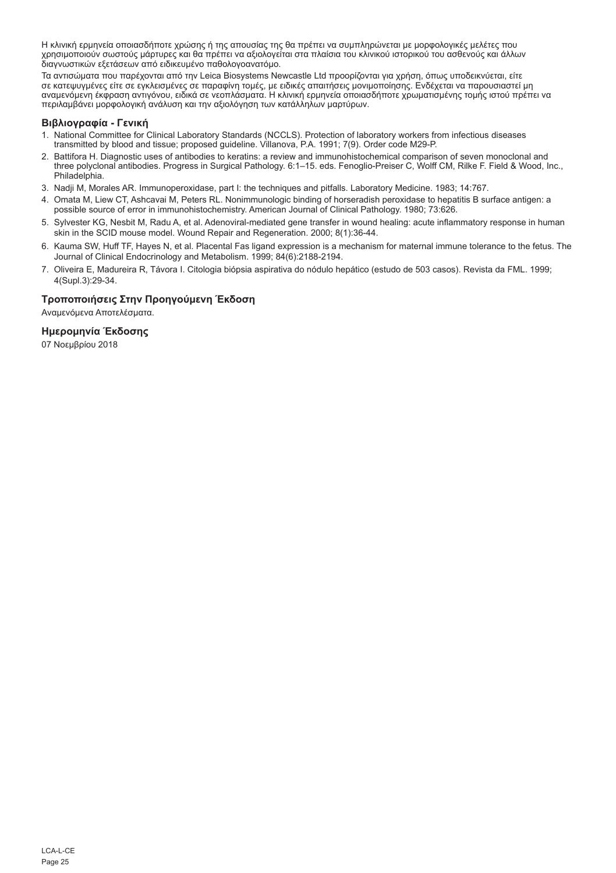Η κλινική ερμηνεία οποιασδήποτε χρώσης ή της απουσίας της θα πρέπει να συμπληρώνεται με μορφολογικές μελέτες που χρησιμοποιούν σωστούς μάρτυρες και θα πρέπει να αξιολογείται στα πλαίσια του κλινικού ιστορικού του ασθενούς και άλλων διαγνωστικών εξετάσεων από ειδικευμένο παθολογοανατόμο.

Τα αντισώματα που παρέχονται από την Leica Biosystems Newcastle Ltd προορίζονται για χρήση, όπως υποδεικνύεται, είτε σε κατεψυγμένες είτε σε εγκλεισμένες σε παραφίνη τομές, με ειδικές απαιτήσεις μονιμοποίησης. Ενδέχεται να παρουσιαστεί μη<br>αναμενόμενη έκφραση αντιγόνου, ειδικά σε νεοπλάσματα. Η κλινική ερμηνεία οποιασδήποτε χρωματισμένης περιλαμβάνει μορφολογική ανάλυση και την αξιολόγηση των κατάλληλων μαρτύρων.

### **Βιβλιογραφία - Γενική**

- 1. National Committee for Clinical Laboratory Standards (NCCLS). Protection of laboratory workers from infectious diseases transmitted by blood and tissue; proposed guideline. Villanova, P.A. 1991; 7(9). Order code M29-P.
- 2. Battifora H. Diagnostic uses of antibodies to keratins: a review and immunohistochemical comparison of seven monoclonal and three polyclonal antibodies. Progress in Surgical Pathology. 6:1–15. eds. Fenoglio-Preiser C, Wolff CM, Rilke F. Field & Wood, Inc., Philadelphia.
- 3. Nadji M, Morales AR. Immunoperoxidase, part I: the techniques and pitfalls. Laboratory Medicine. 1983; 14:767.
- 4. Omata M, Liew CT, Ashcavai M, Peters RL. Nonimmunologic binding of horseradish peroxidase to hepatitis B surface antigen: a possible source of error in immunohistochemistry. American Journal of Clinical Pathology. 1980; 73:626.
- 5. Sylvester KG, Nesbit M, Radu A, et al. Adenoviral-mediated gene transfer in wound healing: acute inflammatory response in human skin in the SCID mouse model. Wound Repair and Regeneration. 2000; 8(1):36-44.
- 6. Kauma SW, Huff TF, Hayes N, et al. Placental Fas ligand expression is a mechanism for maternal immune tolerance to the fetus. The Journal of Clinical Endocrinology and Metabolism. 1999; 84(6):2188-2194.
- 7. Oliveira E, Madureira R, Távora I. Citologia biópsia aspirativa do nódulo hepático (estudo de 503 casos). Revista da FML. 1999; 4(Supl.3):29-34.

## **Τροποποιήσεις Στην Προηγούμενη Έκδοση**

Αναμενόμενα Αποτελέσματα.

#### **Ημερομηνία Έκδοσης**

07 Νοεμβρίου 2018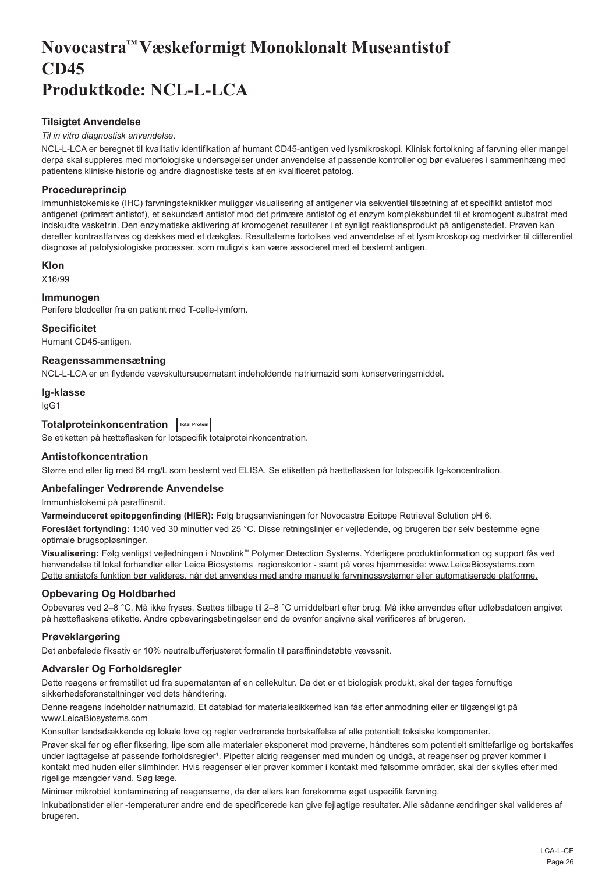## <span id="page-26-0"></span>**Novocastra™ Væskeformigt Monoklonalt Museantistof CD45 Produktkode: NCL-L-LCA**

## **Tilsigtet Anvendelse**

## *Til in vitro diagnostisk anvendelse*.

NCL-L-LCA er beregnet til kvalitativ identifikation af humant CD45-antigen ved lysmikroskopi. Klinisk fortolkning af farvning eller mangel derpå skal suppleres med morfologiske undersøgelser under anvendelse af passende kontroller og bør evalueres i sammenhæng med patientens kliniske historie og andre diagnostiske tests af en kvalificeret patolog.

## **Procedureprincip**

Immunhistokemiske (IHC) farvningsteknikker muliggør visualisering af antigener via sekventiel tilsætning af et specifikt antistof mod antigenet (primært antistof), et sekundært antistof mod det primære antistof og et enzym kompleksbundet til et kromogent substrat med indskudte vasketrin. Den enzymatiske aktivering af kromogenet resulterer i et synligt reaktionsprodukt på antigenstedet. Prøven kan derefter kontrastfarves og dækkes med et dækglas. Resultaterne fortolkes ved anvendelse af et lysmikroskop og medvirker til differentiel diagnose af patofysiologiske processer, som muligvis kan være associeret med et bestemt antigen.

## **Klon**

X16/99

## **Immunogen**

Perifere blodceller fra en patient med T-celle-lymfom.

## **Specificitet**

Humant CD45-antigen.

#### **Reagenssammensætning**

NCL-L-LCA er en flydende vævskultursupernatant indeholdende natriumazid som konserveringsmiddel.

#### **Ig-klasse**

IgG1

## **Totalproteinkoncentration Total Protein**

Se etiketten på hætteflasken for lotspecifik totalproteinkoncentration.

## **Antistofkoncentration**

Større end eller lig med 64 mg/L som bestemt ved ELISA. Se etiketten på hætteflasken for lotspecifik Ig-koncentration.

## **Anbefalinger Vedrørende Anvendelse**

Immunhistokemi på paraffinsnit.

**Varmeinduceret epitopgenfinding (HIER):** Følg brugsanvisningen for Novocastra Epitope Retrieval Solution pH 6.

**Foreslået fortynding:** 1:40 ved 30 minutter ved 25 °C. Disse retningslinjer er vejledende, og brugeren bør selv bestemme egne optimale brugsopløsninger.

**Visualisering:** Følg venligst vejledningen i Novolink™ Polymer Detection Systems. Yderligere produktinformation og support fås ved henvendelse til lokal forhandler eller Leica Biosystems regionskontor - samt på vores hjemmeside: www.LeicaBiosystems.com Dette antistofs funktion bør valideres, når det anvendes med andre manuelle farvningssystemer eller automatiserede platforme.

## **Opbevaring Og Holdbarhed**

Opbevares ved 2–8 °C. Må ikke fryses. Sættes tilbage til 2–8 °C umiddelbart efter brug. Må ikke anvendes efter udløbsdatoen angivet på hætteflaskens etikette. Andre opbevaringsbetingelser end de ovenfor angivne skal verificeres af brugeren.

## **Prøveklargøring**

Det anbefalede fiksativ er 10% neutralbufferjusteret formalin til paraffinindstøbte vævssnit.

## **Advarsler Og Forholdsregler**

Dette reagens er fremstillet ud fra supernatanten af en cellekultur. Da det er et biologisk produkt, skal der tages fornuftige sikkerhedsforanstaltninger ved dets håndtering.

Denne reagens indeholder natriumazid. Et datablad for materialesikkerhed kan fås efter anmodning eller er tilgængeligt på www.LeicaBiosystems.com

Konsulter landsdækkende og lokale love og regler vedrørende bortskaffelse af alle potentielt toksiske komponenter.

Prøver skal før og efter fiksering, lige som alle materialer eksponeret mod prøverne, håndteres som potentielt smittefarlige og bortskaffes under iagttagelse af passende forholdsregler<sup>ı</sup>. Pipetter aldrig reagenser med munden og undgå, at reagenser og prøver kommer i kontakt med huden eller slimhinder. Hvis reagenser eller prøver kommer i kontakt med følsomme områder, skal der skylles efter med rigelige mængder vand. Søg læge.

Minimer mikrobiel kontaminering af reagenserne, da der ellers kan forekomme øget uspecifik farvning.

Inkubationstider eller -temperaturer andre end de specificerede kan give fejlagtige resultater. Alle sådanne ændringer skal valideres af brugeren.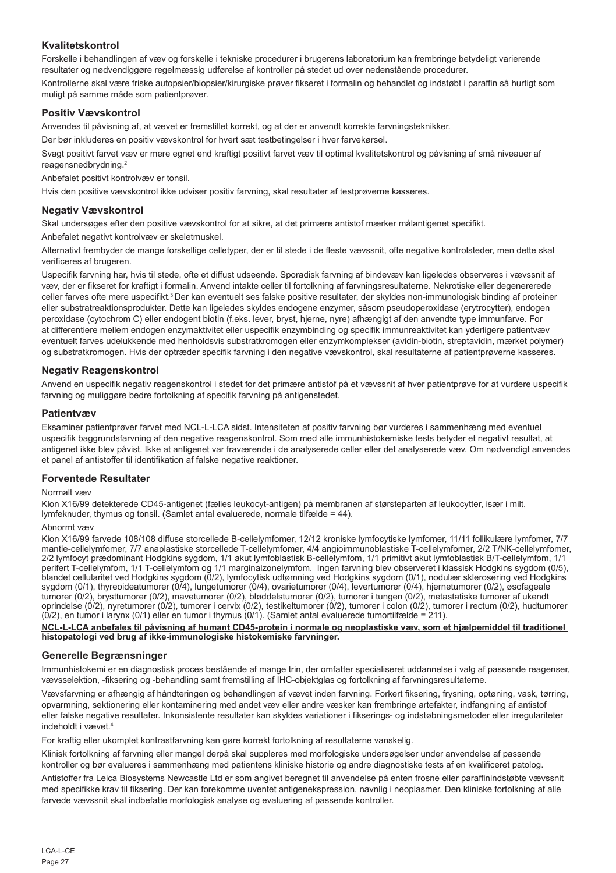## **Kvalitetskontrol**

Forskelle i behandlingen af væv og forskelle i tekniske procedurer i brugerens laboratorium kan frembringe betydeligt varierende resultater og nødvendiggøre regelmæssig udførelse af kontroller på stedet ud over nedenstående procedurer. Kontrollerne skal være friske autopsier/biopsier/kirurgiske prøver fikseret i formalin og behandlet og indstøbt i paraffin så hurtigt som muligt på samme måde som patientprøver.

## **Positiv Vævskontrol**

Anvendes til påvisning af, at vævet er fremstillet korrekt, og at der er anvendt korrekte farvningsteknikker.

Der bør inkluderes en positiv vævskontrol for hvert sæt testbetingelser i hver farvekørsel.

Svagt positivt farvet væv er mere egnet end kraftigt positivt farvet væv til optimal kvalitetskontrol og påvisning af små niveauer af reagensnedbrydning.<sup>2</sup>

Anbefalet positivt kontrolvæv er tonsil.

Hvis den positive vævskontrol ikke udviser positiv farvning, skal resultater af testprøverne kasseres.

## **Negativ Vævskontrol**

Skal undersøges efter den positive vævskontrol for at sikre, at det primære antistof mærker målantigenet specifikt.

Anbefalet negativt kontrolvæv er skeletmuskel.

Alternativt frembyder de mange forskellige celletyper, der er til stede i de fleste vævssnit, ofte negative kontrolsteder, men dette skal verificeres af brugeren.

Uspecifik farvning har, hvis til stede, ofte et diffust udseende. Sporadisk farvning af bindevæv kan ligeledes observeres i vævssnit af væv, der er fikseret for kraftigt i formalin. Anvend intakte celler til fortolkning af farvningsresultaterne. Nekrotiske eller degenererede celler farves ofte mere uspecifikt.3 Der kan eventuelt ses falske positive resultater, der skyldes non-immunologisk binding af proteiner eller substratreaktionsprodukter. Dette kan ligeledes skyldes endogene enzymer, såsom pseudoperoxidase (erytrocytter), endogen peroxidase (cytochrom C) eller endogent biotin (f.eks. lever, bryst, hjerne, nyre) afhængigt af den anvendte type immunfarve. For at differentiere mellem endogen enzymaktivitet eller uspecifik enzymbinding og specifik immunreaktivitet kan yderligere patientvæv eventuelt farves udelukkende med henholdsvis substratkromogen eller enzymkomplekser (avidin-biotin, streptavidin, mærket polymer) og substratkromogen. Hvis der optræder specifik farvning i den negative vævskontrol, skal resultaterne af patientprøverne kasseres.

## **Negativ Reagenskontrol**

Anvend en uspecifik negativ reagenskontrol i stedet for det primære antistof på et vævssnit af hver patientprøve for at vurdere uspecifik farvning og muliggøre bedre fortolkning af specifik farvning på antigenstedet.

## **Patientvæv**

Eksaminer patientprøver farvet med NCL-L-LCA sidst. Intensiteten af positiv farvning bør vurderes i sammenhæng med eventuel uspecifik baggrundsfarvning af den negative reagenskontrol. Som med alle immunhistokemiske tests betyder et negativt resultat, at antigenet ikke blev påvist. Ikke at antigenet var fraværende i de analyserede celler eller det analyserede væv. Om nødvendigt anvendes et panel af antistoffer til identifikation af falske negative reaktioner.

## **Forventede Resultater**

#### Normalt væv

Klon X16/99 detekterede CD45-antigenet (fælles leukocyt-antigen) på membranen af størsteparten af leukocytter, især i milt lymfeknuder, thymus og tonsil. (Samlet antal evaluerede, normale tilfælde = 44).

### Abnormt væv

Klon X16/99 farvede 108/108 diffuse storcellede B-cellelymfomer, 12/12 kroniske lymfocytiske lymfomer, 11/11 follikulære lymfomer, 7/7 mantle-cellelymfomer, 7/7 anaplastiske storcellede T-cellelymfomer, 4/4 angioimmunoblastiske T-cellelymfomer, 2/2 T/NK-cellelymfomer, 2/2 lymfocyt prædominant Hodgkins sygdom, 1/1 akut lymfoblastisk B-cellelymfom, 1/1 primitivt akut lymfoblastisk B/T-cellelymfom, 1/1 perifert T-cellelymfom, 1/1 T-cellelymfom og 1/1 marginalzonelymfom. Ingen farvning blev observeret i klassisk Hodgkins sygdom (0/5), blandet cellularitet ved Hodgkins sygdom (0/2), lymfocytisk udtømning ved Hodgkins sygdom (0/1), nodulær sklerosering ved Hodgkins sygdom (0/1), thyreoideatumorer (0/4), lungetumorer (0/4), ovarietumorer (0/4), levertumorer (0/4), hjernetumorer (0/2), øsofageale tumorer (0/2), brysttumorer (0/2), mavetumorer (0/2), bløddelstumorer (0/2), tumorer i tungen (0/2), metastatiske tumorer af ukendt oprindelse (0/2), nyretumorer (0/2), tumorer i cervix (0/2), testikeltumorer (0/2), tumorer i colon (0/2), tumorer i rectum (0/2), hudtumorer (0/2), en tumor i larynx (0/1) eller en tumor i thymus (0/1). (Samlet antal evaluerede tumortilfælde = 211).

**NCL-L-LCA anbefales til påvisning af humant CD45-protein i normale og neoplastiske væv, som et hjælpemiddel til traditionel histopatologi ved brug af ikke-immunologiske histokemiske farvninger.**

## **Generelle Begrænsninger**

Immunhistokemi er en diagnostisk proces bestående af mange trin, der omfatter specialiseret uddannelse i valg af passende reagenser, vævsselektion, -fiksering og -behandling samt fremstilling af IHC-objektglas og fortolkning af farvningsresultaterne.

Vævsfarvning er afhængig af håndteringen og behandlingen af vævet inden farvning. Forkert fiksering, frysning, optøning, vask, tørring, opvarmning, sektionering eller kontaminering med andet væv eller andre væsker kan frembringe artefakter, indfangning af antistof eller falske negative resultater. Inkonsistente resultater kan skyldes variationer i fikserings- og indstøbningsmetoder eller irregulariteter indeholdt i vævet.4

For kraftig eller ukomplet kontrastfarvning kan gøre korrekt fortolkning af resultaterne vanskelig.

Klinisk fortolkning af farvning eller mangel derpå skal suppleres med morfologiske undersøgelser under anvendelse af passende kontroller og bør evalueres i sammenhæng med patientens kliniske historie og andre diagnostiske tests af en kvalificeret patolog.

Antistoffer fra Leica Biosystems Newcastle Ltd er som angivet beregnet til anvendelse på enten frosne eller paraffinindstøbte vævssnit med specifikke krav til fiksering. Der kan forekomme uventet antigenekspression, navnlig i neoplasmer. Den kliniske fortolkning af alle farvede vævssnit skal indbefatte morfologisk analyse og evaluering af passende kontroller.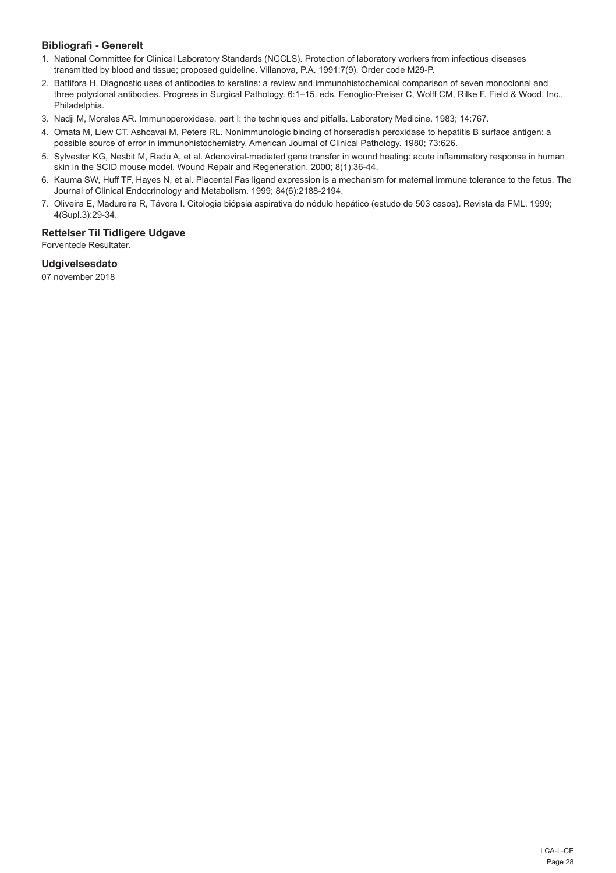## **Bibliografi - Generelt**

- 1. National Committee for Clinical Laboratory Standards (NCCLS). Protection of laboratory workers from infectious diseases transmitted by blood and tissue; proposed guideline. Villanova, P.A. 1991;7(9). Order code M29-P.
- 2. Battifora H. Diagnostic uses of antibodies to keratins: a review and immunohistochemical comparison of seven monoclonal and three polyclonal antibodies. Progress in Surgical Pathology. 6:1–15. eds. Fenoglio-Preiser C, Wolff CM, Rilke F. Field & Wood, Inc., Philadelphia.
- 3. Nadji M, Morales AR. Immunoperoxidase, part I: the techniques and pitfalls. Laboratory Medicine. 1983; 14:767.
- 4. Omata M, Liew CT, Ashcavai M, Peters RL. Nonimmunologic binding of horseradish peroxidase to hepatitis B surface antigen: a possible source of error in immunohistochemistry. American Journal of Clinical Pathology. 1980; 73:626.
- 5. Sylvester KG, Nesbit M, Radu A, et al. Adenoviral-mediated gene transfer in wound healing: acute inflammatory response in human skin in the SCID mouse model. Wound Repair and Regeneration. 2000; 8(1):36-44.
- 6. Kauma SW, Huff TF, Hayes N, et al. Placental Fas ligand expression is a mechanism for maternal immune tolerance to the fetus. The Journal of Clinical Endocrinology and Metabolism. 1999; 84(6):2188-2194.
- 7. Oliveira E, Madureira R, Távora I. Citologia biópsia aspirativa do nódulo hepático (estudo de 503 casos). Revista da FML. 1999; 4(Supl.3):29-34.

## **Rettelser Til Tidligere Udgave**

Forventede Resultater.

## **Udgivelsesdato**

07 november 2018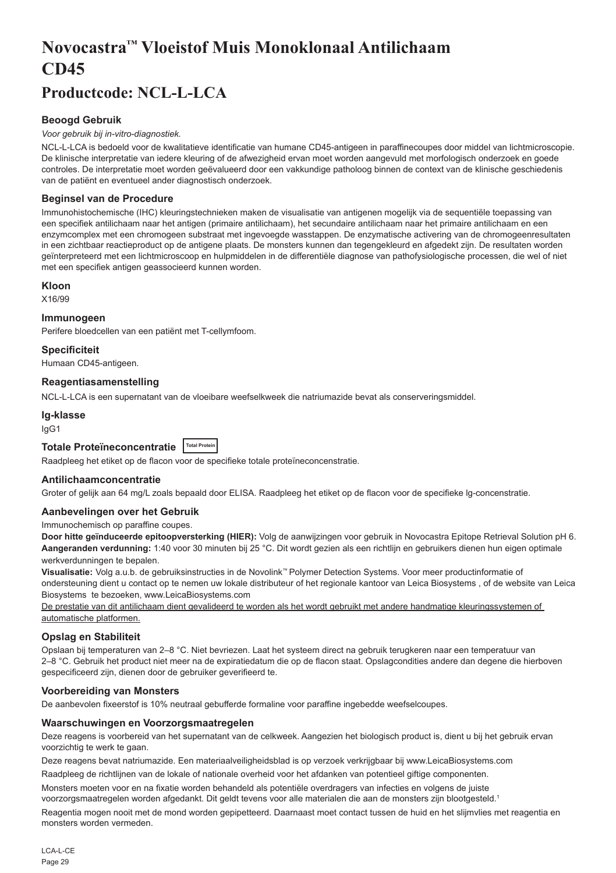## <span id="page-29-0"></span>**Novocastra™ Vloeistof Muis Monoklonaal Antilichaam CD45**

## **Productcode: NCL-L-LCA**

## **Beoogd Gebruik**

#### *Voor gebruik bij in-vitro-diagnostiek.*

NCL-L-LCA is bedoeld voor de kwalitatieve identificatie van humane CD45-antigeen in paraffinecoupes door middel van lichtmicroscopie. De klinische interpretatie van iedere kleuring of de afwezigheid ervan moet worden aangevuld met morfologisch onderzoek en goede controles. De interpretatie moet worden geëvalueerd door een vakkundige patholoog binnen de context van de klinische geschiedenis van de patiënt en eventueel ander diagnostisch onderzoek.

## **Beginsel van de Procedure**

Immunohistochemische (IHC) kleuringstechnieken maken de visualisatie van antigenen mogelijk via de sequentiële toepassing van een specifiek antilichaam naar het antigen (primaire antilichaam), het secundaire antilichaam naar het primaire antilichaam en een enzymcomplex met een chromogeen substraat met ingevoegde wasstappen. De enzymatische activering van de chromogeenresultaten in een zichtbaar reactieproduct op de antigene plaats. De monsters kunnen dan tegengekleurd en afgedekt zijn. De resultaten worden geïnterpreteerd met een lichtmicroscoop en hulpmiddelen in de differentiële diagnose van pathofysiologische processen, die wel of niet met een specifiek antigen geassocieerd kunnen worden.

#### **Kloon**

X16/99

### **Immunogeen**

Perifere bloedcellen van een patiënt met T-cellymfoom.

#### **Specificiteit**

Humaan CD45-antigeen.

#### **Reagentiasamenstelling**

NCL-L-LCA is een supernatant van de vloeibare weefselkweek die natriumazide bevat als conserveringsmiddel.

## **Ig-klasse**

IgG1

## **Totale Proteïneconcentratie Total Protein**

Raadpleeg het etiket op de flacon voor de specifieke totale proteïneconcenstratie.

## **Antilichaamconcentratie**

Groter of gelijk aan 64 mg/L zoals bepaald door ELISA. Raadpleeg het etiket op de flacon voor de specifieke lg-concenstratie.

#### **Aanbevelingen over het Gebruik**

Immunochemisch op paraffine coupes.

**Door hitte geïnduceerde epitoopversterking (HIER):** Volg de aanwijzingen voor gebruik in Novocastra Epitope Retrieval Solution pH 6. **Aangeranden verdunning:** 1:40 voor 30 minuten bij 25 °C. Dit wordt gezien als een richtlijn en gebruikers dienen hun eigen optimale werkverdunningen te bepalen.

**Visualisatie:** Volg a.u.b. de gebruiksinstructies in de Novolink™ Polymer Detection Systems. Voor meer productinformatie of ondersteuning dient u contact op te nemen uw lokale distributeur of het regionale kantoor van Leica Biosystems , of de website van Leica Biosystems te bezoeken, www.LeicaBiosystems.com

De prestatie van dit antilichaam dient gevalideerd te worden als het wordt gebruikt met andere handmatige kleuringssystemen of automatische platformen.

## **Opslag en Stabiliteit**

Opslaan bij temperaturen van 2–8 °C. Niet bevriezen. Laat het systeem direct na gebruik terugkeren naar een temperatuur van 2–8 °C. Gebruik het product niet meer na de expiratiedatum die op de flacon staat. Opslagcondities andere dan degene die hierboven gespecificeerd zijn, dienen door de gebruiker geverifieerd te.

#### **Voorbereiding van Monsters**

De aanbevolen fixeerstof is 10% neutraal gebufferde formaline voor paraffine ingebedde weefselcoupes.

#### **Waarschuwingen en Voorzorgsmaatregelen**

Deze reagens is voorbereid van het supernatant van de celkweek. Aangezien het biologisch product is, dient u bij het gebruik ervan voorzichtig te werk te gaan.

Deze reagens bevat natriumazide. Een materiaalveiligheidsblad is op verzoek verkrijgbaar bij www.LeicaBiosystems.com

Raadpleeg de richtlijnen van de lokale of nationale overheid voor het afdanken van potentieel giftige componenten.

Monsters moeten voor en na fixatie worden behandeld als potentiële overdragers van infecties en volgens de juiste voorzorgsmaatregelen worden afgedankt. Dit geldt tevens voor alle materialen die aan de monsters zijn blootgesteld.<sup>1</sup>

Reagentia mogen nooit met de mond worden gepipetteerd. Daarnaast moet contact tussen de huid en het slijmvlies met reagentia en monsters worden vermeden.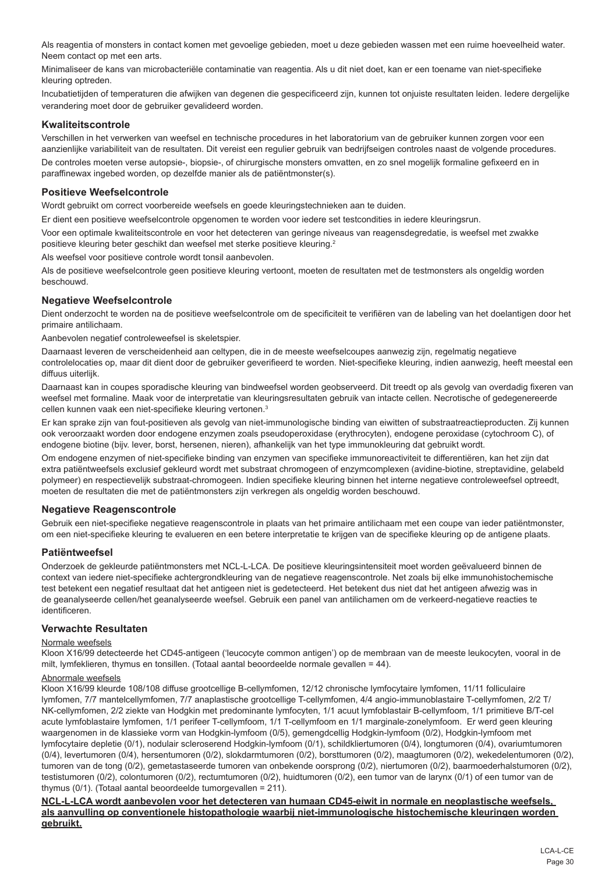Als reagentia of monsters in contact komen met gevoelige gebieden, moet u deze gebieden wassen met een ruime hoeveelheid water. Neem contact op met een arts.

Minimaliseer de kans van microbacteriële contaminatie van reagentia. Als u dit niet doet, kan er een toename van niet-specifieke kleuring optreden.

Incubatietijden of temperaturen die afwijken van degenen die gespecificeerd zijn, kunnen tot onjuiste resultaten leiden. Iedere dergelijke verandering moet door de gebruiker gevalideerd worden.

## **Kwaliteitscontrole**

Verschillen in het verwerken van weefsel en technische procedures in het laboratorium van de gebruiker kunnen zorgen voor een aanzienlijke variabiliteit van de resultaten. Dit vereist een regulier gebruik van bedrijfseigen controles naast de volgende procedures. De controles moeten verse autopsie-, biopsie-, of chirurgische monsters omvatten, en zo snel mogelijk formaline gefixeerd en in paraffinewax ingebed worden, op dezelfde manier als de patiëntmonster(s).

## **Positieve Weefselcontrole**

Wordt gebruikt om correct voorbereide weefsels en goede kleuringstechnieken aan te duiden.

Er dient een positieve weefselcontrole opgenomen te worden voor iedere set testcondities in iedere kleuringsrun.

Voor een optimale kwaliteitscontrole en voor het detecteren van geringe niveaus van reagensdegredatie, is weefsel met zwakke positieve kleuring beter geschikt dan weefsel met sterke positieve kleuring.<sup>2</sup>

Als weefsel voor positieve controle wordt tonsil aanbevolen.

Als de positieve weefselcontrole geen positieve kleuring vertoont, moeten de resultaten met de testmonsters als ongeldig worden beschouwd.

## **Negatieve Weefselcontrole**

Dient onderzocht te worden na de positieve weefselcontrole om de specificiteit te verifiëren van de labeling van het doelantigen door het primaire antilichaam.

Aanbevolen negatief controleweefsel is skeletspier.

Daarnaast leveren de verscheidenheid aan celtypen, die in de meeste weefselcoupes aanwezig zijn, regelmatig negatieve controlelocaties op, maar dit dient door de gebruiker geverifieerd te worden. Niet-specifieke kleuring, indien aanwezig, heeft meestal een diffuus uiterlijk.

Daarnaast kan in coupes sporadische kleuring van bindweefsel worden geobserveerd. Dit treedt op als gevolg van overdadig fixeren van weefsel met formaline. Maak voor de interpretatie van kleuringsresultaten gebruik van intacte cellen. Necrotische of gedegenereerde cellen kunnen vaak een niet-specifieke kleuring vertonen.3

Er kan sprake zijn van fout-positieven als gevolg van niet-immunologische binding van eiwitten of substraatreactieproducten. Zij kunnen ook veroorzaakt worden door endogene enzymen zoals pseudoperoxidase (erythrocyten), endogene peroxidase (cytochroom C), of endogene biotine (bijv. lever, borst, hersenen, nieren), afhankelijk van het type immunokleuring dat gebruikt wordt.

Om endogene enzymen of niet-specifieke binding van enzymen van specifieke immunoreactiviteit te differentiëren, kan het zijn dat extra patiëntweefsels exclusief gekleurd wordt met substraat chromogeen of enzymcomplexen (avidine-biotine, streptavidine, gelabeld polymeer) en respectievelijk substraat-chromogeen. Indien specifieke kleuring binnen het interne negatieve controleweefsel optreedt, moeten de resultaten die met de patiëntmonsters zijn verkregen als ongeldig worden beschouwd.

#### **Negatieve Reagenscontrole**

Gebruik een niet-specifieke negatieve reagenscontrole in plaats van het primaire antilichaam met een coupe van ieder patiëntmonster, om een niet-specifieke kleuring te evalueren en een betere interpretatie te krijgen van de specifieke kleuring op de antigene plaats.

## **Patiëntweefsel**

Onderzoek de gekleurde patiëntmonsters met NCL-L-LCA. De positieve kleuringsintensiteit moet worden geëvalueerd binnen de context van iedere niet-specifieke achtergrondkleuring van de negatieve reagenscontrole. Net zoals bij elke immunohistochemische test betekent een negatief resultaat dat het antigeen niet is gedetecteerd. Het betekent dus niet dat het antigeen afwezig was in de geanalyseerde cellen/het geanalyseerde weefsel. Gebruik een panel van antilichamen om de verkeerd-negatieve reacties te identificeren.

#### **Verwachte Resultaten**

### Normale weefsels

Kloon X16/99 detecteerde het CD45-antigeen ('leucocyte common antigen') op de membraan van de meeste leukocyten, vooral in de milt, lymfeklieren, thymus en tonsillen. (Totaal aantal beoordeelde normale gevallen = 44).

## Abnormale weefsels

Kloon X16/99 kleurde 108/108 diffuse grootcellige B-cellymfomen, 12/12 chronische lymfocytaire lymfomen, 11/11 folliculaire lymfomen, 7/7 mantelcellymfomen, 7/7 anaplastische grootcellige T-cellymfomen, 4/4 angio-immunoblastaire T-cellymfomen, 2/2 T/ NK-cellymfomen, 2/2 ziekte van Hodgkin met predominante lymfocyten, 1/1 acuut lymfoblastair B-cellymfoom, 1/1 primitieve B/T-cel acute lymfoblastaire lymfomen, 1/1 perifeer T-cellymfoom, 1/1 T-cellymfoom en 1/1 marginale-zonelymfoom. Er werd geen kleuring waargenomen in de klassieke vorm van Hodgkin-lymfoom (0/5), gemengdcellig Hodgkin-lymfoom (0/2), Hodgkin-lymfoom met lymfocytaire depletie (0/1), nodulair scleroserend Hodgkin-lymfoom (0/1), schildkliertumoren (0/4), longtumoren (0/4), ovariumtumoren (0/4), levertumoren (0/4), hersentumoren (0/2), slokdarmtumoren (0/2), borsttumoren (0/2), maagtumoren (0/2), wekedelentumoren (0/2), tumoren van de tong (0/2), gemetastaseerde tumoren van onbekende oorsprong (0/2), niertumoren (0/2), baarmoederhalstumoren (0/2), testistumoren (0/2), colontumoren (0/2), rectumtumoren (0/2), huidtumoren (0/2), een tumor van de larynx (0/1) of een tumor van de thymus (0/1). (Totaal aantal beoordeelde tumorgevallen = 211).

**NCL-L-LCA wordt aanbevolen voor het detecteren van humaan CD45-eiwit in normale en neoplastische weefsels, als aanvulling op conventionele histopathologie waarbij niet-immunologische histochemische kleuringen worden gebruikt.**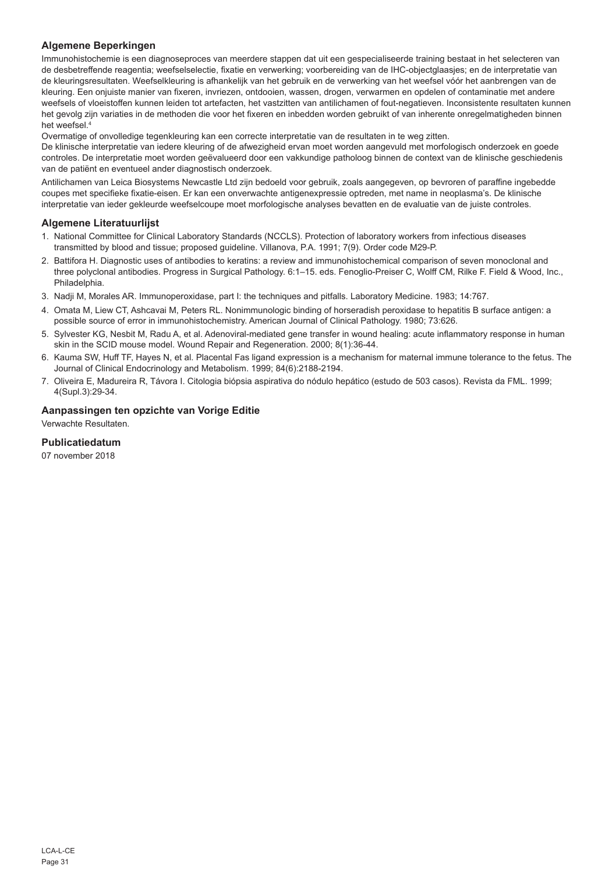## **Algemene Beperkingen**

Immunohistochemie is een diagnoseproces van meerdere stappen dat uit een gespecialiseerde training bestaat in het selecteren van de desbetreffende reagentia; weefselselectie, fixatie en verwerking; voorbereiding van de IHC-objectglaasjes; en de interpretatie van de kleuringsresultaten. Weefselkleuring is afhankelijk van het gebruik en de verwerking van het weefsel vóór het aanbrengen van de kleuring. Een onjuiste manier van fixeren, invriezen, ontdooien, wassen, drogen, verwarmen en opdelen of contaminatie met andere weefsels of vloeistoffen kunnen leiden tot artefacten, het vastzitten van antilichamen of fout-negatieven. Inconsistente resultaten kunnen het gevolg zijn variaties in de methoden die voor het fixeren en inbedden worden gebruikt of van inherente onregelmatigheden binnen het weefsel.4

Overmatige of onvolledige tegenkleuring kan een correcte interpretatie van de resultaten in te weg zitten.

De klinische interpretatie van iedere kleuring of de afwezigheid ervan moet worden aangevuld met morfologisch onderzoek en goede controles. De interpretatie moet worden geëvalueerd door een vakkundige patholoog binnen de context van de klinische geschiedenis van de patiënt en eventueel ander diagnostisch onderzoek.

Antilichamen van Leica Biosystems Newcastle Ltd zijn bedoeld voor gebruik, zoals aangegeven, op bevroren of paraffine ingebedde coupes met specifieke fixatie-eisen. Er kan een onverwachte antigenexpressie optreden, met name in neoplasma's. De klinische interpretatie van ieder gekleurde weefselcoupe moet morfologische analyses bevatten en de evaluatie van de juiste controles.

## **Algemene Literatuurlijst**

- 1. National Committee for Clinical Laboratory Standards (NCCLS). Protection of laboratory workers from infectious diseases transmitted by blood and tissue; proposed guideline. Villanova, P.A. 1991; 7(9). Order code M29-P.
- 2. Battifora H. Diagnostic uses of antibodies to keratins: a review and immunohistochemical comparison of seven monoclonal and three polyclonal antibodies. Progress in Surgical Pathology. 6:1–15. eds. Fenoglio-Preiser C, Wolff CM, Rilke F. Field & Wood, Inc., **Philadelphia**
- 3. Nadji M, Morales AR. Immunoperoxidase, part I: the techniques and pitfalls. Laboratory Medicine. 1983; 14:767.
- 4. Omata M, Liew CT, Ashcavai M, Peters RL. Nonimmunologic binding of horseradish peroxidase to hepatitis B surface antigen: a possible source of error in immunohistochemistry. American Journal of Clinical Pathology. 1980; 73:626.
- 5. Sylvester KG, Nesbit M, Radu A, et al. Adenoviral-mediated gene transfer in wound healing: acute inflammatory response in human skin in the SCID mouse model. Wound Repair and Regeneration. 2000; 8(1):36-44.
- 6. Kauma SW, Huff TF, Hayes N, et al. Placental Fas ligand expression is a mechanism for maternal immune tolerance to the fetus. The Journal of Clinical Endocrinology and Metabolism. 1999; 84(6):2188-2194.
- 7. Oliveira E, Madureira R, Távora I. Citologia biópsia aspirativa do nódulo hepático (estudo de 503 casos). Revista da FML. 1999; 4(Supl.3):29-34.

## **Aanpassingen ten opzichte van Vorige Editie**

Verwachte Resultaten.

## **Publicatiedatum**

07 november 2018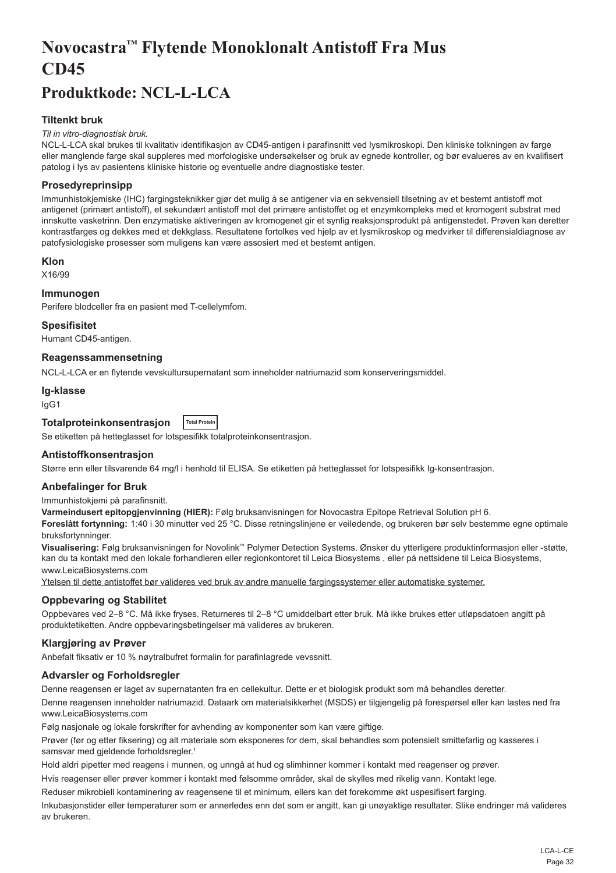## <span id="page-32-0"></span>**Novocastra™ Flytende Monoklonalt Antistoff Fra Mus CD45**

## **Produktkode: NCL-L-LCA**

## **Tiltenkt bruk**

#### *Til in vitro-diagnostisk bruk.*

NCL-L-LCA skal brukes til kvalitativ identifikasjon av CD45-antigen i parafinsnitt ved lysmikroskopi. Den kliniske tolkningen av farge eller manglende farge skal suppleres med morfologiske undersøkelser og bruk av egnede kontroller, og bør evalueres av en kvalifisert patolog i lys av pasientens kliniske historie og eventuelle andre diagnostiske tester.

## **Prosedyreprinsipp**

Immunhistokjemiske (IHC) fargingsteknikker gjør det mulig å se antigener via en sekvensiell tilsetning av et bestemt antistoff mot antigenet (primært antistoff), et sekundært antistoff mot det primære antistoffet og et enzymkompleks med et kromogent substrat med innskutte vasketrinn. Den enzymatiske aktiveringen av kromogenet gir et synlig reaksjonsprodukt på antigenstedet. Prøven kan deretter kontrastfarges og dekkes med et dekkglass. Resultatene fortolkes ved hjelp av et lysmikroskop og medvirker til differensialdiagnose av patofysiologiske prosesser som muligens kan være assosiert med et bestemt antigen.

#### **Klon**

X16/99

## **Immunogen**

Perifere blodceller fra en pasient med T-cellelymfom.

#### **Spesifisitet**

Humant CD45-antigen.

#### **Reagenssammensetning**

NCL-L-LCA er en flytende vevskultursupernatant som inneholder natriumazid som konserveringsmiddel.

#### **Ig-klasse**

IgG1

#### **Totalproteinkonsentrasjon Total Protein**

Se etiketten på hetteglasset for lotspesifikk totalproteinkonsentrasjon.

## **Antistoffkonsentrasjon**

Større enn eller tilsvarende 64 mg/l i henhold til ELISA. Se etiketten på hetteglasset for lotspesifikk Ig-konsentrasjon.

## **Anbefalinger for Bruk**

Immunhistokjemi på parafinsnitt.

**Varmeindusert epitopgjenvinning (HIER):** Følg bruksanvisningen for Novocastra Epitope Retrieval Solution pH 6.

**Foreslått fortynning:** 1:40 i 30 minutter ved 25 °C. Disse retningslinjene er veiledende, og brukeren bør selv bestemme egne optimale bruksfortynninger.

**Visualisering:** Følg bruksanvisningen for Novolink™ Polymer Detection Systems. Ønsker du ytterligere produktinformasjon eller -støtte, kan du ta kontakt med den lokale forhandleren eller regionkontoret til Leica Biosystems , eller på nettsidene til Leica Biosystems, www.LeicaBiosystems.com

Ytelsen til dette antistoffet bør valideres ved bruk av andre manuelle fargingssystemer eller automatiske systemer.

## **Oppbevaring og Stabilitet**

Oppbevares ved 2–8 °C. Må ikke fryses. Returneres til 2–8 °C umiddelbart etter bruk. Må ikke brukes etter utløpsdatoen angitt på produktetiketten. Andre oppbevaringsbetingelser må valideres av brukeren.

## **Klargjøring av Prøver**

Anbefalt fiksativ er 10 % nøytralbufret formalin for parafinlagrede vevssnitt.

## **Advarsler og Forholdsregler**

Denne reagensen er laget av supernatanten fra en cellekultur. Dette er et biologisk produkt som må behandles deretter. Denne reagensen inneholder natriumazid. Dataark om materialsikkerhet (MSDS) er tilgjengelig på forespørsel eller kan lastes ned fra www.LeicaBiosystems.com

Følg nasjonale og lokale forskrifter for avhending av komponenter som kan være giftige.

Prøver (før og etter fiksering) og alt materiale som eksponeres for dem, skal behandles som potensielt smittefarlig og kasseres i samsvar med gjeldende forholdsregler.<sup>1</sup>

Hold aldri pipetter med reagens i munnen, og unngå at hud og slimhinner kommer i kontakt med reagenser og prøver.

Hvis reagenser eller prøver kommer i kontakt med følsomme områder, skal de skylles med rikelig vann. Kontakt lege.

Reduser mikrobiell kontaminering av reagensene til et minimum, ellers kan det forekomme økt uspesifisert farging.

Inkubasjonstider eller temperaturer som er annerledes enn det som er angitt, kan gi unøyaktige resultater. Slike endringer må valideres av brukeren.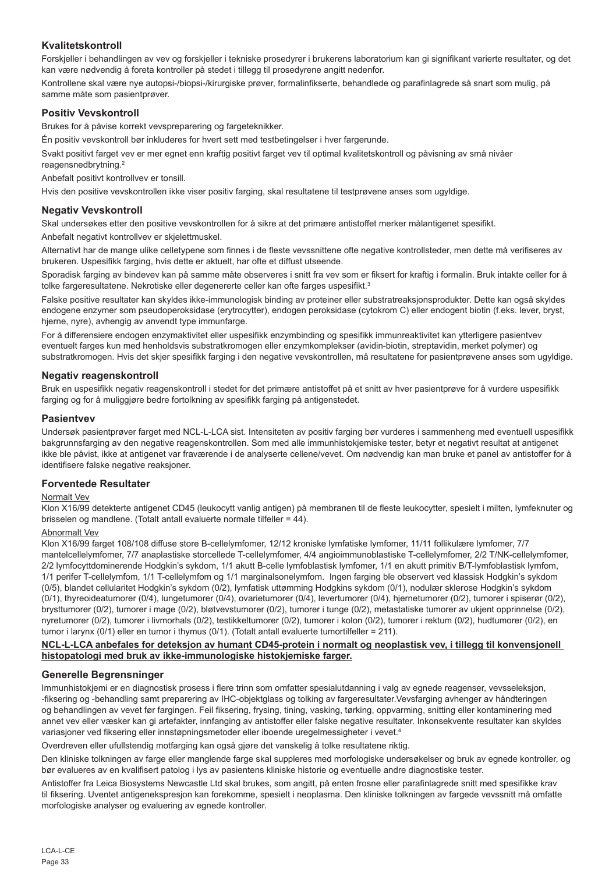## **Kvalitetskontroll**

Forskjeller i behandlingen av vev og forskjeller i tekniske prosedyrer i brukerens laboratorium kan gi signifikant varierte resultater, og det kan være nødvendig å foreta kontroller på stedet i tillegg til prosedyrene angitt nedenfor.

Kontrollene skal være nye autopsi-/biopsi-/kirurgiske prøver, formalinfikserte, behandlede og parafinlagrede så snart som mulig, på samme måte som pasientprøver.

### **Positiv Vevskontroll**

Brukes for å påvise korrekt vevspreparering og fargeteknikker.

Én positiv vevskontroll bør inkluderes for hvert sett med testbetingelser i hver fargerunde.

Svakt positivt farget vev er mer egnet enn kraftig positivt farget vev til optimal kvalitetskontroll og påvisning av små nivåer reagensnedbrytning.<sup>2</sup>

Anbefalt positivt kontrollvev er tonsill.

Hvis den positive vevskontrollen ikke viser positiv farging, skal resultatene til testprøvene anses som ugyldige.

### **Negativ Vevskontroll**

Skal undersøkes etter den positive vevskontrollen for å sikre at det primære antistoffet merker målantigenet spesifikt.

Anbefalt negativt kontrollvev er skjelettmuskel.

Alternativt har de mange ulike celletypene som finnes i de fleste vevssnittene ofte negative kontrollsteder, men dette må verifiseres av brukeren. Uspesifikk farging, hvis dette er aktuelt, har ofte et diffust utseende.

Sporadisk farging av bindevev kan på samme måte observeres i snitt fra vev som er fiksert for kraftig i formalin. Bruk intakte celler for å tolke fargeresultatene. Nekrotiske eller degenererte celler kan ofte farges uspesifikt.<sup>3</sup>

Falske positive resultater kan skyldes ikke-immunologisk binding av proteiner eller substratreaksjonsprodukter. Dette kan også skyldes endogene enzymer som pseudoperoksidase (erytrocytter), endogen peroksidase (cytokrom C) eller endogent biotin (f.eks. lever, bryst, hjerne, nyre), avhengig av anvendt type immunfarge.

For å differensiere endogen enzymaktivitet eller uspesifikk enzymbinding og spesifikk immunreaktivitet kan ytterligere pasientvev eventuelt farges kun med henholdsvis substratkromogen eller enzymkomplekser (avidin-biotin, streptavidin, merket polymer) og substratkromogen. Hvis det skjer spesifikk farging i den negative vevskontrollen, må resultatene for pasientprøvene anses som ugyldige.

#### **Negativ reagenskontroll**

Bruk en uspesifikk negativ reagenskontroll i stedet for det primære antistoffet på et snitt av hver pasientprøve for å vurdere uspesifikk farging og for å muliggjøre bedre fortolkning av spesifikk farging på antigenstedet.

#### **Pasientvev**

Undersøk pasientprøver farget med NCL-L-LCA sist. Intensiteten av positiv farging bør vurderes i sammenheng med eventuell uspesifikk bakgrunnsfarging av den negative reagenskontrollen. Som med alle immunhistokjemiske tester, betyr et negativt resultat at antigenet ikke ble påvist, ikke at antigenet var fraværende i de analyserte cellene/vevet. Om nødvendig kan man bruke et panel av antistoffer for å identifisere falske negative reaksjoner.

### **Forventede Resultater**

#### Normalt Vev

Klon X16/99 detekterte antigenet CD45 (leukocytt vanlig antigen) på membranen til de fleste leukocytter, spesielt i milten, lymfeknuter og brisselen og mandlene. (Totalt antall evaluerte normale tilfeller = 44).

#### Abnormalt Vev

Klon X16/99 farget 108/108 diffuse store B-cellelymfomer, 12/12 kroniske lymfatiske lymfomer, 11/11 follikulære lymfomer, 7/7 mantelcellelymfomer, 7/7 anaplastiske storcellede T-cellelymfomer, 4/4 angioimmunoblastiske T-cellelymfomer, 2/2 T/NK-cellelymfomer, 2/2 lymfocyttdominerende Hodgkin's sykdom, 1/1 akutt B-celle lymfoblastisk lymfomer, 1/1 en akutt primitiv B/T-lymfoblastisk lymfom, 1/1 perifer T-cellelymfom, 1/1 T-cellelymfom og 1/1 marginalsonelymfom. Ingen farging ble observert ved klassisk Hodgkin's sykdom (0/5), blandet cellularitet Hodgkin's sykdom (0/2), lymfatisk uttømming Hodgkins sykdom (0/1), nodulær sklerose Hodgkin's sykdom (0/1), thyreoideatumorer (0/4), lungetumorer (0/4), ovarietumorer (0/4), levertumorer (0/4), hjernetumorer (0/2), tumorer i spiserør (0/2), brysttumorer (0/2), tumorer i mage (0/2), bløtvevstumorer (0/2), tumorer i tunge (0/2), metastatiske tumorer av ukjent opprinnelse (0/2), nyretumorer (0/2), tumorer i livmorhals (0/2), testikkeltumorer (0/2), tumorer i kolon (0/2), tumorer i rektum (0/2), hudtumorer (0/2), en tumor i larynx (0/1) eller en tumor i thymus (0/1). (Totalt antall evaluerte tumortilfeller = 211).

#### **NCL-L-LCA anbefales for deteksjon av humant CD45-protein i normalt og neoplastisk vev, i tillegg til konvensjonell histopatologi med bruk av ikke-immunologiske histokjemiske farger.**

#### **Generelle Begrensninger**

Immunhistokjemi er en diagnostisk prosess i flere trinn som omfatter spesialutdanning i valg av egnede reagenser, vevsseleksjon, -fiksering og -behandling samt preparering av IHC-objektglass og tolking av fargeresultater.Vevsfarging avhenger av håndteringen og behandlingen av vevet før fargingen. Feil fiksering, frysing, tining, vasking, tørking, oppvarming, snitting eller kontaminering med annet vev eller væsker kan gi artefakter, innfanging av antistoffer eller falske negative resultater. Inkonsekvente resultater kan skyldes variasjoner ved fiksering eller innstøpningsmetoder eller iboende uregelmessigheter i vevet.4

Overdreven eller ufullstendig motfarging kan også gjøre det vanskelig å tolke resultatene riktig.

Den kliniske tolkningen av farge eller manglende farge skal suppleres med morfologiske undersøkelser og bruk av egnede kontroller, og bør evalueres av en kvalifisert patolog i lys av pasientens kliniske historie og eventuelle andre diagnostiske tester.

Antistoffer fra Leica Biosystems Newcastle Ltd skal brukes, som angitt, på enten frosne eller parafinlagrede snitt med spesifikke krav til fiksering. Uventet antigenekspresjon kan forekomme, spesielt i neoplasma. Den kliniske tolkningen av fargede vevssnitt må omfatte morfologiske analyser og evaluering av egnede kontroller.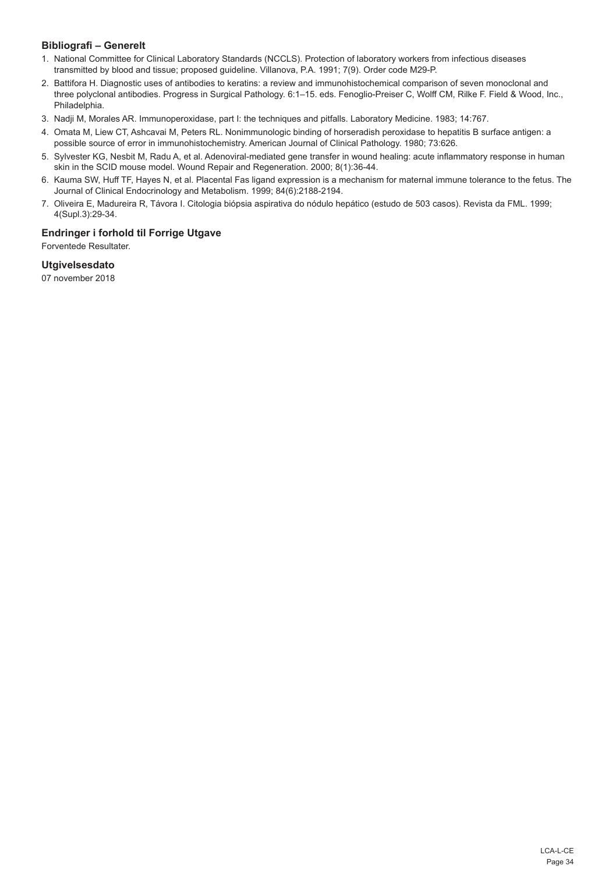## **Bibliografi – Generelt**

- 1. National Committee for Clinical Laboratory Standards (NCCLS). Protection of laboratory workers from infectious diseases transmitted by blood and tissue; proposed guideline. Villanova, P.A. 1991; 7(9). Order code M29-P.
- 2. Battifora H. Diagnostic uses of antibodies to keratins: a review and immunohistochemical comparison of seven monoclonal and three polyclonal antibodies. Progress in Surgical Pathology. 6:1–15. eds. Fenoglio-Preiser C, Wolff CM, Rilke F. Field & Wood, Inc., Philadelphia.
- 3. Nadji M, Morales AR. Immunoperoxidase, part I: the techniques and pitfalls. Laboratory Medicine. 1983; 14:767.
- 4. Omata M, Liew CT, Ashcavai M, Peters RL. Nonimmunologic binding of horseradish peroxidase to hepatitis B surface antigen: a possible source of error in immunohistochemistry. American Journal of Clinical Pathology. 1980; 73:626.
- 5. Sylvester KG, Nesbit M, Radu A, et al. Adenoviral-mediated gene transfer in wound healing: acute inflammatory response in human skin in the SCID mouse model. Wound Repair and Regeneration. 2000; 8(1):36-44.
- 6. Kauma SW, Huff TF, Hayes N, et al. Placental Fas ligand expression is a mechanism for maternal immune tolerance to the fetus. The Journal of Clinical Endocrinology and Metabolism. 1999; 84(6):2188-2194.
- 7. Oliveira E, Madureira R, Távora I. Citologia biópsia aspirativa do nódulo hepático (estudo de 503 casos). Revista da FML. 1999; 4(Supl.3):29-34.

## **Endringer i forhold til Forrige Utgave**

Forventede Resultater.

## **Utgivelsesdato**

07 november 2018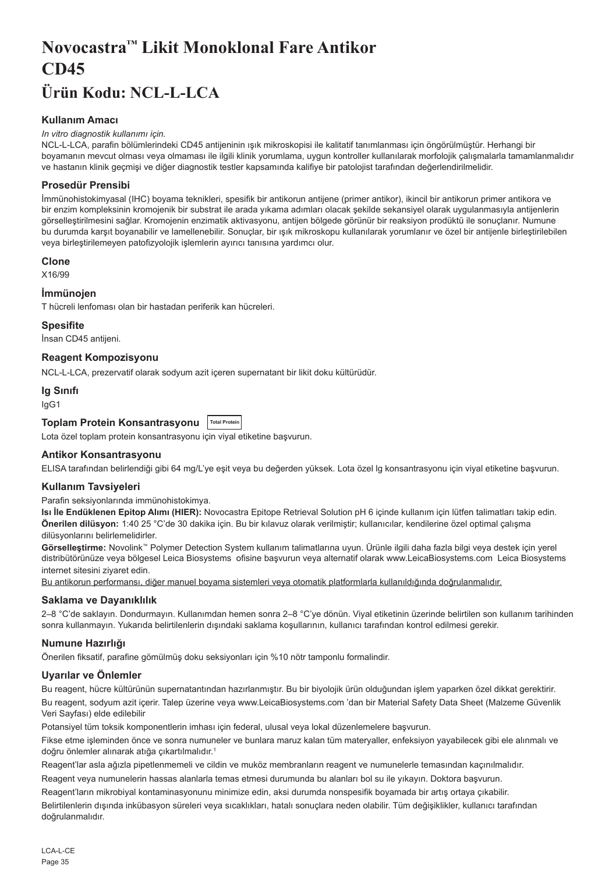## <span id="page-35-0"></span>**Novocastra™ Likit Monoklonal Fare Antikor CD45 Ürün Kodu: NCL-L-LCA**

## **Kullanım Amacı**

#### *In vitro diagnostik kullanımı için.*

NCL-L-LCA, parafin bölümlerindeki CD45 antijeninin ışık mikroskopisi ile kalitatif tanımlanması için öngörülmüştür. Herhangi bir boyamanın mevcut olması veya olmaması ile ilgili klinik yorumlama, uygun kontroller kullanılarak morfolojik çalışmalarla tamamlanmalıdır ve hastanın klinik geçmişi ve diğer diagnostik testler kapsamında kalifiye bir patolojist tarafından değerlendirilmelidir.

### **Prosedür Prensibi**

İmmünohistokimyasal (IHC) boyama teknikleri, spesifik bir antikorun antijene (primer antikor), ikincil bir antikorun primer antikora ve bir enzim kompleksinin kromojenik bir substrat ile arada yıkama adımları olacak şekilde sekansiyel olarak uygulanmasıyla antijenlerin görselleştirilmesini sağlar. Kromojenin enzimatik aktivasyonu, antijen bölgede görünür bir reaksiyon prodüktü ile sonuçlanır. Numune bu durumda karşıt boyanabilir ve lamellenebilir. Sonuçlar, bir ışık mikroskopu kullanılarak yorumlanır ve özel bir antijenle birleştirilebilen veya birleştirilemeyen patofizyolojik işlemlerin ayırıcı tanısına yardımcı olur.

#### **Clone**

X16/99

#### **İmmünojen**

T hücreli lenfoması olan bir hastadan periferik kan hücreleri.

#### **Spesifite**

İnsan CD45 antijeni.

## **Reagent Kompozisyonu**

NCL-L-LCA, prezervatif olarak sodyum azit içeren supernatant bir likit doku kültürüdür.

#### **Ig Sınıfı**

IgG1

## **Toplam Protein Konsantrasyonu Total Protein**

Lota özel toplam protein konsantrasyonu için viyal etiketine başvurun.

#### **Antikor Konsantrasyonu**

ELISA tarafından belirlendiği gibi 64 mg/L'ye eşit veya bu değerden yüksek. Lota özel lg konsantrasyonu için viyal etiketine başvurun.

#### **Kullanım Tavsiyeleri**

Parafin seksiyonlarında immünohistokimya.

**Isı İle Endüklenen Epitop Alımı (HIER):** Novocastra Epitope Retrieval Solution pH 6 içinde kullanım için lütfen talimatları takip edin. **Önerilen dilüsyon:** 1:40 25 °C'de 30 dakika için. Bu bir kılavuz olarak verilmiştir; kullanıcılar, kendilerine özel optimal çalışma dilüsyonlarını belirlemelidirler.

**Görselleştirme:** Novolink™ Polymer Detection System kullanım talimatlarına uyun. Ürünle ilgili daha fazla bilgi veya destek için yerel distribütörünüze veya bölgesel Leica Biosystems ofisine başvurun veya alternatif olarak www.LeicaBiosystems.com Leica Biosystems internet sitesini ziyaret edin.

Bu antikorun performansı, diğer manuel boyama sistemleri veya otomatik platformlarla kullanıldığında doğrulanmalıdır.

## **Saklama ve Dayanıklılık**

2–8 °C'de saklayın. Dondurmayın. Kullanımdan hemen sonra 2–8 °C'ye dönün. Viyal etiketinin üzerinde belirtilen son kullanım tarihinden sonra kullanmayın. Yukarıda belirtilenlerin dışındaki saklama koşullarının, kullanıcı tarafından kontrol edilmesi gerekir.

## **Numune Hazırlığı**

Önerilen fiksatif, parafine gömülmüş doku seksiyonları için %10 nötr tamponlu formalindir.

## **Uyarılar ve Önlemler**

Bu reagent, hücre kültürünün supernatantından hazırlanmıştır. Bu bir biyolojik ürün olduğundan işlem yaparken özel dikkat gerektirir. Bu reagent, sodyum azit içerir. Talep üzerine veya www.LeicaBiosystems.com 'dan bir Material Safety Data Sheet (Malzeme Güvenlik Veri Sayfası) elde edilebilir

Potansiyel tüm toksik komponentlerin imhası için federal, ulusal veya lokal düzenlemelere başvurun.

Fikse etme işleminden önce ve sonra numuneler ve bunlara maruz kalan tüm materyaller, enfeksiyon yayabilecek gibi ele alınmalı ve doğru önlemler alınarak atığa çıkartılmalıdır.<sup>1</sup>

Reagent'lar asla ağızla pipetlenmemeli ve cildin ve muköz membranların reagent ve numunelerle temasından kaçınılmalıdır.

Reagent veya numunelerin hassas alanlarla temas etmesi durumunda bu alanları bol su ile yıkayın. Doktora başvurun. Reagent'ların mikrobiyal kontaminasyonunu minimize edin, aksi durumda nonspesifik boyamada bir artış ortaya çıkabilir.

Belirtilenlerin dışında inkübasyon süreleri veya sıcaklıkları, hatalı sonuçlara neden olabilir. Tüm değişiklikler, kullanıcı tarafından doğrulanmalıdır.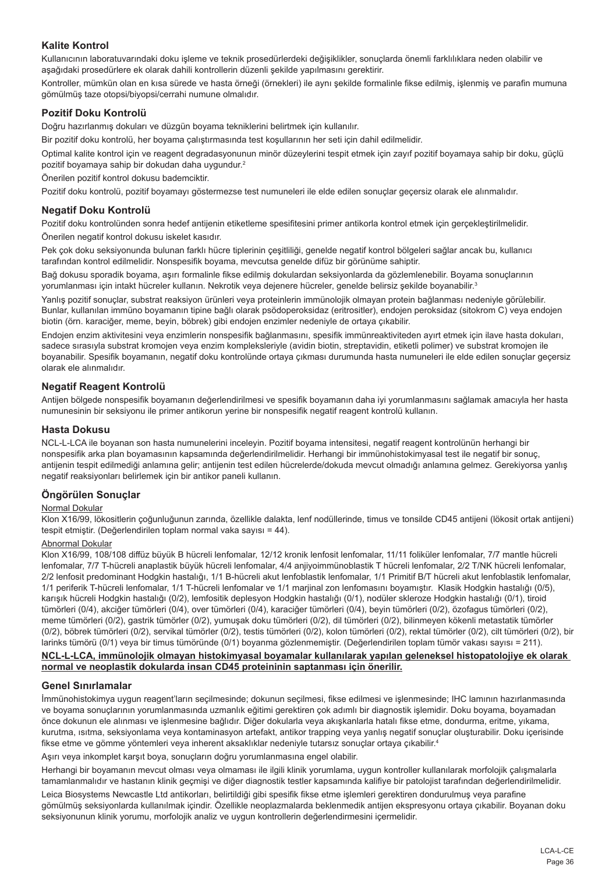## **Kalite Kontrol**

Kullanıcının laboratuvarındaki doku işleme ve teknik prosedürlerdeki değişiklikler, sonuçlarda önemli farklılıklara neden olabilir ve aşağıdaki prosedürlere ek olarak dahili kontrollerin düzenli şekilde yapılmasını gerektirir.

Kontroller, mümkün olan en kısa sürede ve hasta örneği (örnekleri) ile aynı şekilde formalinle fikse edilmiş, işlenmiş ve parafin mumuna gömülmüş taze otopsi/biyopsi/cerrahi numune olmalıdır.

## **Pozitif Doku Kontrolü**

Doğru hazırlanmış dokuları ve düzgün boyama tekniklerini belirtmek için kullanılır.

Bir pozitif doku kontrolü, her boyama çalıştırmasında test koşullarının her seti için dahil edilmelidir.

Optimal kalite kontrol için ve reagent degradasyonunun minör düzeylerini tespit etmek için zayıf pozitif boyamaya sahip bir doku, güçlü pozitif boyamaya sahip bir dokudan daha uygundur.<sup>2</sup>

Önerilen pozitif kontrol dokusu bademciktir.

Pozitif doku kontrolü, pozitif boyamayı göstermezse test numuneleri ile elde edilen sonuçlar geçersiz olarak ele alınmalıdır.

### **Negatif Doku Kontrolü**

Pozitif doku kontrolünden sonra hedef antijenin etiketleme spesifitesini primer antikorla kontrol etmek için gerçekleştirilmelidir. Önerilen negatif kontrol dokusu iskelet kasıdır.

Pek çok doku seksiyonunda bulunan farklı hücre tiplerinin çeşitliliği, genelde negatif kontrol bölgeleri sağlar ancak bu, kullanıcı tarafından kontrol edilmelidir. Nonspesifik boyama, mevcutsa genelde difüz bir görünüme sahiptir.

Bağ dokusu sporadik boyama, aşırı formalinle fikse edilmiş dokulardan seksiyonlarda da gözlemlenebilir. Boyama sonuçlarının yorumlanması için intakt hücreler kullanın. Nekrotik veya dejenere hücreler, genelde belirsiz şekilde boyanabilir.3

Yanlış pozitif sonuçlar, substrat reaksiyon ürünleri veya proteinlerin immünolojik olmayan protein bağlanması nedeniyle görülebilir. Bunlar, kullanılan immüno boyamanın tipine bağlı olarak psödoperoksidaz (eritrositler), endojen peroksidaz (sitokrom C) veya endojen biotin (örn. karaciğer, meme, beyin, böbrek) gibi endojen enzimler nedeniyle de ortaya çıkabilir.

Endojen enzim aktivitesini veya enzimlerin nonspesifik bağlanmasını, spesifik immünreaktiviteden ayırt etmek için ilave hasta dokuları, sadece sırasıyla substrat kromojen veya enzim kompleksleriyle (avidin biotin, streptavidin, etiketli polimer) ve substrat kromojen ile boyanabilir. Spesifik boyamanın, negatif doku kontrolünde ortaya çıkması durumunda hasta numuneleri ile elde edilen sonuçlar geçersiz olarak ele alınmalıdır.

## **Negatif Reagent Kontrolü**

Antijen bölgede nonspesifik boyamanın değerlendirilmesi ve spesifik boyamanın daha iyi yorumlanmasını sağlamak amacıyla her hasta numunesinin bir seksiyonu ile primer antikorun yerine bir nonspesifik negatif reagent kontrolü kullanın.

#### **Hasta Dokusu**

NCL-L-LCA ile boyanan son hasta numunelerini inceleyin. Pozitif boyama intensitesi, negatif reagent kontrolünün herhangi bir nonspesifik arka plan boyamasının kapsamında değerlendirilmelidir. Herhangi bir immünohistokimyasal test ile negatif bir sonuç, antijenin tespit edilmediği anlamına gelir; antijenin test edilen hücrelerde/dokuda mevcut olmadığı anlamına gelmez. Gerekiyorsa yanlış negatif reaksiyonları belirlemek için bir antikor paneli kullanın.

## **Öngörülen Sonuçlar**

#### Normal Dokular

Klon X16/99, lökositlerin çoğunluğunun zarında, özellikle dalakta, lenf nodüllerinde, timus ve tonsilde CD45 antijeni (lökosit ortak antijeni) tespit etmiştir. (Değerlendirilen toplam normal vaka sayısı = 44).

#### Abnormal Dokular

Klon X16/99, 108/108 diffüz büyük B hücreli lenfomalar, 12/12 kronik lenfosit lenfomalar, 11/11 foliküler lenfomalar, 7/7 mantle hücreli lenfomalar, 7/7 T-hücreli anaplastik büyük hücreli lenfomalar, 4/4 anjiyoimmünoblastik T hücreli lenfomalar, 2/2 T/NK hücreli lenfomalar, 2/2 lenfosit predominant Hodgkin hastalığı, 1/1 B-hücreli akut lenfoblastik lenfomalar, 1/1 Primitif B/T hücreli akut lenfoblastik lenfomalar, 1/1 periferik T-hücreli lenfomalar, 1/1 T-hücreli lenfomalar ve 1/1 marjinal zon lenfomasını boyamıştır. Klasik Hodgkin hastalığı (0/5), karışık hücreli Hodgkin hastalığı (0/2), lemfositik deplesyon Hodgkin hastalığı (0/1), nodüler skleroze Hodgkin hastalığı (0/1), tiroid tümörleri (0/4), akciğer tümörleri (0/4), over tümörleri (0/4), karaciğer tümörleri (0/4), beyin tümörleri (0/2), özofagus tümörleri (0/2), meme tümörleri (0/2), gastrik tümörler (0/2), yumuşak doku tümörleri (0/2), dil tümörleri (0/2), bilinmeyen kökenli metastatik tümörler (0/2), böbrek tümörleri (0/2), servikal tümörler (0/2), testis tümörleri (0/2), kolon tümörleri (0/2), rektal tümörler (0/2), cilt tümörleri (0/2), bir larinks tümörü (0/1) veya bir timus tümöründe (0/1) boyanma gözlenmemiştir. (Değerlendirilen toplam tümör vakası sayısı = 211).

#### **NCL-L-LCA, immünolojik olmayan histokimyasal boyamalar kullanılarak yapılan geleneksel histopatolojiye ek olarak normal ve neoplastik dokularda insan CD45 proteininin saptanması için önerilir.**

#### **Genel Sınırlamalar**

İmmünohistokimya uygun reagent'ların seçilmesinde; dokunun seçilmesi, fikse edilmesi ve işlenmesinde; IHC lamının hazırlanmasında ve boyama sonuçlarının yorumlanmasında uzmanlık eğitimi gerektiren çok adımlı bir diagnostik işlemidir. Doku boyama, boyamadan önce dokunun ele alınması ve işlenmesine bağlıdır. Diğer dokularla veya akışkanlarla hatalı fikse etme, dondurma, eritme, yıkama, kurutma, ısıtma, seksiyonlama veya kontaminasyon artefakt, antikor trapping veya yanlış negatif sonuçlar oluşturabilir. Doku içerisinde fikse etme ve gömme yöntemleri veya inherent aksaklıklar nedeniyle tutarsız sonuçlar ortaya çıkabilir. 4

Aşırı veya inkomplet karşıt boya, sonuçların doğru yorumlanmasına engel olabilir.

Herhangi bir boyamanın mevcut olması veya olmaması ile ilgili klinik yorumlama, uygun kontroller kullanılarak morfolojik çalışmalarla tamamlanmalıdır ve hastanın klinik geçmişi ve diğer diagnostik testler kapsamında kalifiye bir patolojist tarafından değerlendirilmelidir.

Leica Biosystems Newcastle Ltd antikorları, belirtildiği gibi spesifik fikse etme işlemleri gerektiren dondurulmuş veya parafine gömülmüş seksiyonlarda kullanılmak içindir. Özellikle neoplazmalarda beklenmedik antijen ekspresyonu ortaya çıkabilir. Boyanan doku seksiyonunun klinik yorumu, morfolojik analiz ve uygun kontrollerin değerlendirmesini içermelidir.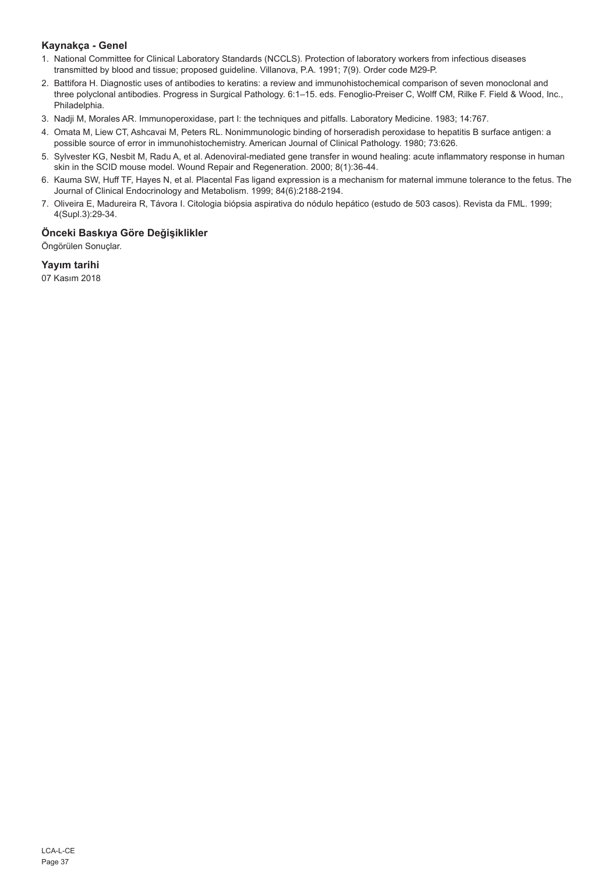## **Kaynakça - Genel**

- 1. National Committee for Clinical Laboratory Standards (NCCLS). Protection of laboratory workers from infectious diseases transmitted by blood and tissue; proposed guideline. Villanova, P.A. 1991; 7(9). Order code M29-P.
- 2. Battifora H. Diagnostic uses of antibodies to keratins: a review and immunohistochemical comparison of seven monoclonal and three polyclonal antibodies. Progress in Surgical Pathology. 6:1–15. eds. Fenoglio-Preiser C, Wolff CM, Rilke F. Field & Wood, Inc., Philadelphia.
- 3. Nadji M, Morales AR. Immunoperoxidase, part I: the techniques and pitfalls. Laboratory Medicine. 1983; 14:767.
- 4. Omata M, Liew CT, Ashcavai M, Peters RL. Nonimmunologic binding of horseradish peroxidase to hepatitis B surface antigen: a possible source of error in immunohistochemistry. American Journal of Clinical Pathology. 1980; 73:626.
- 5. Sylvester KG, Nesbit M, Radu A, et al. Adenoviral-mediated gene transfer in wound healing: acute inflammatory response in human skin in the SCID mouse model. Wound Repair and Regeneration. 2000; 8(1):36-44.
- 6. Kauma SW, Huff TF, Hayes N, et al. Placental Fas ligand expression is a mechanism for maternal immune tolerance to the fetus. The Journal of Clinical Endocrinology and Metabolism. 1999; 84(6):2188-2194.
- 7. Oliveira E, Madureira R, Távora I. Citologia biópsia aspirativa do nódulo hepático (estudo de 503 casos). Revista da FML. 1999; 4(Supl.3):29-34.

## **Önceki Baskıya Göre Değişiklikler**

Öngörülen Sonuçlar.

## **Yayım tarihi**

07 Kasım 2018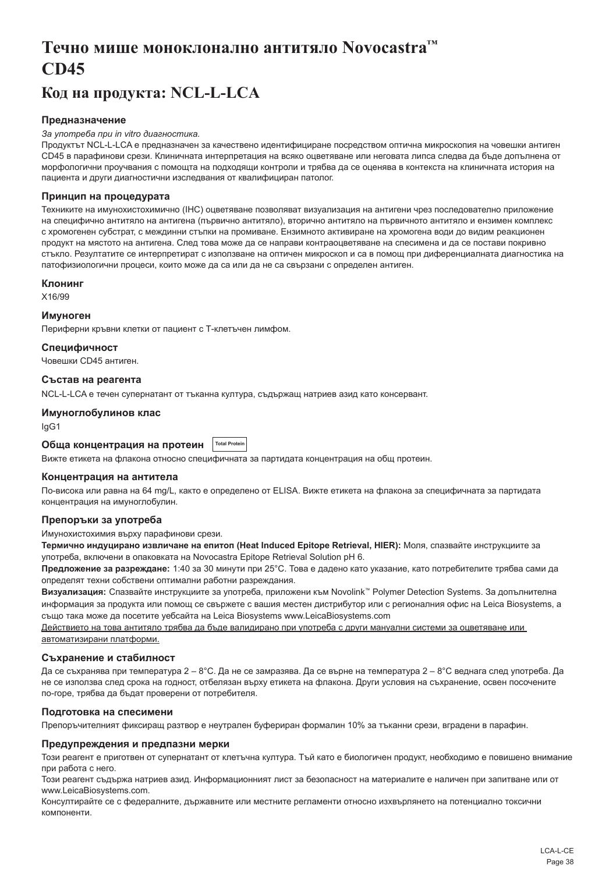## <span id="page-38-0"></span>**Течно мише моноклонално антитяло Novocastra™ CD45**

## **Код на продукта: NCL-L-LCA**

## **Предназначение**

#### *За употреба при in vitro диагностика.*

Продуктът NCL-L-LCA е предназначен за качествено идентифициране посредством оптична микроскопия на човешки антиген CD45 в парафинови срези. Клиничната интерпретация на всяко оцветяване или неговата липса следва да бъде допълнена от морфологични проучвания с помощта на подходящи контроли и трябва да се оценява в контекста на клиничната история на пациента и други диагностични изследвания от квалифициран патолог.

#### **Принцип на процедурата**

Техниките на имунохистохимично (IHC) оцветяване позволяват визуализация на антигени чрез последователно приложение на специфично антитяло на антигена (първично антитяло), вторично антитяло на първичното антитяло и ензимен комплекс с хромогенен субстрат, с междинни стъпки на промиване. Ензимното активиране на хромогена води до видим реакционен продукт на мястото на антигена. След това може да се направи контраоцветяване на спесимена и да се постави покривно стъкло. Резултатите се интерпретират с използване на оптичен микроскоп и са в помощ при диференциалната диагностика на патофизиологични процеси, които може да са или да не са свързани с определен антиген.

#### **Клонинг**

X16/99

### **Имуноген**

Периферни кръвни клетки от пациент с Т-клетъчен лимфом.

### **Специфичност**

Човешки CD45 антиген.

#### **Състав на реагента**

NCL-L-LCA е течен супернатант от тъканна култура, съдържащ натриев азид като консервант.

#### **Имуноглобулинов клас**

IgG1

#### **Обща концентрация на протеин Total Protei**

Вижте етикета на флакона относно специфичната за партидата концентрация на общ протеин.

#### **Концентрация на антитела**

По-висока или равна на 64 mg/L, както е определено от ELISA. Вижте етикета на флакона за специфичната за партидата концентрация на имуноглобулин.

#### **Препоръки за употреба**

Имунохистохимия върху парафинови срези.

**Термично индуцирано извличане на епитоп (Heat Induced Epitope Retrieval, HIER):** Моля, спазвайте инструкциите за употреба, включени в опаковката на Novocastra Epitope Retrieval Solution pH 6.

**Предложение за разреждане:** 1:40 за 30 минути при 25°C. Това е дадено като указание, като потребителите трябва сами да определят техни собствени оптимални работни разреждания.

**Визуализация:** Спазвайте инструкциите за употреба, приложени към Novolink™ Polymer Detection Systems. За допълнителна информация за продукта или помощ се свържете с вашия местен дистрибутор или с регионалния офис на Leica Biosystems, а също така може да посетите уебсайта на Leica Biosystems www.LeicaBiosystems.com

Действието на това антитяло трябва да бъде валидирано при употреба с други мануални системи за оцветяване или автоматизирани платформи.

#### **Съхранение и стабилност**

Да се съхранява при температура 2 – 8°C. Да не се замразява. Да се върне на температура 2 – 8°C веднага след употреба. Да не се използва след срока на годност, отбелязан върху етикета на флакона. Други условия на съхранение, освен посочените по-горе, трябва да бъдат проверени от потребителя.

### **Подготовка на спесимени**

Препоръчителният фиксиращ разтвор е неутрален буфериран формалин 10% за тъканни срези, вградени в парафин.

### **Предупреждения и предпазни мерки**

Този реагент е приготвен от супернатант от клетъчна култура. Тъй като е биологичен продукт, необходимо е повишено внимание при работа с него.

Този реагент съдържа натриев азид. Информационният лист за безопасност на материалите е наличен при запитване или от www.LeicaBiosystems.com.

Консултирайте се с федералните, държавните или местните регламенти относно изхвърлянето на потенциално токсични компоненти.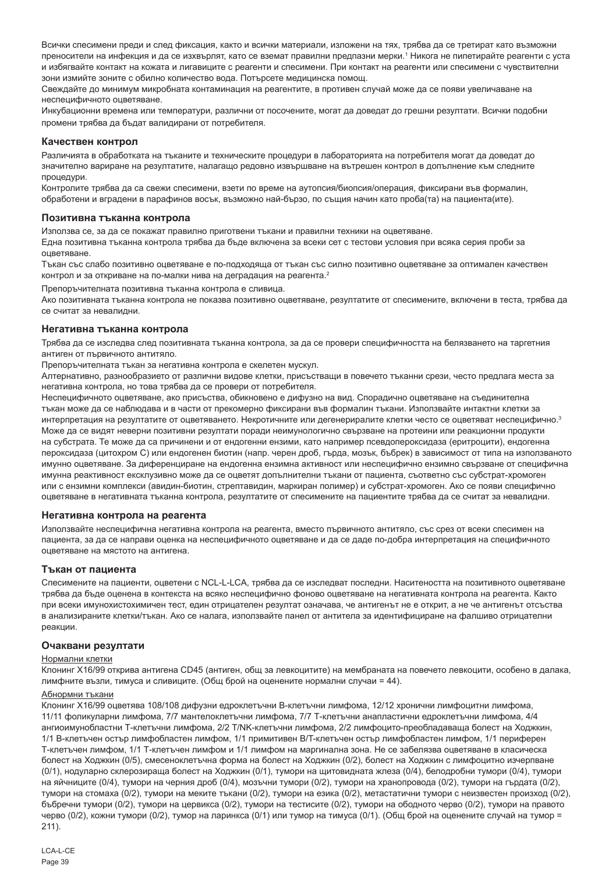Всички спесимени преди и след фиксация, както и всички материали, изложени на тях, трябва да се третират като възможни преносители на инфекция и да се изхвърлят, като се вземат правилни предпазни мерки.' Никога не пипетирайте реагенти с уста и избягвайте контакт на кожата и лигавиците с реагенти и спесимени. При контакт на реагенти или спесимени с чувствителни зони измийте зоните с обилно количество вода. Потърсете медицинска помощ.

Свеждайте до минимум микробната контаминация на реагентите, в противен случай може да се появи увеличаване на неспецифичното оцветяване.

Инкубационни времена или температури, различни от посочените, могат да доведат до грешни резултати. Всички подобни промени трябва да бъдат валидирани от потребителя.

#### **Качествен контрол**

Различията в обработката на тъканите и техническите процедури в лабораторията на потребителя могат да доведат до значително вариране на резултатите, налагащо редовно извършване на вътрешен контрол в допълнение към следните процедури.

Контролите трябва да са свежи спесимени, взети по време на аутопсия/биопсия/операция, фиксирани във формалин, обработени и вградени в парафинов восък, възможно най-бързо, по същия начин като проба(та) на пациента(ите).

#### **Позитивна тъканна контрола**

Използва се, за да се покажат правилно приготвени тъкани и правилни техники на оцветяване.

Една позитивна тъканна контрола трябва да бъде включена за всеки сет с тестови условия при всяка серия проби за оцветяване.

Тъкан със слабо позитивно оцветяване е по-подходяща от тъкан със силно позитивно оцветяване за оптимален качествен контрол и за откриване на по-малки нива на деградация на реагента.<sup>2</sup>

Препоръчителната позитивна тъканна контрола е сливица.

Ако позитивната тъканна контрола не показва позитивно оцветяване, резултатите от спесимените, включени в теста, трябва да се считат за невалидни.

#### **Негативна тъканна контрола**

Трябва да се изследва след позитивната тъканна контрола, за да се провери специфичността на белязването на таргетния антиген от първичното антитяло.

Препоръчителната тъкан за негативна контрола e скелетен мускул.

Алтернативно, разнообразието от различни видове клетки, присъстващи в повечето тъканни срези, често предлага места за негативна контрола, но това трябва да се провери от потребителя.

Неспецифичното оцветяване, ако присъства, обикновено е дифузно на вид. Спорадично оцветяване на съединителна тъкан може да се наблюдава и в части от прекомерно фиксирани във формалин тъкани. Използвайте интактни клетки за интерпретация на резултатите от оцветяването. Некротичните или дегенериралите клетки често се оцветяват неспецифично.<sup>3</sup> Може да се видят неверни позитивни резултати поради неимунологично свързване на протеини или реакционни продукти на субстрата. Те може да са причинени и от ендогенни ензими, като например псевдопероксидаза (еритроцити), ендогенна пероксидаза (цитохром C) или ендогенен биотин (напр. черен дроб, гърда, мозък, бъбрек) в зависимост от типа на използваното имунно оцветяване. За диференциране на ендогенна ензимна активност или неспецифично ензимно свързване от специфична имунна реактивност ексклузивно може да се оцветят допълнителни тъкани от пациента, съответно със субстрат-хромоген или с ензимни комплекси (авидин-биотин, стрептавидин, маркиран полимер) и субстрат-хромоген. Ако се появи специфично оцветяване в негативната тъканна контрола, резултатите от спесимените на пациентите трябва да се считат за невалидни.

#### **Негативна контрола на реагента**

Използвайте неспецифична негативна контрола на реагента, вместо първичното антитяло, със срез от всеки спесимен на пациента, за да се направи оценка на неспецифичното оцветяване и да се даде по-добра интерпретация на специфичното оцветяване на мястото на антигена.

#### **Тъкан от пациента**

Спесимените на пациенти, оцветени с NCL-L-LCA, трябва да се изследват последни. Наситеността на позитивното оцветяване трябва да бъде оценена в контекста на всяко неспецифично фоново оцветяване на негативната контрола на реагента. Както при всеки имунохистохимичен тест, един отрицателен резултат означава, че антигенът не е открит, а не че антигенът отсъства в анализираните клетки/тъкан. Ако се налага, използвайте панел от антитела за идентифициране на фалшиво отрицателни реакции.

#### **Очаквани резултати**

#### Нормални клетки

Клонинг X16/99 открива антигена CD45 (антиген, общ за левкоцитите) на мембраната на повечето левкоцити, особено в далака, лимфните възли, тимуса и сливиците. (Общ брой на оценените нормални случаи = 44).

#### Абнормни тъкани

Клонинг X16/99 оцветява 108/108 дифузни едроклетъчни B-клетъчни лимфома, 12/12 хронични лимфоцитни лимфома, 11/11 фоликуларни лимфома, 7/7 мантелоклетъчни лимфома, 7/7 Т-клетъчни анапластични едроклетъчни лимфома, 4/4 ангиоимунобластни Т-клетъчни лимфома, 2/2 T/NK-клетъчни лимфома, 2/2 лимфоцито-преобладаваща болест на Ходжкин, 1/1 B-клетъчен остър лимфобластен лимфом, 1/1 примитивен B/T-клетъчен остър лимфобластен лимфом, 1/1 периферен Т-клетъчен лимфом, 1/1 Т-клетъчен лимфом и 1/1 лимфом на маргинална зона. Не се забелязва оцветяване в класическа болест на Ходжкин (0/5), смесеноклетъчна форма на болест на Ходжкин (0/2), болест на Ходжкин с лимфоцитно изчерпване (0/1), нодуларно склерозираща болест на Ходжкин (0/1), тумори на щитовидната жлеза (0/4), белодробни тумори (0/4), тумори на яйчниците (0/4), тумори на черния дроб (0/4), мозъчни тумори (0/2), тумори на хранопровода (0/2), тумори на гърдата (0/2), тумори на стомаха (0/2), тумори на меките тъкани (0/2), тумори на езика (0/2), метастатични тумори с неизвестен произход (0/2), бъбречни тумори (0/2), тумори на цервикса (0/2), тумори на тестисите (0/2), тумори на ободното черво (0/2), тумори на правото черво (0/2), кожни тумори (0/2), тумор на ларинкса (0/1) или тумор на тимуса (0/1). (Общ брой на оценените случай на тумор = 211).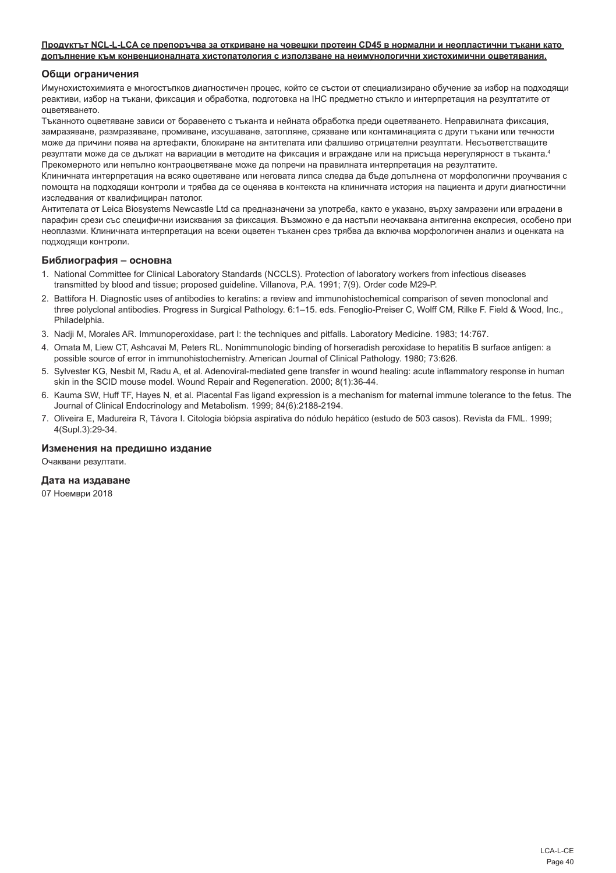#### **Продуктът NCL-L-LCA се препоръчва за откриване на човешки протеин CD45 в нормални и неопластични тъкани като допълнение към конвенционалната хистопатология с използване на неимунологични хистохимични оцветявания.**

#### **Общи ограничения**

Имунохистохимията е многостъпков диагностичен процес, който се състои от специализирано обучение за избор на подходящи реактиви, избор на тъкани, фиксация и обработка, подготовка на IHC предметно стъкло и интерпретация на резултатите от оцветяването.

Тъканното оцветяване зависи от боравенето с тъканта и нейната обработка преди оцветяването. Неправилната фиксация, замразяване, размразяване, промиване, изсушаване, затопляне, срязване или контаминацията с други тъкани или течности може да причини поява на артефакти, блокиране на антителата или фалшиво отрицателни резултати. Несъответстващите резултати може да се дължат на вариации в методите на фиксация и вграждане или на присъща нерегулярност в тъканта.<sup>4</sup> Прекомерното или непълно контраоцветяване може да попречи на правилната интерпретация на резултатите.

Клиничната интерпретация на всяко оцветяване или неговата липса следва да бъде допълнена от морфологични проучвания с помощта на подходящи контроли и трябва да се оценява в контекста на клиничната история на пациента и други диагностични изследвания от квалифициран патолог.

Антителата от Leica Biosystems Newcastle Ltd са предназначени за употреба, както е указано, върху замразени или вградени в парафин срези със специфични изисквания за фиксация. Възможно е да настъпи неочаквана антигенна експресия, особено при неоплазми. Клиничната интерпретация на всеки оцветен тъканен срез трябва да включва морфологичен анализ и оценката на подходящи контроли.

#### **Библиография – основна**

- 1. National Committee for Clinical Laboratory Standards (NCCLS). Protection of laboratory workers from infectious diseases transmitted by blood and tissue; proposed guideline. Villanova, P.A. 1991; 7(9). Order code M29-P.
- 2. Battifora H. Diagnostic uses of antibodies to keratins: a review and immunohistochemical comparison of seven monoclonal and three polyclonal antibodies. Progress in Surgical Pathology. 6:1–15. eds. Fenoglio-Preiser C, Wolff CM, Rilke F. Field & Wood, Inc., Philadelphia.
- 3. Nadji M, Morales AR. Immunoperoxidase, part I: the techniques and pitfalls. Laboratory Medicine. 1983; 14:767.
- 4. Omata M, Liew CT, Ashcavai M, Peters RL. Nonimmunologic binding of horseradish peroxidase to hepatitis B surface antigen: a possible source of error in immunohistochemistry. American Journal of Clinical Pathology. 1980; 73:626.
- 5. Sylvester KG, Nesbit M, Radu A, et al. Adenoviral-mediated gene transfer in wound healing: acute inflammatory response in human skin in the SCID mouse model. Wound Repair and Regeneration. 2000; 8(1):36-44.
- 6. Kauma SW, Huff TF, Hayes N, et al. Placental Fas ligand expression is a mechanism for maternal immune tolerance to the fetus. The Journal of Clinical Endocrinology and Metabolism. 1999; 84(6):2188-2194.
- 7. Oliveira E, Madureira R, Távora I. Citologia biópsia aspirativa do nódulo hepático (estudo de 503 casos). Revista da FML. 1999; 4(Supl.3):29-34.

#### **Изменения на предишно издание**

Очаквани резултати.

## **Дата на издаване**

07 Ноември 2018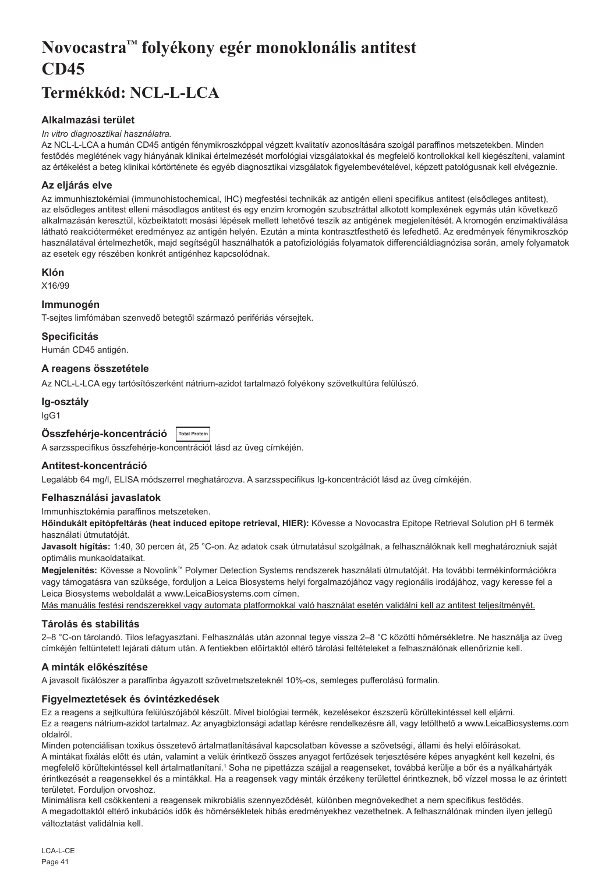# <span id="page-41-0"></span>**Novocastra™ folyékony egér monoklonális antitest CD45**

## **Termékkód: NCL-L-LCA**

## **Alkalmazási terület**

### *In vitro diagnosztikai használatra.*

Az NCL-L-LCA a humán CD45 antigén fénymikroszkóppal végzett kvalitatív azonosítására szolgál paraffinos metszetekben. Minden festődés meglétének vagy hiányának klinikai értelmezését morfológiai vizsgálatokkal és megfelelő kontrollokkal kell kiegészíteni, valamint az értékelést a beteg klinikai kórtörténete és egyéb diagnosztikai vizsgálatok figyelembevételével, képzett patológusnak kell elvégeznie.

## **Az eljárás elve**

Az immunhisztokémiai (immunohistochemical, IHC) megfestési technikák az antigén elleni specifikus antitest (elsődleges antitest), az elsődleges antitest elleni másodlagos antitest és egy enzim kromogén szubsztráttal alkotott komplexének egymás után következő alkalmazásán keresztül, közbeiktatott mosási lépések mellett lehetővé teszik az antigének megjelenítését. A kromogén enzimaktiválása látható reakcióterméket eredményez az antigén helyén. Ezután a minta kontrasztfesthető és lefedhető. Az eredmények fénymikroszkóp használatával értelmezhetők, majd segítségül használhatók a patofiziológiás folyamatok differenciáldiagnózisa során, amely folyamatok az esetek egy részében konkrét antigénhez kapcsolódnak.

## **Klón**

X16/99

## **Immunogén**

T-sejtes limfómában szenvedő betegtől származó perifériás vérsejtek.

## **Specificitás**

Humán CD45 antigén.

## **A reagens összetétele**

Az NCL-L-LCA egy tartósítószerként nátrium-azidot tartalmazó folyékony szövetkultúra felülúszó.

## **Ig-osztály**

IgG1

## **Összfehérje-koncentráció Total Protein**

A sarzsspecifikus összfehérje-koncentrációt lásd az üveg címkéjén.

## **Antitest-koncentráció**

Legalább 64 mg/l, ELISA módszerrel meghatározva. A sarzsspecifikus Ig-koncentrációt lásd az üveg címkéjén.

## **Felhasználási javaslatok**

Immunhisztokémia paraffinos metszeteken.

**Hőindukált epitópfeltárás (heat induced epitope retrieval, HIER):** Kövesse a Novocastra Epitope Retrieval Solution pH 6 termék használati útmutatóját.

**Javasolt hígítás:** 1:40, 30 percen át, 25 °C-on. Az adatok csak útmutatásul szolgálnak, a felhasználóknak kell meghatározniuk saját optimális munkaoldataikat.

**Megjelenítés:** Kövesse a Novolink™ Polymer Detection Systems rendszerek használati útmutatóját. Ha további termékinformációkra vagy támogatásra van szüksége, forduljon a Leica Biosystems helyi forgalmazójához vagy regionális irodájához, vagy keresse fel a Leica Biosystems weboldalát a www.LeicaBiosystems.com címen.

Más manuális festési rendszerekkel vagy automata platformokkal való használat esetén validálni kell az antitest teljesítményét.

## **Tárolás és stabilitás**

2–8 °C-on tárolandó. Tilos lefagyasztani. Felhasználás után azonnal tegye vissza 2–8 °C közötti hőmérsékletre. Ne használja az üveg címkéjén feltüntetett lejárati dátum után. A fentiekben előírtaktól eltérő tárolási feltételeket a felhasználónak ellenőriznie kell.

## **A minták előkészítése**

A javasolt fixálószer a paraffinba ágyazott szövetmetszeteknél 10%-os, semleges pufferolású formalin.

## **Figyelmeztetések és óvintézkedések**

Ez a reagens a sejtkultúra felülúszójából készült. Mivel biológiai termék, kezelésekor észszerű körültekintéssel kell eljárni. Ez a reagens nátrium-azidot tartalmaz. Az anyagbiztonsági adatlap kérésre rendelkezésre áll, vagy letölthető a www.LeicaBiosystems.com oldalról.

Minden potenciálisan toxikus összetevő ártalmatlanításával kapcsolatban kövesse a szövetségi, állami és helyi előírásokat. A mintákat fixálás előtt és után, valamint a velük érintkező összes anyagot fertőzések terjesztésére képes anyagként kell kezelni, és megfelelő körültekintéssel kell ártalmatlanítani.1 Soha ne pipettázza szájjal a reagenseket, továbbá kerülje a bőr és a nyálkahártyák érintkezését a reagensekkel és a mintákkal. Ha a reagensek vagy minták érzékeny területtel érintkeznek, bő vízzel mossa le az érintett területet. Forduljon orvoshoz.

Minimálisra kell csökkenteni a reagensek mikrobiális szennyeződését, különben megnövekedhet a nem specifikus festődés. A megadottaktól eltérő inkubációs idők és hőmérsékletek hibás eredményekhez vezethetnek. A felhasználónak minden ilyen jellegű változtatást validálnia kell.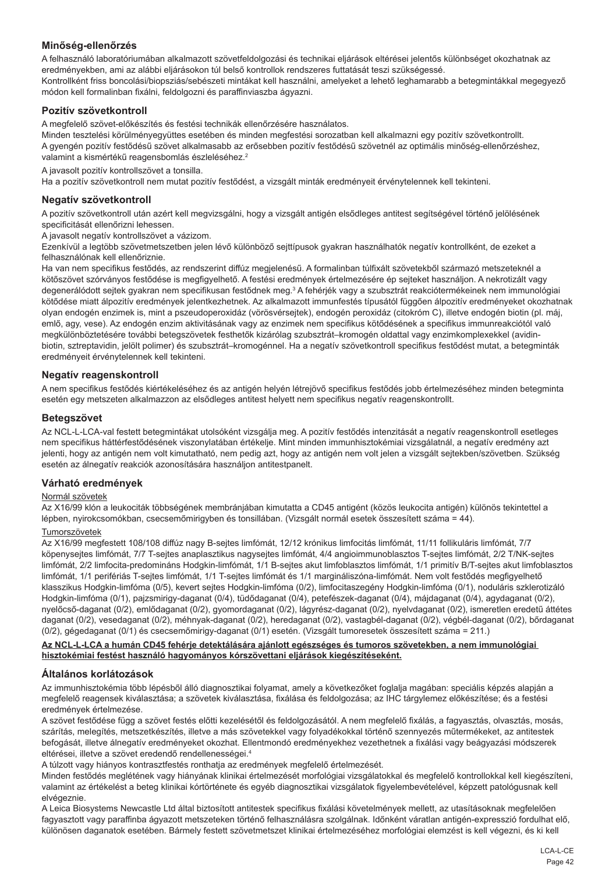## **Minőség-ellenőrzés**

A felhasználó laboratóriumában alkalmazott szövetfeldolgozási és technikai eljárások eltérései jelentős különbséget okozhatnak az eredményekben, ami az alábbi eljárásokon túl belső kontrollok rendszeres futtatását teszi szükségessé. Kontrollként friss boncolási/biopsziás/sebészeti mintákat kell használni, amelyeket a lehető leghamarabb a betegmintákkal megegyező módon kell formalinban fixálni, feldolgozni és paraffinviaszba ágyazni.

## **Pozitív szövetkontroll**

A megfelelő szövet-előkészítés és festési technikák ellenőrzésére használatos.

Minden tesztelési körülményegyüttes esetében és minden megfestési sorozatban kell alkalmazni egy pozitív szövetkontrollt. A gyengén pozitív festődésű szövet alkalmasabb az erősebben pozitív festődésű szövetnél az optimális minőség-ellenőrzéshez, valamint a kismértékű reagensbomlás észleléséhez.<sup>2</sup>

A javasolt pozitív kontrollszövet a tonsilla.

Ha a pozitív szövetkontroll nem mutat pozitív festődést, a vizsgált minták eredményeit érvénytelennek kell tekinteni.

#### **Negatív szövetkontroll**

A pozitív szövetkontroll után azért kell megvizsgálni, hogy a vizsgált antigén elsődleges antitest segítségével történő jelölésének specificitását ellenőrizni lehessen.

A javasolt negatív kontrollszövet a vázizom.

Ezenkívül a legtöbb szövetmetszetben jelen lévő különböző sejttípusok gyakran használhatók negatív kontrollként, de ezeket a felhasználónak kell ellenőriznie.

Ha van nem specifikus festődés, az rendszerint diffúz megjelenésű. A formalinban túlfixált szövetekből származó metszeteknél a kötőszövet szórványos festődése is megfigyelhető. A festési eredmények értelmezésére ép sejteket használjon. A nekrotizált vagy degenerálódott sejtek gyakran nem specifikusan festődnek meg.<sup>3</sup> A fehérjék vagy a szubsztrát reakciótermékeinek nem immunológiai kötődése miatt álpozitív eredmények jelentkezhetnek. Az alkalmazott immunfestés típusától függően álpozitív eredményeket okozhatnak olyan endogén enzimek is, mint a pszeudoperoxidáz (vörösvérsejtek), endogén peroxidáz (citokróm C), illetve endogén biotin (pl. máj, emlő, agy, vese). Az endogén enzim aktivitásának vagy az enzimek nem specifikus kötődésének a specifikus immunreakciótól való megkülönböztetésére további betegszövetek festhetők kizárólag szubsztrát–kromogén oldattal vagy enzimkomplexekkel (avidinbiotin, sztreptavidin, jelölt polimer) és szubsztrát–kromogénnel. Ha a negatív szövetkontroll specifikus festődést mutat, a betegminták eredményeit érvénytelennek kell tekinteni.

#### **Negatív reagenskontroll**

A nem specifikus festődés kiértékeléséhez és az antigén helyén létrejövő specifikus festődés jobb értelmezéséhez minden betegminta esetén egy metszeten alkalmazzon az elsődleges antitest helyett nem specifikus negatív reagenskontrollt.

#### **Betegszövet**

Az NCL-L-LCA-val festett betegmintákat utolsóként vizsgálja meg. A pozitív festődés intenzitását a negatív reagenskontroll esetleges nem specifikus háttérfestődésének viszonylatában értékelje. Mint minden immunhisztokémiai vizsgálatnál, a negatív eredmény azt jelenti, hogy az antigén nem volt kimutatható, nem pedig azt, hogy az antigén nem volt jelen a vizsgált sejtekben/szövetben. Szükség esetén az álnegatív reakciók azonosítására használjon antitestpanelt.

## **Várható eredmények**

#### Normál szövetek

Az X16/99 klón a leukociták többségének membránjában kimutatta a CD45 antigént (közös leukocita antigén) különös tekintettel a lépben, nyirokcsomókban, csecsemőmirigyben és tonsillában. (Vizsgált normál esetek összesített száma = 44).

#### Tumorszövetek

Az X16/99 megfestett 108/108 diffúz nagy B-sejtes limfómát, 12/12 krónikus limfocitás limfómát, 11/11 follikuláris limfómát, 7/7 köpenysejtes limfómát, 7/7 T-sejtes anaplasztikus nagysejtes limfómát, 4/4 angioimmunoblasztos T-sejtes limfómát, 2/2 T/NK-sejtes limfómát, 2/2 limfocita-predomináns Hodgkin-limfómát, 1/1 B-sejtes akut limfoblasztos limfómát, 1/1 primitív B/T-sejtes akut limfoblasztos limfómát, 1/1 perifériás T-sejtes limfómát, 1/1 T-sejtes limfómát és 1/1 margináliszóna-limfómát. Nem volt festődés megfigyelhető klasszikus Hodgkin-limfóma (0/5), kevert sejtes Hodgkin-limfóma (0/2), limfocitaszegény Hodgkin-limfóma (0/1), noduláris szklerotizáló Hodgkin-limfóma (0/1), pajzsmirigy-daganat (0/4), tüdődaganat (0/4), petefészek-daganat (0/4), májdaganat (0/4), agydaganat (0/2), nyelőcső-daganat (0/2), emlődaganat (0/2), gyomordaganat (0/2), lágyrész-daganat (0/2), nyelvdaganat (0/2), ismeretlen eredetű áttétes daganat (0/2), vesedaganat (0/2), méhnyak-daganat (0/2), heredaganat (0/2), vastagbél-daganat (0/2), végbél-daganat (0/2), bőrdaganat (0/2), gégedaganat (0/1) és csecsemőmirigy-daganat (0/1) esetén. (Vizsgált tumoresetek összesített száma = 211.)

#### **Az NCL-L-LCA a humán CD45 fehérje detektálására ajánlott egészséges és tumoros szövetekben, a nem immunológiai hisztokémiai festést használó hagyományos kórszövettani eljárások kiegészítéseként.**

#### **Általános korlátozások**

Az immunhisztokémia több lépésből álló diagnosztikai folyamat, amely a következőket foglalja magában: speciális képzés alapján a megfelelő reagensek kiválasztása; a szövetek kiválasztása, fixálása és feldolgozása; az IHC tárgylemez előkészítése; és a festési eredmények értelmezése.

A szövet festődése függ a szövet festés előtti kezelésétől és feldolgozásától. A nem megfelelő fixálás, a fagyasztás, olvasztás, mosás, szárítás, melegítés, metszetkészítés, illetve a más szövetekkel vagy folyadékokkal történő szennyezés műtermékeket, az antitestek befogását, illetve álnegatív eredményeket okozhat. Ellentmondó eredményekhez vezethetnek a fixálási vagy beágyazási módszerek eltérései, illetve a szövet eredendő rendellenességei.4

A túlzott vagy hiányos kontrasztfestés ronthatja az eredmények megfelelő értelmezését.

Minden festődés meglétének vagy hiányának klinikai értelmezését morfológiai vizsgálatokkal és megfelelő kontrollokkal kell kiegészíteni, valamint az értékelést a beteg klinikai kórtörténete és egyéb diagnosztikai vizsgálatok figyelembevételével, képzett patológusnak kell elvégeznie.

A Leica Biosystems Newcastle Ltd által biztosított antitestek specifikus fixálási követelmények mellett, az utasításoknak megfelelően fagyasztott vagy paraffinba ágyazott metszeteken történő felhasználásra szolgálnak. Időnként váratlan antigén-expresszió fordulhat elő, különösen daganatok esetében. Bármely festett szövetmetszet klinikai értelmezéséhez morfológiai elemzést is kell végezni, és ki kell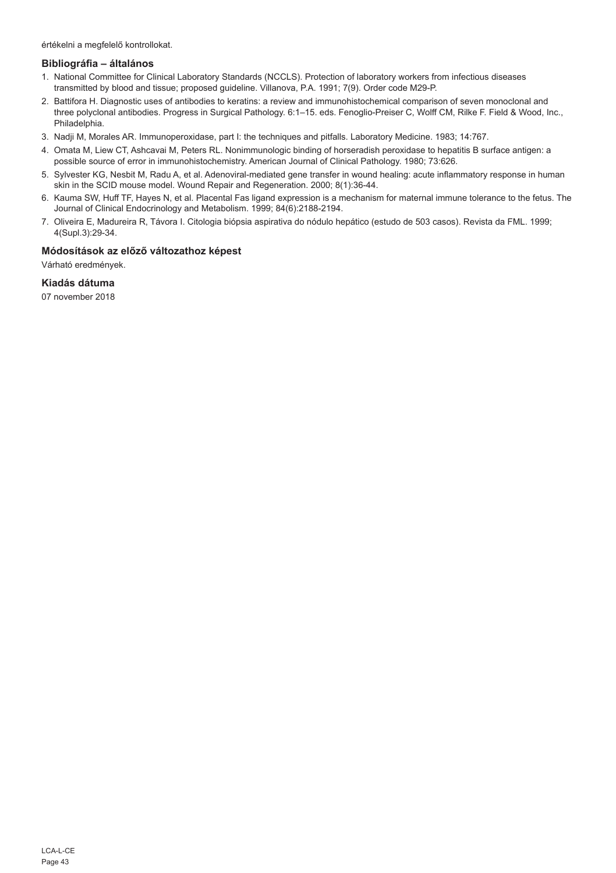értékelni a megfelelő kontrollokat.

#### **Bibliográfia – általános**

- 1. National Committee for Clinical Laboratory Standards (NCCLS). Protection of laboratory workers from infectious diseases transmitted by blood and tissue; proposed guideline. Villanova, P.A. 1991; 7(9). Order code M29-P.
- 2. Battifora H. Diagnostic uses of antibodies to keratins: a review and immunohistochemical comparison of seven monoclonal and three polyclonal antibodies. Progress in Surgical Pathology. 6:1–15. eds. Fenoglio-Preiser C, Wolff CM, Rilke F. Field & Wood, Inc., Philadelphia.
- 3. Nadji M, Morales AR. Immunoperoxidase, part I: the techniques and pitfalls. Laboratory Medicine. 1983; 14:767.
- 4. Omata M, Liew CT, Ashcavai M, Peters RL. Nonimmunologic binding of horseradish peroxidase to hepatitis B surface antigen: a possible source of error in immunohistochemistry. American Journal of Clinical Pathology. 1980; 73:626.
- 5. Sylvester KG, Nesbit M, Radu A, et al. Adenoviral-mediated gene transfer in wound healing: acute inflammatory response in human skin in the SCID mouse model. Wound Repair and Regeneration. 2000; 8(1):36-44.
- 6. Kauma SW, Huff TF, Hayes N, et al. Placental Fas ligand expression is a mechanism for maternal immune tolerance to the fetus. The Journal of Clinical Endocrinology and Metabolism. 1999; 84(6):2188-2194.
- 7. Oliveira E, Madureira R, Távora I. Citologia biópsia aspirativa do nódulo hepático (estudo de 503 casos). Revista da FML. 1999; 4(Supl.3):29-34.

## **Módosítások az előző változathoz képest**

Várható eredmények.

## **Kiadás dátuma**

07 november 2018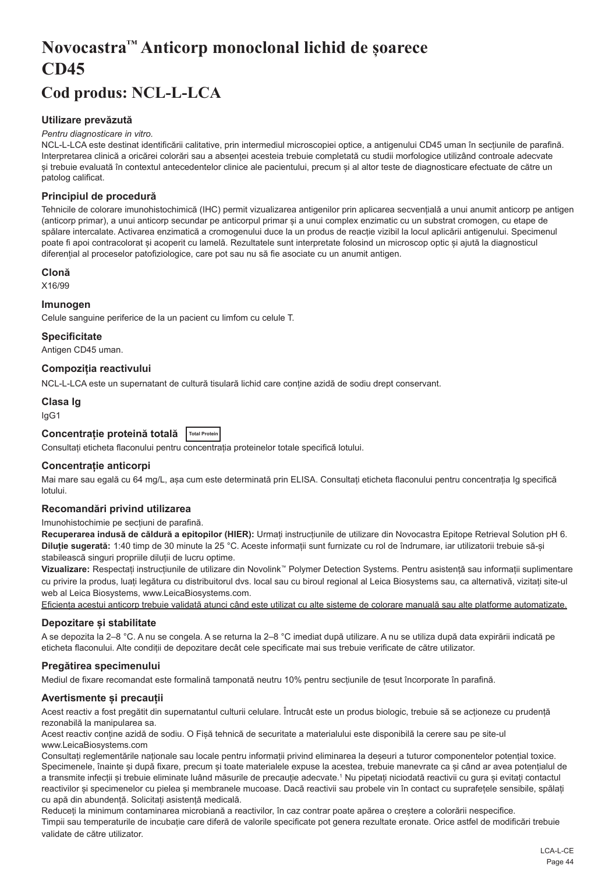# <span id="page-44-0"></span>**Novocastra™ Anticorp monoclonal lichid de șoarece CD45**

## **Cod produs: NCL-L-LCA**

## **Utilizare prevăzută**

#### *Pentru diagnosticare in vitro.*

NCL-L-LCA este destinat identificării calitative, prin intermediul microscopiei optice, a antigenului CD45 uman în secțiunile de parafină. Interpretarea clinică a oricărei colorări sau a absenței acesteia trebuie completată cu studii morfologice utilizând controale adecvate și trebuie evaluată în contextul antecedentelor clinice ale pacientului, precum și al altor teste de diagnosticare efectuate de către un patolog calificat.

## **Principiul de procedură**

Tehnicile de colorare imunohistochimică (IHC) permit vizualizarea antigenilor prin aplicarea secvențială a unui anumit anticorp pe antigen (anticorp primar), a unui anticorp secundar pe anticorpul primar și a unui complex enzimatic cu un substrat cromogen, cu etape de spălare intercalate. Activarea enzimatică a cromogenului duce la un produs de reacție vizibil la locul aplicării antigenului. Specimenul poate fi apoi contracolorat și acoperit cu lamelă. Rezultatele sunt interpretate folosind un microscop optic și ajută la diagnosticul diferențial al proceselor patofiziologice, care pot sau nu să fie asociate cu un anumit antigen.

#### **Clonă**

X16/99

#### **Imunogen**

Celule sanguine periferice de la un pacient cu limfom cu celule T.

**Specificitate**

Antigen CD45 uman.

## **Compoziția reactivului**

NCL-L-LCA este un supernatant de cultură tisulară lichid care conține azidă de sodiu drept conservant.

## **Clasa Ig**

IgG1

## **Concentrație proteină totală Total Protein**

Consultați eticheta flaconului pentru concentrația proteinelor totale specifică lotului.

## **Concentrație anticorpi**

Mai mare sau egală cu 64 mg/L, asa cum este determinată prin ELISA. Consultati eticheta flaconului pentru concentratia Ig specifică lotului.

#### **Recomandări privind utilizarea**

#### Imunohistochimie pe secțiuni de parafină.

**Recuperarea indusă de căldură a epitopilor (HIER):** Urmați instrucțiunile de utilizare din Novocastra Epitope Retrieval Solution pH 6. **Diluție sugerată:** 1:40 timp de 30 minute la 25 °C. Aceste informații sunt furnizate cu rol de îndrumare, iar utilizatorii trebuie să-și stabilească singuri propriile diluții de lucru optime.

**Vizualizare:** Respectați instrucțiunile de utilizare din Novolink™ Polymer Detection Systems. Pentru asistență sau informații suplimentare cu privire la produs, luați legătura cu distribuitorul dvs. local sau cu biroul regional al Leica Biosystems sau, ca alternativă, vizitați site-ul web al Leica Biosystems, www.LeicaBiosystems.com.

Eficiența acestui anticorp trebuie validată atunci când este utilizat cu alte sisteme de colorare manuală sau alte platforme automatizate.

## **Depozitare și stabilitate**

A se depozita la 2–8 °C. A nu se congela. A se returna la 2–8 °C imediat după utilizare. A nu se utiliza după data expirării indicată pe eticheta flaconului. Alte condiții de depozitare decât cele specificate mai sus trebuie verificate de către utilizator.

## **Pregătirea specimenului**

Mediul de fixare recomandat este formalină tamponată neutru 10% pentru secțiunile de țesut încorporate în parafină.

## **Avertismente și precauții**

Acest reactiv a fost pregătit din supernatantul culturii celulare. Întrucât este un produs biologic, trebuie să se acționeze cu prudență rezonabilă la manipularea sa.

Acest reactiv conține azidă de sodiu. O Fișă tehnică de securitate a materialului este disponibilă la cerere sau pe site-ul www.LeicaBiosystems.com

Consultați reglementările naționale sau locale pentru informații privind eliminarea la deșeuri a tuturor componentelor potențial toxice. Specimenele, înainte și după fixare, precum și toate materialele expuse la acestea, trebuie manevrate ca și când ar avea potențialul de a transmite infecții și trebuie eliminate luând măsurile de precauție adecvate.<sup>1</sup> Nu pipetați niciodată reactivii cu gura și evitați contactul reactivilor și specimenelor cu pielea și membranele mucoase. Dacă reactivii sau probele vin în contact cu suprafețele sensibile, spălați cu apă din abundență. Solicitați asistență medicală.

Reduceți la minimum contaminarea microbiană a reactivilor, în caz contrar poate apărea o creștere a colorării nespecifice. Timpii sau temperaturile de incubație care diferă de valorile specificate pot genera rezultate eronate. Orice astfel de modificări trebuie validate de către utilizator.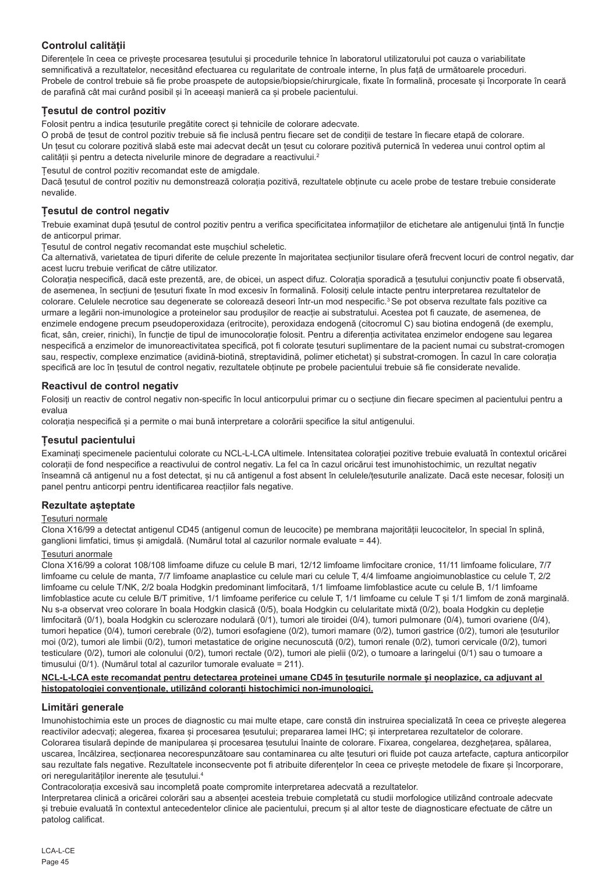## **Controlul calității**

Diferențele în ceea ce privește procesarea țesutului și procedurile tehnice în laboratorul utilizatorului pot cauza o variabilitate semnificativă a rezultatelor, necesitând efectuarea cu regularitate de controale interne, în plus față de următoarele proceduri. Probele de control trebuie să fie probe proaspete de autopsie/biopsie/chirurgicale, fixate în formalină, procesate și încorporate în ceară de parafină cât mai curând posibil și în aceeași manieră ca și probele pacientului.

## **Țesutul de control pozitiv**

Folosit pentru a indica țesuturile pregătite corect și tehnicile de colorare adecvate.

O probă de țesut de control pozitiv trebuie să fie inclusă pentru fiecare set de condiții de testare în fiecare etapă de colorare. Un țesut cu colorare pozitivă slabă este mai adecvat decât un țesut cu colorare pozitivă puternică în vederea unui control optim al calității și pentru a detecta nivelurile minore de degradare a reactivului.<sup>2</sup>

Țesutul de control pozitiv recomandat este de amigdale.

Dacă țesutul de control pozitiv nu demonstrează colorația pozitivă, rezultatele obținute cu acele probe de testare trebuie considerate nevalide.

## **Țesutul de control negativ**

Trebuie examinat după țesutul de control pozitiv pentru a verifica specificitatea informațiilor de etichetare ale antigenului țintă în funcție de anticorpul primar.

Țesutul de control negativ recomandat este mușchiul scheletic.

Ca alternativă, varietatea de tipuri diferite de celule prezente în majoritatea secțiunilor tisulare oferă frecvent locuri de control negativ, dar acest lucru trebuie verificat de către utilizator.

Colorația nespecifică, dacă este prezentă, are, de obicei, un aspect difuz. Colorația sporadică a țesutului conjunctiv poate fi observată, de asemenea, în secțiuni de țesuturi fixate în mod excesiv în formalină. Folosiți celule intacte pentru interpretarea rezultatelor de colorare. Celulele necrotice sau degenerate se colorează deseori într-un mod nespecific.<sup>3</sup> Se pot observa rezultate fals pozitive ca urmare a legării non-imunologice a proteinelor sau produșilor de reacție ai substratului. Acestea pot fi cauzate, de asemenea, de enzimele endogene precum pseudoperoxidaza (eritrocite), peroxidaza endogenă (citocromul C) sau biotina endogenă (de exemplu, ficat, sân, creier, rinichi), în funcție de tipul de imunocolorație folosit. Pentru a diferenția activitatea enzimelor endogene sau legarea nespecifică a enzimelor de imunoreactivitatea specifică, pot fi colorate tesuturi suplimentare de la pacient numai cu substrat-cromogen sau, respectiv, complexe enzimatice (avidină-biotină, streptavidină, polimer etichetat) și substrat-cromogen. În cazul în care colorația specifică are loc în țesutul de control negativ, rezultatele obținute pe probele pacientului trebuie să fie considerate nevalide.

## **Reactivul de control negativ**

Folosiți un reactiv de control negativ non-specific în locul anticorpului primar cu o secțiune din fiecare specimen al pacientului pentru a evalua

colorația nespecifică și a permite o mai bună interpretare a colorării specifice la situl antigenului.

## **Țesutul pacientului**

Examinați specimenele pacientului colorate cu NCL-L-LCA ultimele. Intensitatea colorației pozitive trebuie evaluată în contextul oricărei colorații de fond nespecifice a reactivului de control negativ. La fel ca în cazul oricărui test imunohistochimic, un rezultat negativ înseamnă că antigenul nu a fost detectat, și nu că antigenul a fost absent în celulele/țesuturile analizate. Dacă este necesar, folosiți un panel pentru anticorpi pentru identificarea reacțiilor fals negative.

## **Rezultate așteptate**

## Țesuturi normale

Clona X16/99 a detectat antigenul CD45 (antigenul comun de leucocite) pe membrana majorității leucocitelor, în special în splină, ganglioni limfatici, timus și amigdală. (Numărul total al cazurilor normale evaluate = 44).

## Țesuturi anormale

Clona X16/99 a colorat 108/108 limfoame difuze cu celule B mari, 12/12 limfoame limfocitare cronice, 11/11 limfoame foliculare, 7/7 limfoame cu celule de manta, 7/7 limfoame anaplastice cu celule mari cu celule T, 4/4 limfoame angioimunoblastice cu celule T, 2/2 limfoame cu celule T/NK, 2/2 boala Hodgkin predominant limfocitară, 1/1 limfoame limfoblastice acute cu celule B, 1/1 limfoame limfoblastice acute cu celule B/T primitive, 1/1 limfoame periferice cu celule T, 1/1 limfoame cu celule T și 1/1 limfom de zonă marginală. Nu s-a observat vreo colorare în boala Hodgkin clasică (0/5), boala Hodgkin cu celularitate mixtă (0/2), boala Hodgkin cu depleție limfocitară (0/1), boala Hodgkin cu sclerozare nodulară (0/1), tumori ale tiroidei (0/4), tumori pulmonare (0/4), tumori ovariene (0/4), tumori hepatice (0/4), tumori cerebrale (0/2), tumori esofagiene (0/2), tumori mamare (0/2), tumori gastrice (0/2), tumori ale țesuturilor moi (0/2), tumori ale limbii (0/2), tumori metastatice de origine necunoscută (0/2), tumori renale (0/2), tumori cervicale (0/2), tumori testiculare (0/2), tumori ale colonului (0/2), tumori rectale (0/2), tumori ale pielii (0/2), o tumoare a laringelui (0/1) sau o tumoare a timusului (0/1). (Numărul total al cazurilor tumorale evaluate = 211).

#### **NCL-L-LCA este recomandat pentru detectarea proteinei umane CD45 în țesuturile normale și neoplazice, ca adjuvant al histopatologiei convenționale, utilizând coloranți histochimici non-imunologici.**

## **Limitări generale**

Imunohistochimia este un proces de diagnostic cu mai multe etape, care constă din instruirea specializată în ceea ce privește alegerea reactivilor adecvați; alegerea, fixarea și procesarea țesutului; prepararea lamei IHC; și interpretarea rezultatelor de colorare. Colorarea tisulară depinde de manipularea și procesarea țesutului înainte de colorare. Fixarea, congelarea, dezghețarea, spălarea, uscarea, încălzirea, secționarea necorespunzătoare sau contaminarea cu alte țesuturi ori fluide pot cauza artefacte, captura anticorpilor sau rezultate fals negative. Rezultatele inconsecvente pot fi atribuite diferentelor în ceea ce privește metodele de fixare și încorporare. ori neregularităților inerente ale țesutului.4

Contracolorația excesivă sau incompletă poate compromite interpretarea adecvată a rezultatelor.

Interpretarea clinică a oricărei colorări sau a absenței acesteia trebuie completată cu studii morfologice utilizând controale adecvate și trebuie evaluată în contextul antecedentelor clinice ale pacientului, precum și al altor teste de diagnosticare efectuate de către un patolog calificat.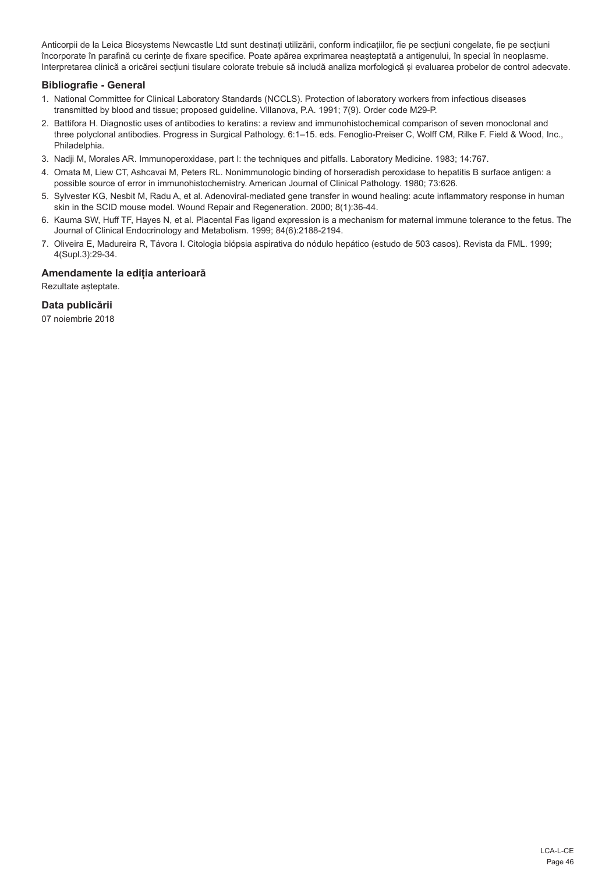Anticorpii de la Leica Biosystems Newcastle Ltd sunt destinați utilizării, conform indicațiilor, fie pe secțiuni congelate, fie pe secțiuni încorporate în parafină cu cerințe de fixare specifice. Poate apărea exprimarea neașteptată a antigenului, în special în neoplasme. Interpretarea clinică a oricărei secțiuni tisulare colorate trebuie să includă analiza morfologică și evaluarea probelor de control adecvate.

## **Bibliografie - General**

- 1. National Committee for Clinical Laboratory Standards (NCCLS). Protection of laboratory workers from infectious diseases transmitted by blood and tissue; proposed guideline. Villanova, P.A. 1991; 7(9). Order code M29-P.
- 2. Battifora H. Diagnostic uses of antibodies to keratins: a review and immunohistochemical comparison of seven monoclonal and three polyclonal antibodies. Progress in Surgical Pathology. 6:1–15. eds. Fenoglio-Preiser C, Wolff CM, Rilke F. Field & Wood, Inc., Philadelphia.
- 3. Nadji M, Morales AR. Immunoperoxidase, part I: the techniques and pitfalls. Laboratory Medicine. 1983; 14:767.
- 4. Omata M, Liew CT, Ashcavai M, Peters RL. Nonimmunologic binding of horseradish peroxidase to hepatitis B surface antigen: a possible source of error in immunohistochemistry. American Journal of Clinical Pathology. 1980; 73:626.
- 5. Sylvester KG, Nesbit M, Radu A, et al. Adenoviral-mediated gene transfer in wound healing: acute inflammatory response in human skin in the SCID mouse model. Wound Repair and Regeneration. 2000; 8(1):36-44.
- 6. Kauma SW, Huff TF, Hayes N, et al. Placental Fas ligand expression is a mechanism for maternal immune tolerance to the fetus. The Journal of Clinical Endocrinology and Metabolism. 1999; 84(6):2188-2194.
- 7. Oliveira E, Madureira R, Távora I. Citologia biópsia aspirativa do nódulo hepático (estudo de 503 casos). Revista da FML. 1999; 4(Supl.3):29-34.

## **Amendamente la ediția anterioară**

Rezultate așteptate.

## **Data publicării**

07 noiembrie 2018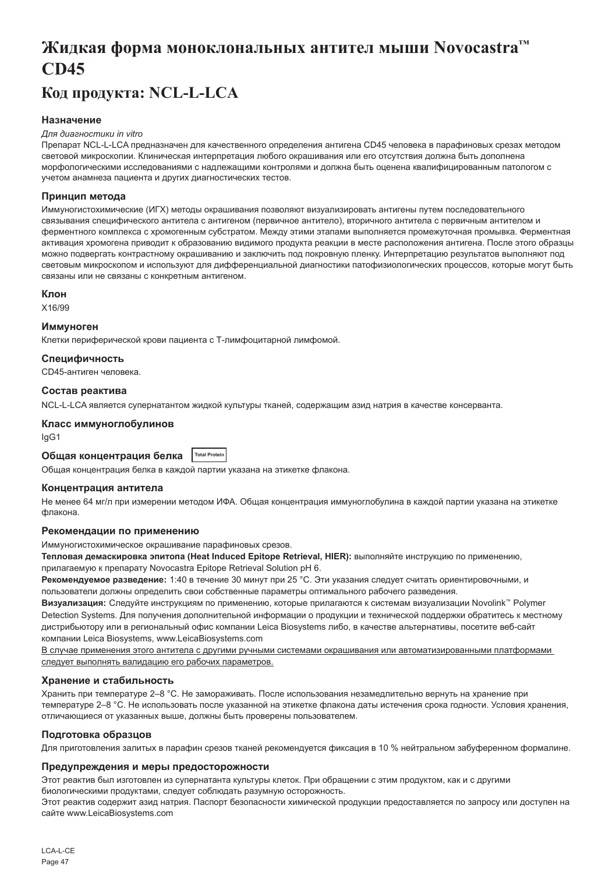## <span id="page-47-0"></span>**Жидкая форма моноклональных антител мыши Novocastra™ CD45**

## **Код продукта: NCL-L-LCA**

## **Назначение**

#### *Для диагностики in vitro*

Препарат NCL-L-LCA предназначен для качественного определения антигена CD45 человека в парафиновых срезах методом световой микроскопии. Клиническая интерпретация любого окрашивания или его отсутствия должна быть дополнена морфологическими исследованиями с надлежащими контролями и должна быть оценена квалифицированным патологом с учетом анамнеза пациента и других диагностических тестов.

#### **Принцип метода**

Иммуногистохимические (ИГХ) методы окрашивания позволяют визуализировать антигены путем последовательного связывания специфического антитела с антигеном (первичное антитело), вторичного антитела с первичным антителом и ферментного комплекса с хромогенным субстратом. Между этими этапами выполняется промежуточная промывка. Ферментная активация хромогена приводит к образованию видимого продукта реакции в месте расположения антигена. После этого образцы можно подвергать контрастному окрашиванию и заключить под покровную пленку. Интерпретацию результатов выполняют под световым микроскопом и используют для дифференциальной диагностики патофизиологических процессов, которые могут быть связаны или не связаны с конкретным антигеном.

#### **Клон**

X16/99

#### **Иммуноген**

Клетки периферической крови пациента с Т-лимфоцитарной лимфомой.

#### **Специфичность**

CD45-антиген человека.

#### **Состав реактива**

NCL-L-LCA является супернатантом жидкой культуры тканей, содержащим азид натрия в качестве консерванта.

## **Класс иммуноглобулинов**

IgG1

## **Общая концентрация белка Total Protein**

Общая концентрация белка в каждой партии указана на этикетке флакона.

#### **Концентрация антитела**

Не менее 64 мг/л при измерении методом ИФА. Общая концентрация иммуноглобулина в каждой партии указана на этикетке флакона.

#### **Рекомендации по применению**

Иммуногистохимическое окрашивание парафиновых срезов.

**Тепловая демаскировка эпитопа (Heat Induced Epitope Retrieval, HIER):** выполняйте инструкцию по применению, прилагаемую к препарату Novocastra Epitope Retrieval Solution pH 6.

**Рекомендуемое разведение:** 1:40 в течение 30 минут при 25 °C. Эти указания следует считать ориентировочными, и пользователи должны определить свои собственные параметры оптимального рабочего разведения.

**Визуализация:** Следуйте инструкциям по применению, которые прилагаются к системам визуализации Novolink™ Polymer Detection Systems. Для получения дополнительной информации о продукции и технической поддержки обратитесь к местному дистрибьютору или в региональный офис компании Leica Biosystems либо, в качестве альтернативы, посетите веб-сайт компании Leica Biosystems, www.LeicaBiosystems.com

В случае применения этого антитела с другими ручными системами окрашивания или автоматизированными платформами следует выполнять валидацию его рабочих параметров.

## **Хранение и стабильность**

Хранить при температуре 2–8 °C. Не замораживать. После использования незамедлительно вернуть на хранение при температуре 2–8 °C. Не использовать после указанной на этикетке флакона даты истечения срока годности. Условия хранения, отличающиеся от указанных выше, должны быть проверены пользователем.

## **Подготовка образцов**

Для приготовления залитых в парафин срезов тканей рекомендуется фиксация в 10 % нейтральном забуференном формалине.

## **Предупреждения и меры предосторожности**

Этот реактив был изготовлен из супернатанта культуры клеток. При обращении с этим продуктом, как и с другими биологическими продуктами, следует соблюдать разумную осторожность.

Этот реактив содержит азид натрия. Паспорт безопасности химической продукции предоставляется по запросу или доступен на сайте www.LeicaBiosystems.com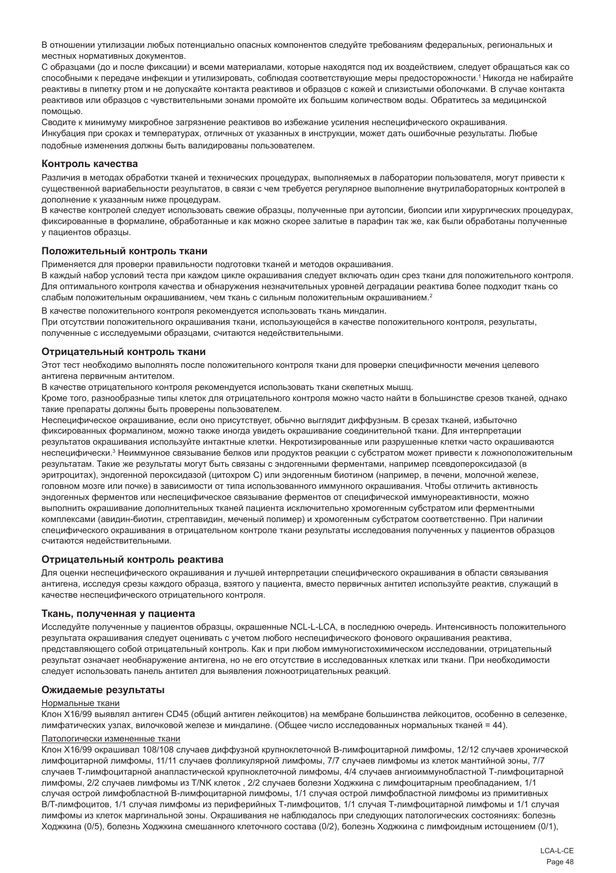В отношении утилизации любых потенциально опасных компонентов следуйте требованиям федеральных, региональных и местных нормативных документов.

С образцами (до и после фиксации) и всеми материалами, которые находятся под их воздействием, следует обращаться как со способными к передаче инфекции и утилизировать, соблюдая соответствующие меры предосторожности.<sup>1</sup>Никогда не набирайте реактивы в пипетку ртом и не допускайте контакта реактивов и образцов с кожей и слизистыми оболочками. В случае контакта реактивов или образцов с чувствительными зонами промойте их большим количеством воды. Обратитесь за медицинской помощью.

Сводите к минимуму микробное загрязнение реактивов во избежание усиления неспецифического окрашивания. Инкубация при сроках и температурах, отличных от указанных в инструкции, может дать ошибочные результаты. Любые подобные изменения должны быть валидированы пользователем.

#### **Контроль качества**

Различия в методах обработки тканей и технических процедурах, выполняемых в лаборатории пользователя, могут привести к существенной вариабельности результатов, в связи с чем требуется регулярное выполнение внутрилабораторных контролей в дополнение к указанным ниже процедурам.

В качестве контролей следует использовать свежие образцы, полученные при аутопсии, биопсии или хирургических процедурах, фиксированные в формалине, обработанные и как можно скорее залитые в парафин так же, как были обработаны полученные у пациентов образцы.

#### **Положительный контроль ткани**

Применяется для проверки правильности подготовки тканей и методов окрашивания.

В каждый набор условий теста при каждом цикле окрашивания следует включать один срез ткани для положительного контроля. Для оптимального контроля качества и обнаружения незначительных уровней деградации реактива более подходит ткань со слабым положительным окрашиванием, чем ткань с сильным положительным окрашиванием.<sup>2</sup>

В качестве положительного контроля рекомендуется использовать ткань миндалин. При отсутствии положительного окрашивания ткани, использующейся в качестве положительного контроля, результаты, полученные с исследуемыми образцами, считаются недействительными.

#### **Отрицательный контроль ткани**

Этот тест необходимо выполнять после положительного контроля ткани для проверки специфичности мечения целевого антигена первичным антителом.

В качестве отрицательного контроля рекомендуется использовать ткани скелетных мышц.

Кроме того, разнообразные типы клеток для отрицательного контроля можно часто найти в большинстве срезов тканей, однако такие препараты должны быть проверены пользователем.

Неспецифическое окрашивание, если оно присутствует, обычно выглядит диффузным. В срезах тканей, избыточно фиксированных формалином, можно также иногда увидеть окрашивание соединительной ткани. Для интерпретации результатов окрашивания используйте интактные клетки. Некротизированные или разрушенные клетки часто окрашиваются неспецифически.<sup>з</sup> Неиммунное связывание белков или продуктов реакции с субстратом может привести к ложноположительным результатам. Такие же результаты могут быть связаны с эндогенными ферментами, например псевдопероксидазой (в эритроцитах), эндогенной пероксидазой (цитохром C) или эндогенным биотином (например, в печени, молочной железе, головном мозге или почке) в зависимости от типа использованного иммунного окрашивания. Чтобы отличить активность эндогенных ферментов или неспецифическое связывание ферментов от специфической иммунореактивности, можно выполнить окрашивание дополнительных тканей пациента исключительно хромогенным субстратом или ферментными комплексами (авидин-биотин, стрептавидин, меченый полимер) и хромогенным субстратом соответственно. При наличии специфического окрашивания в отрицательном контроле ткани результаты исследования полученных у пациентов образцов считаются недействительными.

#### **Отрицательный контроль реактива**

Для оценки неспецифического окрашивания и лучшей интерпретации специфического окрашивания в области связывания антигена, исследуя срезы каждого образца, взятого у пациента, вместо первичных антител используйте реактив, служащий в качестве неспецифического отрицательного контроля.

#### **Ткань, полученная у пациента**

Исследуйте полученные у пациентов образцы, окрашенные NCL-L-LCA, в последнюю очередь. Интенсивность положительного результата окрашивания следует оценивать с учетом любого неспецифического фонового окрашивания реактива, представляющего собой отрицательный контроль. Как и при любом иммуногистохимическом исследовании, отрицательный результат означает необнаружение антигена, но не его отсутствие в исследованных клетках или ткани. При необходимости следует использовать панель антител для выявления ложноотрицательных реакций.

#### **Ожидаемые результаты**

#### Нормальные ткани

Клон X16/99 выявлял антиген CD45 (общий антиген лейкоцитов) на мембране большинства лейкоцитов, особенно в селезенке, лимфатических узлах, вилочковой железе и миндалине. (Общее число исследованных нормальных тканей = 44).

#### Патологически измененные ткани

Клон X16/99 окрашивал 108/108 случаев диффузной крупноклеточной В-лимфоцитарной лимфомы, 12/12 случаев хронической лимфоцитарной лимфомы, 11/11 случаев фолликулярной лимфомы, 7/7 случаев лимфомы из клеток мантийной зоны, 7/7 случаев Т-лимфоцитарной анапластической крупноклеточной лимфомы, 4/4 случаев ангиоиммунобластной Т-лимфоцитарной лимфомы, 2/2 случаев лимфомы из T/NK клеток , 2/2 случаев болезни Ходжкина с лимфоцитарным преобладанием, 1/1 случая острой лимфобластной В-лимфоцитарной лимфомы, 1/1 случая острой лимфобластной лимфомы из примитивных B/T-лимфоцитов, 1/1 случая лимфомы из периферийных Т-лимфоцитов, 1/1 случая Т-лимфоцитарной лимфомы и 1/1 случая лимфомы из клеток маргинальной зоны. Окрашивания не наблюдалось при следующих патологических состояниях: болезнь Ходжкина (0/5), болезнь Ходжкина смешанного клеточного состава (0/2), болезнь Ходжкина с лимфоидным истощением (0/1),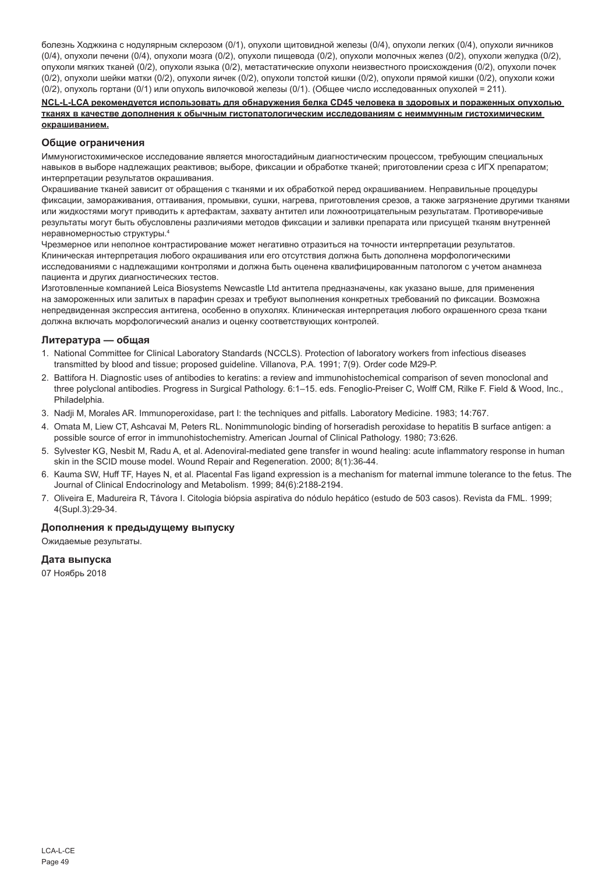болезнь Ходжкина с нодулярным склерозом (0/1), опухоли щитовидной железы (0/4), опухоли легких (0/4), опухоли яичников (0/4), опухоли печени (0/4), опухоли мозга (0/2), опухоли пищевода (0/2), опухоли молочных желез (0/2), опухоли желудка (0/2), опухоли мягких тканей (0/2), опухоли языка (0/2), метастатические опухоли неизвестного происхождения (0/2), опухоли почек (0/2), опухоли шейки матки (0/2), опухоли яичек (0/2), опухоли толстой кишки (0/2), опухоли прямой кишки (0/2), опухоли кожи (0/2), опухоль гортани (0/1) или опухоль вилочковой железы (0/1). (Общее число исследованных опухолей = 211).

#### **NCL-L-LCA рекомендуется использовать для обнаружения белка CD45 человека в здоровых и пораженных опухолью тканях в качестве дополнения к обычным гистопатологическим исследованиям с неиммунным гистохимическим окрашиванием.**

#### **Общие ограничения**

Иммуногистохимическое исследование является многостадийным диагностическим процессом, требующим специальных навыков в выборе надлежащих реактивов; выборе, фиксации и обработке тканей; приготовлении среза с ИГХ препаратом; интерпретации результатов окрашивания.

Окрашивание тканей зависит от обращения с тканями и их обработкой перед окрашиванием. Неправильные процедуры фиксации, замораживания, оттаивания, промывки, сушки, нагрева, приготовления срезов, а также загрязнение другими тканями или жидкостями могут приводить к артефактам, захвату антител или ложноотрицательным результатам. Противоречивые результаты могут быть обусловлены различиями методов фиксации и заливки препарата или присущей тканям внутренней неравномерностью структуры.4

Чрезмерное или неполное контрастирование может негативно отразиться на точности интерпретации результатов. Клиническая интерпретация любого окрашивания или его отсутствия должна быть дополнена морфологическими исследованиями с надлежащими контролями и должна быть оценена квалифицированным патологом с учетом анамнеза пациента и других диагностических тестов.

Изготовленные компанией Leica Biosystems Newcastle Ltd антитела предназначены, как указано выше, для применения на замороженных или залитых в парафин срезах и требуют выполнения конкретных требований по фиксации. Возможна непредвиденная экспрессия антигена, особенно в опухолях. Клиническая интерпретация любого окрашенного среза ткани должна включать морфологический анализ и оценку соответствующих контролей.

### **Литература — общая**

- 1. National Committee for Clinical Laboratory Standards (NCCLS). Protection of laboratory workers from infectious diseases transmitted by blood and tissue; proposed guideline. Villanova, P.A. 1991; 7(9). Order code M29-P.
- 2. Battifora H. Diagnostic uses of antibodies to keratins: a review and immunohistochemical comparison of seven monoclonal and three polyclonal antibodies. Progress in Surgical Pathology. 6:1–15. eds. Fenoglio-Preiser C, Wolff CM, Rilke F. Field & Wood, Inc., Philadelphia.
- 3. Nadji M, Morales AR. Immunoperoxidase, part I: the techniques and pitfalls. Laboratory Medicine. 1983; 14:767.
- 4. Omata M, Liew CT, Ashcavai M, Peters RL. Nonimmunologic binding of horseradish peroxidase to hepatitis B surface antigen: a possible source of error in immunohistochemistry. American Journal of Clinical Pathology. 1980; 73:626.
- 5. Sylvester KG, Nesbit M, Radu A, et al. Adenoviral-mediated gene transfer in wound healing: acute inflammatory response in human skin in the SCID mouse model. Wound Repair and Regeneration. 2000; 8(1):36-44.
- 6. Kauma SW, Huff TF, Hayes N, et al. Placental Fas ligand expression is a mechanism for maternal immune tolerance to the fetus. The Journal of Clinical Endocrinology and Metabolism. 1999; 84(6):2188-2194.
- 7. Oliveira E, Madureira R, Távora I. Citologia biópsia aspirativa do nódulo hepático (estudo de 503 casos). Revista da FML. 1999; 4(Supl.3):29-34.

## **Дополнения к предыдущему выпуску**

#### Ожидаемые результаты.

## **Дата выпуска**

07 Ноябрь 2018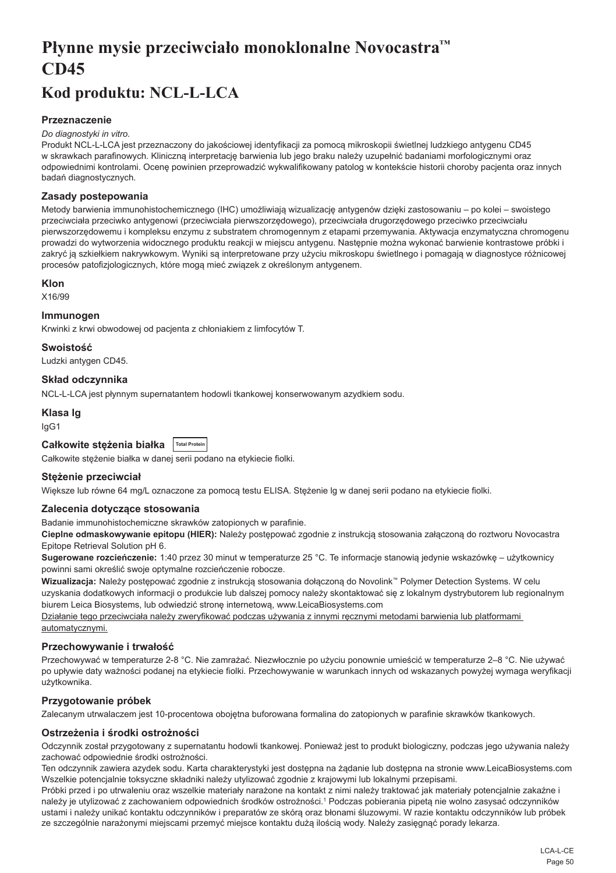## <span id="page-50-0"></span>**Płynne mysie przeciwciało monoklonalne Novocastra™ CD45**

## **Kod produktu: NCL-L-LCA**

## **Przeznaczenie**

#### *Do diagnostyki in vitro.*

Produkt NCL-L-LCA jest przeznaczony do jakościowej identyfikacji za pomocą mikroskopii świetlnej ludzkiego antygenu CD45 w skrawkach parafinowych. Kliniczną interpretację barwienia lub jego braku należy uzupełnić badaniami morfologicznymi oraz odpowiednimi kontrolami. Ocenę powinien przeprowadzić wykwalifikowany patolog w kontekście historii choroby pacjenta oraz innych badań diagnostycznych.

## **Zasady postepowania**

Metody barwienia immunohistochemicznego (IHC) umożliwiają wizualizację antygenów dzięki zastosowaniu – po kolei – swoistego przeciwciała przeciwko antygenowi (przeciwciała pierwszorzędowego), przeciwciała drugorzędowego przeciwko przeciwciału pierwszorzędowemu i kompleksu enzymu z substratem chromogennym z etapami przemywania. Aktywacja enzymatyczna chromogenu prowadzi do wytworzenia widocznego produktu reakcji w miejscu antygenu. Następnie można wykonać barwienie kontrastowe próbki i zakryć ją szkiełkiem nakrywkowym. Wyniki są interpretowane przy użyciu mikroskopu świetlnego i pomagają w diagnostyce różnicowej procesów patofizjologicznych, które mogą mieć związek z określonym antygenem.

## **Klon**

X16/99

## **Immunogen**

Krwinki z krwi obwodowej od pacjenta z chłoniakiem z limfocytów T.

**Swoistość**

Ludzki antygen CD45.

## **Skład odczynnika**

NCL-L-LCA jest płynnym supernatantem hodowli tkankowej konserwowanym azydkiem sodu.

#### **Klasa Ig**

IgG1

| Całkowite stężenia białka   Total Protein |  |  |
|-------------------------------------------|--|--|
|-------------------------------------------|--|--|

Całkowite stężenie białka w danej serii podano na etykiecie fiolki.

## **Stężenie przeciwciał**

Większe lub równe 64 mg/L oznaczone za pomocą testu ELISA. Stężenie lg w danej serii podano na etykiecie fiolki.

## **Zalecenia dotyczące stosowania**

Badanie immunohistochemiczne skrawków zatopionych w parafinie.

**Cieplne odmaskowywanie epitopu (HIER):** Należy postępować zgodnie z instrukcją stosowania załączoną do roztworu Novocastra Epitope Retrieval Solution pH 6.

**Sugerowane rozcieńczenie:** 1:40 przez 30 minut w temperaturze 25 °C. Te informacje stanowią jedynie wskazówkę – użytkownicy powinni sami określić swoje optymalne rozcieńczenie robocze.

**Wizualizacja:** Należy postępować zgodnie z instrukcją stosowania dołączoną do Novolink™ Polymer Detection Systems. W celu uzyskania dodatkowych informacji o produkcie lub dalszej pomocy należy skontaktować się z lokalnym dystrybutorem lub regionalnym biurem Leica Biosystems, lub odwiedzić stronę internetową, www.LeicaBiosystems.com

Działanie tego przeciwciała należy zweryfikować podczas używania z innymi ręcznymi metodami barwienia lub platformami automatycznymi.

## **Przechowywanie i trwałość**

Przechowywać w temperaturze 2-8 °C. Nie zamrażać. Niezwłocznie po użyciu ponownie umieścić w temperaturze 2–8 °C. Nie używać po upływie daty ważności podanej na etykiecie fiolki. Przechowywanie w warunkach innych od wskazanych powyżej wymaga weryfikacji użytkownika.

## **Przygotowanie próbek**

Zalecanym utrwalaczem jest 10-procentowa obojętna buforowana formalina do zatopionych w parafinie skrawków tkankowych.

## **Ostrzeżenia i środki ostrożności**

Odczynnik został przygotowany z supernatantu hodowli tkankowej. Ponieważ jest to produkt biologiczny, podczas jego używania należy zachować odpowiednie środki ostrożności.

Ten odczynnik zawiera azydek sodu. Karta charakterystyki jest dostępna na żądanie lub dostępna na stronie www.LeicaBiosystems.com Wszelkie potencjalnie toksyczne składniki należy utylizować zgodnie z krajowymi lub lokalnymi przepisami.

Próbki przed i po utrwaleniu oraz wszelkie materiały narażone na kontakt z nimi należy traktować jak materiały potencjalnie zakaźne i należy je utylizować z zachowaniem odpowiednich środków ostrożności.1 Podczas pobierania pipetą nie wolno zasysać odczynników ustami i należy unikać kontaktu odczynników i preparatów ze skórą oraz błonami śluzowymi. W razie kontaktu odczynników lub próbek ze szczególnie narażonymi miejscami przemyć miejsce kontaktu dużą ilością wody. Należy zasięgnąć porady lekarza.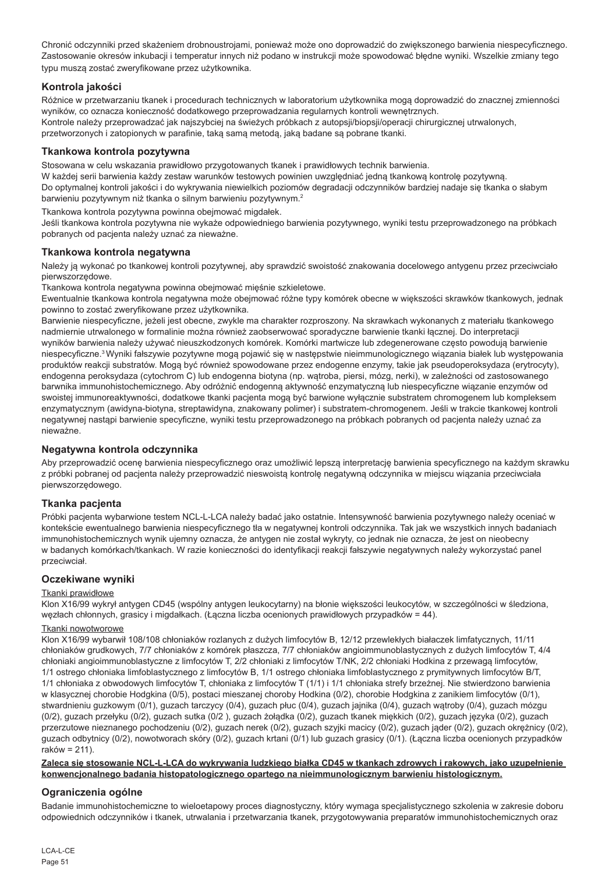Chronić odczynniki przed skażeniem drobnoustrojami, ponieważ może ono doprowadzić do zwiększonego barwienia niespecyficznego. Zastosowanie okresów inkubacji i temperatur innych niż podano w instrukcji może spowodować błędne wyniki. Wszelkie zmiany tego typu muszą zostać zweryfikowane przez użytkownika.

## **Kontrola jakości**

Różnice w przetwarzaniu tkanek i procedurach technicznych w laboratorium użytkownika mogą doprowadzić do znacznej zmienności wyników, co oznacza konieczność dodatkowego przeprowadzania regularnych kontroli wewnętrznych. Kontrole należy przeprowadzać jak najszybciej na świeżych próbkach z autopsji/biopsji/operacji chirurgicznej utrwalonych, przetworzonych i zatopionych w parafinie, taką samą metodą, jaką badane są pobrane tkanki.

## **Tkankowa kontrola pozytywna**

Stosowana w celu wskazania prawidłowo przygotowanych tkanek i prawidłowych technik barwienia.

W każdej serii barwienia każdy zestaw warunków testowych powinien uwzględniać jedną tkankową kontrolę pozytywną. Do optymalnej kontroli jakości i do wykrywania niewielkich poziomów degradacji odczynników bardziej nadaje się tkanka o słabym barwieniu pozytywnym niż tkanka o silnym barwieniu pozytywnym.<sup>2</sup>

Tkankowa kontrola pozytywna powinna obejmować migdałek.

Jeśli tkankowa kontrola pozytywna nie wykaże odpowiedniego barwienia pozytywnego, wyniki testu przeprowadzonego na próbkach pobranych od pacjenta należy uznać za nieważne.

## **Tkankowa kontrola negatywna**

Należy ją wykonać po tkankowej kontroli pozytywnej, aby sprawdzić swoistość znakowania docelowego antygenu przez przeciwciało pierwszorzędowe.

Tkankowa kontrola negatywna powinna obejmować mięśnie szkieletowe.

Ewentualnie tkankowa kontrola negatywna może obejmować różne typy komórek obecne w większości skrawków tkankowych, jednak powinno to zostać zweryfikowane przez użytkownika.

Barwienie niespecyficzne, jeżeli jest obecne, zwykle ma charakter rozproszony. Na skrawkach wykonanych z materiału tkankowego nadmiernie utrwalonego w formalinie można również zaobserwować sporadyczne barwienie tkanki łącznej. Do interpretacji wyników barwienia należy używać nieuszkodzonych komórek. Komórki martwicze lub zdegenerowane często powodują barwienie niespecyficzne.3 Wyniki fałszywie pozytywne mogą pojawić się w następstwie nieimmunologicznego wiązania białek lub występowania produktów reakcji substratów. Mogą być również spowodowane przez endogenne enzymy, takie jak pseudoperoksydaza (erytrocyty), endogenna peroksydaza (cytochrom C) lub endogenna biotyna (np. wątroba, piersi, mózg, nerki), w zależności od zastosowanego barwnika immunohistochemicznego. Aby odróżnić endogenną aktywność enzymatyczną lub niespecyficzne wiązanie enzymów od swoistej immunoreaktywności, dodatkowe tkanki pacjenta mogą być barwione wyłącznie substratem chromogenem lub kompleksem enzymatycznym (awidyna-biotyna, streptawidyna, znakowany polimer) i substratem-chromogenem. Jeśli w trakcie tkankowej kontroli negatywnej nastąpi barwienie specyficzne, wyniki testu przeprowadzonego na próbkach pobranych od pacjenta należy uznać za nieważne.

## **Negatywna kontrola odczynnika**

Aby przeprowadzić ocenę barwienia niespecyficznego oraz umożliwić lepszą interpretację barwienia specyficznego na każdym skrawku z próbki pobranej od pacjenta należy przeprowadzić nieswoistą kontrolę negatywną odczynnika w miejscu wiązania przeciwciała pierwszorzędowego.

## **Tkanka pacjenta**

Próbki pacjenta wybarwione testem NCL-L-LCA należy badać jako ostatnie. Intensywność barwienia pozytywnego należy oceniać w kontekście ewentualnego barwienia niespecyficznego tła w negatywnej kontroli odczynnika. Tak jak we wszystkich innych badaniach immunohistochemicznych wynik ujemny oznacza, że antygen nie został wykryty, co jednak nie oznacza, że jest on nieobecny w badanych komórkach/tkankach. W razie konieczności do identyfikacji reakcji fałszywie negatywnych należy wykorzystać panel przeciwciał.

## **Oczekiwane wyniki**

## Tkanki prawidłowe

Klon X16/99 wykrył antygen CD45 (wspólny antygen leukocytarny) na błonie większości leukocytów, w szczególności w śledziona, węzłach chłonnych, grasicy i migdałkach. (Łączna liczba ocenionych prawidłowych przypadków = 44).

## Tkanki nowotworowe

Klon X16/99 wybarwił 108/108 chłoniaków rozlanych z dużych limfocytów B, 12/12 przewlekłych białaczek limfatycznych, 11/11 chłoniaków grudkowych, 7/7 chłoniaków z komórek płaszcza, 7/7 chłoniaków angioimmunoblastycznych z dużych limfocytów T, 4/4 chłoniaki angioimmunoblastyczne z limfocytów T, 2/2 chłoniaki z limfocytów T/NK, 2/2 chłoniaki Hodkina z przewagą limfocytów, 1/1 ostrego chłoniaka limfoblastycznego z limfocytów B, 1/1 ostrego chłoniaka limfoblastycznego z prymitywnych limfocytów B/T, 1/1 chłoniaka z obwodowych limfocytów T, chłoniaka z limfocytów T (1/1) i 1/1 chłoniaka strefy brzeżnej. Nie stwierdzono barwienia w klasycznej chorobie Hodgkina (0/5), postaci mieszanej choroby Hodkina (0/2), chorobie Hodgkina z zanikiem limfocytów (0/1), stwardnieniu guzkowym (0/1), guzach tarczycy (0/4), guzach płuc (0/4), guzach jajnika (0/4), guzach wątroby (0/4), guzach mózgu (0/2), guzach przełyku (0/2), guzach sutka (0/2 ), guzach żołądka (0/2), guzach tkanek miękkich (0/2), guzach języka (0/2), guzach przerzutowe nieznanego pochodzeniu (0/2), guzach nerek (0/2), guzach szyjki macicy (0/2), guzach jąder (0/2), guzach okrężnicy (0/2), guzach odbytnicy (0/2), nowotworach skóry (0/2), guzach krtani (0/1) lub guzach grasicy (0/1). (Łączna liczba ocenionych przypadków  $r$ aków = 211).

### **Zaleca się stosowanie NCL-L-LCA do wykrywania ludzkiego białka CD45 w tkankach zdrowych i rakowych, jako uzupełnienie konwencjonalnego badania histopatologicznego opartego na nieimmunologicznym barwieniu histologicznym.**

## **Ograniczenia ogólne**

Badanie immunohistochemiczne to wieloetapowy proces diagnostyczny, który wymaga specjalistycznego szkolenia w zakresie doboru odpowiednich odczynników i tkanek, utrwalania i przetwarzania tkanek, przygotowywania preparatów immunohistochemicznych oraz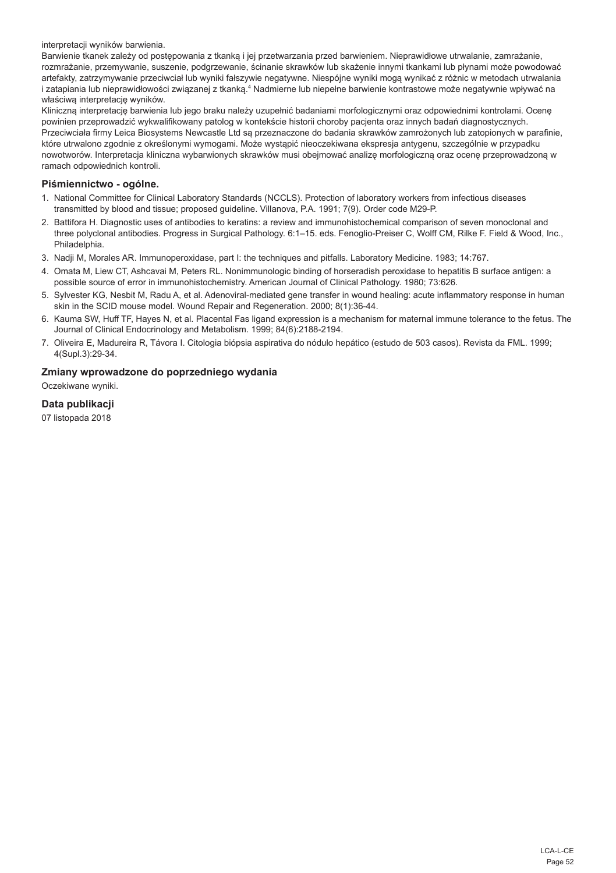interpretacji wyników barwienia.

Barwienie tkanek zależy od postępowania z tkanką i jej przetwarzania przed barwieniem. Nieprawidłowe utrwalanie, zamrażanie, rozmrażanie, przemywanie, suszenie, podgrzewanie, ścinanie skrawków lub skażenie innymi tkankami lub płynami może powodować artefakty, zatrzymywanie przeciwciał lub wyniki fałszywie negatywne. Niespójne wyniki mogą wynikać z różnic w metodach utrwalania i zatapiania lub nieprawidłowości związanej z tkanką.ª Nadmierne lub niepełne barwienie kontrastowe może negatywnie wpływać na właściwą interpretację wyników.

Kliniczną interpretację barwienia lub jego braku należy uzupełnić badaniami morfologicznymi oraz odpowiednimi kontrolami. Ocenę powinien przeprowadzić wykwalifikowany patolog w kontekście historii choroby pacjenta oraz innych badań diagnostycznych. Przeciwciała firmy Leica Biosystems Newcastle Ltd są przeznaczone do badania skrawków zamrożonych lub zatopionych w parafinie, które utrwalono zgodnie z określonymi wymogami. Może wystąpić nieoczekiwana ekspresja antygenu, szczególnie w przypadku nowotworów. Interpretacja kliniczna wybarwionych skrawków musi obejmować analizę morfologiczną oraz ocenę przeprowadzoną w ramach odpowiednich kontroli.

## **Piśmiennictwo - ogólne.**

- 1. National Committee for Clinical Laboratory Standards (NCCLS). Protection of laboratory workers from infectious diseases transmitted by blood and tissue; proposed guideline. Villanova, P.A. 1991; 7(9). Order code M29-P.
- 2. Battifora H. Diagnostic uses of antibodies to keratins: a review and immunohistochemical comparison of seven monoclonal and three polyclonal antibodies. Progress in Surgical Pathology. 6:1–15. eds. Fenoglio-Preiser C, Wolff CM, Rilke F. Field & Wood, Inc., Philadelphia.
- 3. Nadji M, Morales AR. Immunoperoxidase, part I: the techniques and pitfalls. Laboratory Medicine. 1983; 14:767.
- 4. Omata M, Liew CT, Ashcavai M, Peters RL. Nonimmunologic binding of horseradish peroxidase to hepatitis B surface antigen: a possible source of error in immunohistochemistry. American Journal of Clinical Pathology. 1980; 73:626.
- 5. Sylvester KG, Nesbit M, Radu A, et al. Adenoviral-mediated gene transfer in wound healing: acute inflammatory response in human skin in the SCID mouse model. Wound Repair and Regeneration. 2000; 8(1):36-44.
- 6. Kauma SW, Huff TF, Hayes N, et al. Placental Fas ligand expression is a mechanism for maternal immune tolerance to the fetus. The Journal of Clinical Endocrinology and Metabolism. 1999; 84(6):2188-2194.
- 7. Oliveira E, Madureira R, Távora I. Citologia biópsia aspirativa do nódulo hepático (estudo de 503 casos). Revista da FML. 1999; 4(Supl.3):29-34.

## **Zmiany wprowadzone do poprzedniego wydania**

Oczekiwane wyniki.

## **Data publikacji**

07 listopada 2018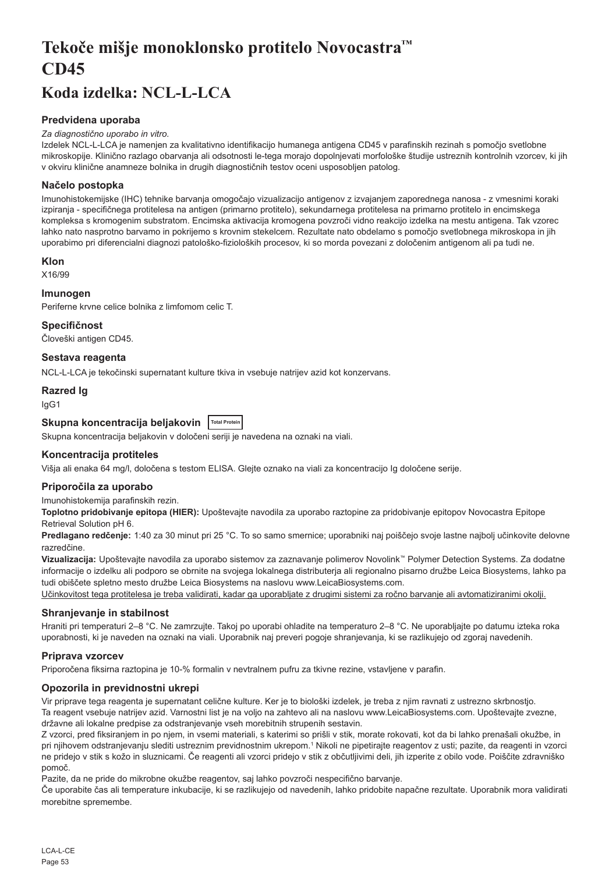## <span id="page-53-0"></span>**Tekoče mišje monoklonsko protitelo Novocastra™ CD45**

## **Koda izdelka: NCL-L-LCA**

## **Predvidena uporaba**

#### *Za diagnostično uporabo in vitro.*

Izdelek NCL-L-LCA je namenjen za kvalitativno identifikacijo humanega antigena CD45 v parafinskih rezinah s pomočjo svetlobne mikroskopije. Klinično razlago obarvanja ali odsotnosti le-tega morajo dopolnjevati morfološke študije ustreznih kontrolnih vzorcev, ki jih v okviru klinične anamneze bolnika in drugih diagnostičnih testov oceni usposobljen patolog.

## **Načelo postopka**

Imunohistokemijske (IHC) tehnike barvanja omogočajo vizualizacijo antigenov z izvajanjem zaporednega nanosa - z vmesnimi koraki izpiranja - specifičnega protitelesa na antigen (primarno protitelo), sekundarnega protitelesa na primarno protitelo in encimskega kompleksa s kromogenim substratom. Encimska aktivacija kromogena povzroči vidno reakcijo izdelka na mestu antigena. Tak vzorec lahko nato nasprotno barvamo in pokrijemo s krovnim stekelcem. Rezultate nato obdelamo s pomočjo svetlobnega mikroskopa in jih uporabimo pri diferencialni diagnozi patološko-fizioloških procesov, ki so morda povezani z določenim antigenom ali pa tudi ne.

#### **Klon**

X16/99

## **Imunogen**

Periferne krvne celice bolnika z limfomom celic T.

## **Specifičnost**

Človeški antigen CD45.

## **Sestava reagenta**

NCL-L-LCA je tekočinski supernatant kulture tkiva in vsebuje natrijev azid kot konzervans.

## **Razred Ig**

IgG1

## **Skupna koncentracija beljakovin Total Protein**

Skupna koncentracija beljakovin v določeni seriji je navedena na oznaki na viali.

## **Koncentracija protiteles**

Višja ali enaka 64 mg/l, določena s testom ELISA. Glejte oznako na viali za koncentracijo Ig določene serije.

## **Priporočila za uporabo**

Imunohistokemija parafinskih rezin.

**Toplotno pridobivanje epitopa (HIER):** Upoštevajte navodila za uporabo raztopine za pridobivanje epitopov Novocastra Epitope Retrieval Solution pH 6.

**Predlagano redčenje:** 1:40 za 30 minut pri 25 °C. To so samo smernice; uporabniki naj poiščejo svoje lastne najbolj učinkovite delovne razredčine.

**Vizualizacija:** Upoštevajte navodila za uporabo sistemov za zaznavanje polimerov Novolink™ Polymer Detection Systems. Za dodatne informacije o izdelku ali podporo se obrnite na svojega lokalnega distributerja ali regionalno pisarno družbe Leica Biosystems, lahko pa tudi obiščete spletno mesto družbe Leica Biosystems na naslovu www.LeicaBiosystems.com.

Učinkovitost tega protitelesa je treba validirati, kadar ga uporabljate z drugimi sistemi za ročno barvanje ali avtomatiziranimi okolji.

## **Shranjevanje in stabilnost**

Hraniti pri temperaturi 2–8 °C. Ne zamrzujte. Takoj po uporabi ohladite na temperaturo 2–8 °C. Ne uporabljajte po datumu izteka roka uporabnosti, ki je naveden na oznaki na viali. Uporabnik naj preveri pogoje shranjevanja, ki se razlikujejo od zgoraj navedenih.

## **Priprava vzorcev**

Priporočena fiksirna raztopina je 10-% formalin v nevtralnem pufru za tkivne rezine, vstavljene v parafin.

## **Opozorila in previdnostni ukrepi**

Vir priprave tega reagenta je supernatant celične kulture. Ker je to biološki izdelek, je treba z njim ravnati z ustrezno skrbnostjo. Ta reagent vsebuje natrijev azid. Varnostni list je na voljo na zahtevo ali na naslovu www.LeicaBiosystems.com. Upoštevajte zvezne, državne ali lokalne predpise za odstranjevanje vseh morebitnih strupenih sestavin.

Z vzorci, pred fiksiranjem in po njem, in vsemi materiali, s katerimi so prišli v stik, morate rokovati, kot da bi lahko prenašali okužbe, in pri njihovem odstranjevanju slediti ustreznim previdnostnim ukrepom.1 Nikoli ne pipetirajte reagentov z usti; pazite, da reagenti in vzorci ne pridejo v stik s kožo in sluznicami. Če reagenti ali vzorci pridejo v stik z občutljivimi deli, jih izperite z obilo vode. Poiščite zdravniško pomoč.

Pazite, da ne pride do mikrobne okužbe reagentov, saj lahko povzroči nespecifično barvanje.

Če uporabite čas ali temperature inkubacije, ki se razlikujejo od navedenih, lahko pridobite napačne rezultate. Uporabnik mora validirati morebitne spremembe.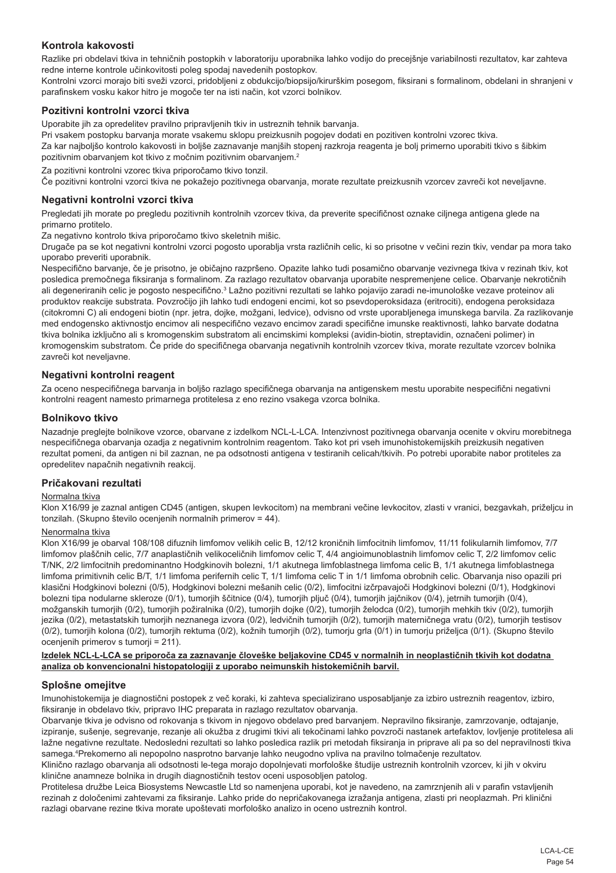## **Kontrola kakovosti**

Razlike pri obdelavi tkiva in tehničnih postopkih v laboratoriju uporabnika lahko vodijo do precejšnje variabilnosti rezultatov, kar zahteva redne interne kontrole učinkovitosti poleg spodaj navedenih postopkov.

Kontrolni vzorci morajo biti sveži vzorci, pridobljeni z obdukcijo/biopsijo/kirurškim posegom, fiksirani s formalinom, obdelani in shranjeni v parafinskem vosku kakor hitro je mogoče ter na isti način, kot vzorci bolnikov.

## **Pozitivni kontrolni vzorci tkiva**

Uporabite jih za opredelitev pravilno pripravljenih tkiv in ustreznih tehnik barvanja.

Pri vsakem postopku barvanja morate vsakemu sklopu preizkusnih pogojev dodati en pozitiven kontrolni vzorec tkiva. Za kar najboljšo kontrolo kakovosti in boljše zaznavanje manjših stopenj razkroja reagenta je bolj primerno uporabiti tkivo s šibkim pozitivnim obarvanjem kot tkivo z močnim pozitivnim obarvanjem.<sup>2</sup>

Za pozitivni kontrolni vzorec tkiva priporočamo tkivo tonzil.

Če pozitivni kontrolni vzorci tkiva ne pokažejo pozitivnega obarvanja, morate rezultate preizkusnih vzorcev zavreči kot neveljavne.

#### **Negativni kontrolni vzorci tkiva**

Pregledati jih morate po pregledu pozitivnih kontrolnih vzorcev tkiva, da preverite specifičnost oznake ciljnega antigena glede na primarno protitelo.

Za negativno kontrolo tkiva priporočamo tkivo skeletnih mišic.

Drugače pa se kot negativni kontrolni vzorci pogosto uporablja vrsta različnih celic, ki so prisotne v večini rezin tkiv, vendar pa mora tako uporabo preveriti uporabnik.

Nespecifično barvanje, če je prisotno, je običajno razpršeno. Opazite lahko tudi posamično obarvanje vezivnega tkiva v rezinah tkiv, kot posledica premočnega fiksiranja s formalinom. Za razlago rezultatov obarvanja uporabite nespremenjene celice. Obarvanje nekrotičnih ali degeneriranih celic je pogosto nespecifično.<sup>3</sup> Lažno pozitivni rezultati se lahko pojavijo zaradi ne-imunološke vezave proteinov ali produktov reakcije substrata. Povzročijo jih lahko tudi endogeni encimi, kot so psevdoperoksidaza (eritrociti), endogena peroksidaza (citokromni C) ali endogeni biotin (npr. jetra, dojke, možgani, ledvice), odvisno od vrste uporabljenega imunskega barvila. Za razlikovanje med endogensko aktivnostjo encimov ali nespecifično vezavo encimov zaradi specifične imunske reaktivnosti, lahko barvate dodatna tkiva bolnika izključno ali s kromogenskim substratom ali encimskimi kompleksi (avidin-biotin, streptavidin, označeni polimer) in kromogenskim substratom. Če pride do specifičnega obarvanja negativnih kontrolnih vzorcev tkiva, morate rezultate vzorcev bolnika zavreči kot neveljavne.

#### **Negativni kontrolni reagent**

Za oceno nespecifičnega barvanja in boljšo razlago specifičnega obarvanja na antigenskem mestu uporabite nespecifični negativni kontrolni reagent namesto primarnega protitelesa z eno rezino vsakega vzorca bolnika.

#### **Bolnikovo tkivo**

Nazadnje preglejte bolnikove vzorce, obarvane z izdelkom NCL-L-LCA. Intenzivnost pozitivnega obarvanja ocenite v okviru morebitnega nespecifičnega obarvanja ozadja z negativnim kontrolnim reagentom. Tako kot pri vseh imunohistokemijskih preizkusih negativen rezultat pomeni, da antigen ni bil zaznan, ne pa odsotnosti antigena v testiranih celicah/tkivih. Po potrebi uporabite nabor protiteles za opredelitev napačnih negativnih reakcij.

### **Pričakovani rezultati**

#### Normalna tkiva

Klon X16/99 je zaznal antigen CD45 (antigen, skupen levkocitom) na membrani večine levkocitov, zlasti v vranici, bezgavkah, priželjcu in tonzilah. (Skupno število ocenjenih normalnih primerov = 44).

#### Nenormalna tkiva

Klon X16/99 je obarval 108/108 difuznih limfomov velikih celic B, 12/12 kroničnih limfocitnih limfomov, 11/11 folikularnih limfomov, 7/7 limfomov plaščnih celic, 7/7 anaplastičnih velikoceličnih limfomov celic T, 4/4 angioimunoblastnih limfomov celic T, 2/2 limfomov celic T/NK, 2/2 limfocitnih predominantno Hodgkinovih bolezni, 1/1 akutnega limfoblastnega limfoma celic B, 1/1 akutnega limfoblastnega limfoma primitivnih celic B/T, 1/1 limfoma perifernih celic T, 1/1 limfoma celic T in 1/1 limfoma obrobnih celic. Obarvanja niso opazili pri klasični Hodgkinovi bolezni (0/5), Hodgkinovi bolezni mešanih celic (0/2), limfocitni izčrpavajoči Hodgkinovi bolezni (0/1), Hodgkinovi bolezni tipa nodularne skleroze (0/1), tumorjih ščitnice (0/4), tumorjih pljuč (0/4), tumorjih jajčnikov (0/4), jetrnih tumorjih (0/4), možganskih tumorjih (0/2), tumorjih požiralnika (0/2), tumorjih dojke (0/2), tumorjih želodca (0/2), tumorjih mehkih tkiv (0/2), tumorjih jezika (0/2), metastatskih tumorjih neznanega izvora (0/2), ledvičnih tumorjih (0/2), tumorjih materničnega vratu (0/2), tumorjih testisov (0/2), tumorjih kolona (0/2), tumorjih rektuma (0/2), kožnih tumorjih (0/2), tumorju grla (0/1) in tumorju priželjca (0/1). (Skupno število ocenjenih primerov s tumorji = 211).

#### **Izdelek NCL-L-LCA se priporoča za zaznavanje človeške beljakovine CD45 v normalnih in neoplastičnih tkivih kot dodatna analiza ob konvencionalni histopatologiji z uporabo neimunskih histokemičnih barvil.**

#### **Splošne omejitve**

Imunohistokemija je diagnostični postopek z več koraki, ki zahteva specializirano usposabljanje za izbiro ustreznih reagentov, izbiro, fiksiranje in obdelavo tkiv, pripravo IHC preparata in razlago rezultatov obarvanja.

Obarvanje tkiva je odvisno od rokovanja s tkivom in njegovo obdelavo pred barvanjem. Nepravilno fiksiranje, zamrzovanje, odtajanje, izpiranje, sušenje, segrevanje, rezanje ali okužba z drugimi tkivi ali tekočinami lahko povzroči nastanek artefaktov, lovljenje protitelesa ali lažne negativne rezultate. Nedosledni rezultati so lahko posledica razlik pri metodah fiksiranja in priprave ali pa so del nepravilnosti tkiva samega.4 Prekomerno ali nepopolno nasprotno barvanje lahko neugodno vpliva na pravilno tolmačenje rezultatov.

Klinično razlago obarvanja ali odsotnosti le-tega morajo dopolnjevati morfološke študije ustreznih kontrolnih vzorcev, ki jih v okviru klinične anamneze bolnika in drugih diagnostičnih testov oceni usposobljen patolog.

Protitelesa družbe Leica Biosystems Newcastle Ltd so namenjena uporabi, kot je navedeno, na zamrznjenih ali v parafin vstavljenih rezinah z določenimi zahtevami za fiksiranje. Lahko pride do nepričakovanega izražanja antigena, zlasti pri neoplazmah. Pri klinični razlagi obarvane rezine tkiva morate upoštevati morfološko analizo in oceno ustreznih kontrol.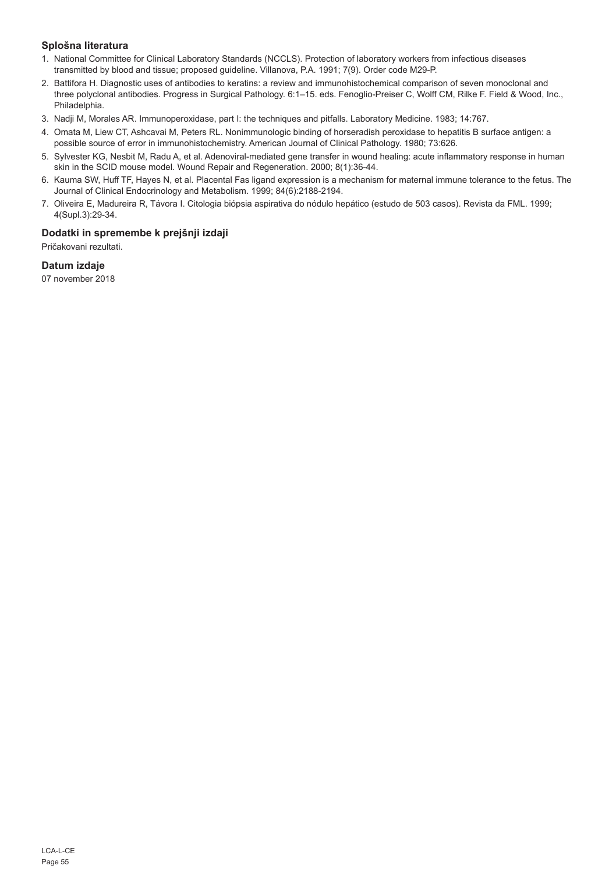## **Splošna literatura**

- 1. National Committee for Clinical Laboratory Standards (NCCLS). Protection of laboratory workers from infectious diseases transmitted by blood and tissue; proposed guideline. Villanova, P.A. 1991; 7(9). Order code M29-P.
- 2. Battifora H. Diagnostic uses of antibodies to keratins: a review and immunohistochemical comparison of seven monoclonal and three polyclonal antibodies. Progress in Surgical Pathology. 6:1–15. eds. Fenoglio-Preiser C, Wolff CM, Rilke F. Field & Wood, Inc., Philadelphia.
- 3. Nadji M, Morales AR. Immunoperoxidase, part I: the techniques and pitfalls. Laboratory Medicine. 1983; 14:767.
- 4. Omata M, Liew CT, Ashcavai M, Peters RL. Nonimmunologic binding of horseradish peroxidase to hepatitis B surface antigen: a possible source of error in immunohistochemistry. American Journal of Clinical Pathology. 1980; 73:626.
- 5. Sylvester KG, Nesbit M, Radu A, et al. Adenoviral-mediated gene transfer in wound healing: acute inflammatory response in human skin in the SCID mouse model. Wound Repair and Regeneration. 2000; 8(1):36-44.
- 6. Kauma SW, Huff TF, Hayes N, et al. Placental Fas ligand expression is a mechanism for maternal immune tolerance to the fetus. The Journal of Clinical Endocrinology and Metabolism. 1999; 84(6):2188-2194.
- 7. Oliveira E, Madureira R, Távora I. Citologia biópsia aspirativa do nódulo hepático (estudo de 503 casos). Revista da FML. 1999; 4(Supl.3):29-34.

## **Dodatki in spremembe k prejšnji izdaji**

Pričakovani rezultati.

## **Datum izdaje**

07 november 2018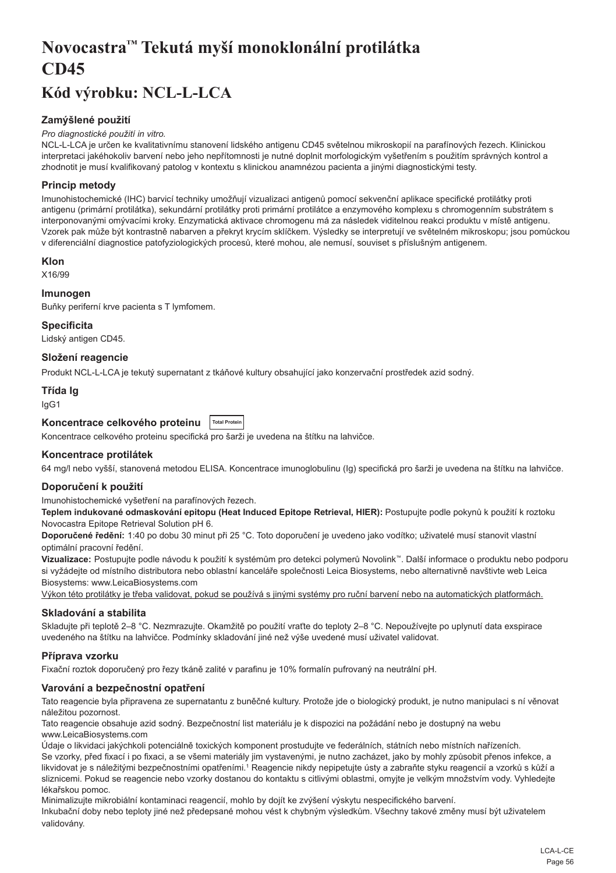## <span id="page-56-0"></span>**Novocastra™ Tekutá myší monoklonální protilátka CD45**

## **Kód výrobku: NCL-L-LCA**

## **Zamýšlené použití**

#### *Pro diagnostické použití in vitro.*

NCL-L-LCA je určen ke kvalitativnímu stanovení lidského antigenu CD45 světelnou mikroskopií na parafínových řezech. Klinickou interpretaci jakéhokoliv barvení nebo jeho nepřítomnosti je nutné doplnit morfologickým vyšetřením s použitím správných kontrol a zhodnotit je musí kvalifikovaný patolog v kontextu s klinickou anamnézou pacienta a jinými diagnostickými testy.

## **Princip metody**

Imunohistochemické (IHC) barvicí techniky umožňují vizualizaci antigenů pomocí sekvenční aplikace specifické protilátky proti antigenu (primární protilátka), sekundární protilátky proti primární protilátce a enzymového komplexu s chromogenním substrátem s interponovanými omývacími kroky. Enzymatická aktivace chromogenu má za následek viditelnou reakci produktu v místě antigenu. Vzorek pak může být kontrastně nabarven a překryt krycím sklíčkem. Výsledky se interpretují ve světelném mikroskopu; jsou pomůckou v diferenciální diagnostice patofyziologických procesů, které mohou, ale nemusí, souviset s příslušným antigenem.

## **Klon**

X16/99

## **Imunogen**

Buňky periferní krve pacienta s T lymfomem.

#### **Specificita**

Lidský antigen CD45.

**Složení reagencie**

Produkt NCL-L-LCA je tekutý supernatant z tkáňové kultury obsahující jako konzervační prostředek azid sodný.

## **Třída Ig**

IgG1

| Koncentrace celkového proteinu  Total Protein |  |
|-----------------------------------------------|--|
|-----------------------------------------------|--|

Koncentrace celkového proteinu specifická pro šarži je uvedena na štítku na lahvičce.

## **Koncentrace protilátek**

64 mg/l nebo vyšší, stanovená metodou ELISA. Koncentrace imunoglobulinu (Ig) specifická pro šarži je uvedena na štítku na lahvičce.

#### **Doporučení k použití**

Imunohistochemické vyšetření na parafínových řezech.

**Teplem indukované odmaskování epitopu (Heat Induced Epitope Retrieval, HIER):** Postupujte podle pokynů k použití k roztoku Novocastra Epitope Retrieval Solution pH 6.

**Doporučené ředění:** 1:40 po dobu 30 minut při 25 °C. Toto doporučení je uvedeno jako vodítko; uživatelé musí stanovit vlastní optimální pracovní ředění.

**Vizualizace:** Postupujte podle návodu k použití k systémům pro detekci polymerů Novolink™. Další informace o produktu nebo podporu si vyžádejte od místního distributora nebo oblastní kanceláře společnosti Leica Biosystems, nebo alternativně navštivte web Leica Biosystems: www.LeicaBiosystems.com

Výkon této protilátky je třeba validovat, pokud se používá s jinými systémy pro ruční barvení nebo na automatických platformách.

## **Skladování a stabilita**

Skladujte při teplotě 2–8 °C. Nezmrazujte. Okamžitě po použití vraťte do teploty 2–8 °C. Nepoužívejte po uplynutí data exspirace uvedeného na štítku na lahvičce. Podmínky skladování jiné než výše uvedené musí uživatel validovat.

## **Příprava vzorku**

Fixační roztok doporučený pro řezy tkáně zalité v parafinu je 10% formalín pufrovaný na neutrální pH.

## **Varování a bezpečnostní opatření**

Tato reagencie byla připravena ze supernatantu z buněčné kultury. Protože jde o biologický produkt, je nutno manipulaci s ní věnovat náležitou pozornost.

Tato reagencie obsahuje azid sodný. Bezpečnostní list materiálu je k dispozici na požádání nebo je dostupný na webu www.LeicaBiosystems.com

Údaje o likvidaci jakýchkoli potenciálně toxických komponent prostudujte ve federálních, státních nebo místních nařízeních. Se vzorky, před fixací i po fixaci, a se všemi materiály jim vystavenými, je nutno zacházet, jako by mohly způsobit přenos infekce, a likvidovat je s náležitými bezpečnostními opatřeními.1 Reagencie nikdy nepipetujte ústy a zabraňte styku reagencií a vzorků s kůží a sliznicemi. Pokud se reagencie nebo vzorky dostanou do kontaktu s citlivými oblastmi, omyjte je velkým množstvím vody. Vyhledejte lékařskou pomoc.

Minimalizujte mikrobiální kontaminaci reagencií, mohlo by dojít ke zvýšení výskytu nespecifického barvení.

Inkubační doby nebo teploty jiné než předepsané mohou vést k chybným výsledkům. Všechny takové změny musí být uživatelem validovány.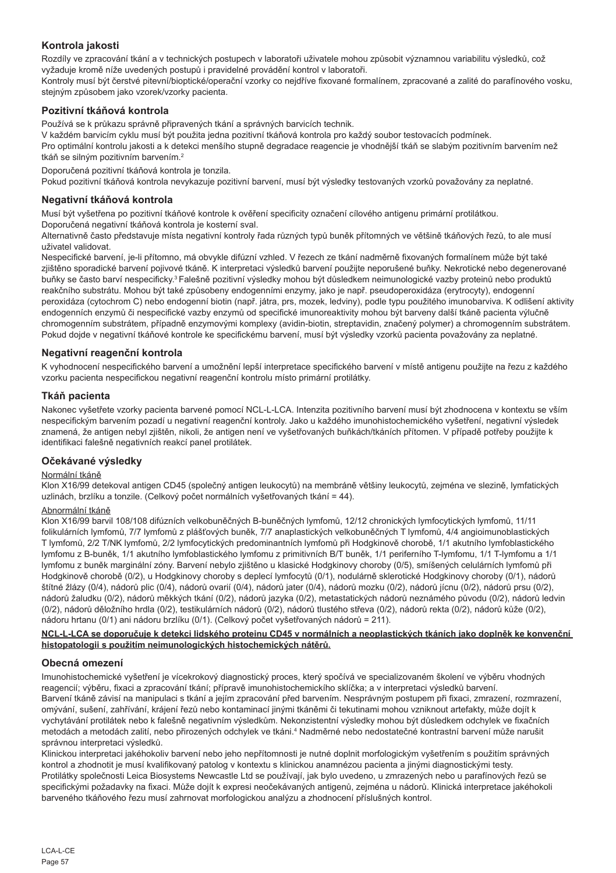## **Kontrola jakosti**

Rozdíly ve zpracování tkání a v technických postupech v laboratoři uživatele mohou způsobit významnou variabilitu výsledků, což vyžaduje kromě níže uvedených postupů i pravidelné provádění kontrol v laboratoři.

Kontroly musí být čerstvé pitevní/bioptické/operační vzorky co nejdříve fixované formalínem, zpracované a zalité do parafínového vosku, stejným způsobem jako vzorek/vzorky pacienta.

## **Pozitivní tkáňová kontrola**

Používá se k průkazu správně připravených tkání a správných barvicích technik.

V každém barvicím cyklu musí být použita jedna pozitivní tkáňová kontrola pro každý soubor testovacích podmínek.

Pro optimální kontrolu jakosti a k detekci menšího stupně degradace reagencie je vhodnější tkáň se slabým pozitivním barvením než tkáň se silným pozitivním barvením.<sup>2</sup>

Doporučená pozitivní tkáňová kontrola je tonzila.

Pokud pozitivní tkáňová kontrola nevykazuje pozitivní barvení, musí být výsledky testovaných vzorků považovány za neplatné.

### **Negativní tkáňová kontrola**

Musí být vyšetřena po pozitivní tkáňové kontrole k ověření specificity označení cílového antigenu primární protilátkou. Doporučená negativní tkáňová kontrola je kosterní sval.

Alternativně často představuje místa negativní kontroly řada různých typů buněk přítomných ve většině tkáňových řezů, to ale musí uživatel validovat.

Nespecifické barvení, je-li přítomno, má obvykle difúzní vzhled. V řezech ze tkání nadměrně fixovaných formalínem může být také zjištěno sporadické barvení pojivové tkáně. K interpretaci výsledků barvení použijte neporušené buňky. Nekrotické nebo degenerované buňky se často barví nespecificky.3 Falešně pozitivní výsledky mohou být důsledkem neimunologické vazby proteinů nebo produktů reakčního substrátu. Mohou být také způsobeny endogenními enzymy, jako je např. pseudoperoxidáza (erytrocyty), endogenní peroxidáza (cytochrom C) nebo endogenní biotin (např. játra, prs, mozek, ledviny), podle typu použitého imunobarviva. K odlišení aktivity endogenních enzymů či nespecifické vazby enzymů od specifické imunoreaktivity mohou být barveny další tkáně pacienta výlučně chromogenním substrátem, případně enzymovými komplexy (avidin-biotin, streptavidin, značený polymer) a chromogenním substrátem. Pokud dojde v negativní tkáňové kontrole ke specifickému barvení, musí být výsledky vzorků pacienta považovány za neplatné.

## **Negativní reagenční kontrola**

K vyhodnocení nespecifického barvení a umožnění lepší interpretace specifického barvení v místě antigenu použijte na řezu z každého vzorku pacienta nespecifickou negativní reagenční kontrolu místo primární protilátky.

## **Tkáň pacienta**

Nakonec vyšetřete vzorky pacienta barvené pomocí NCL-L-LCA. Intenzita pozitivního barvení musí být zhodnocena v kontextu se vším nespecifickým barvením pozadí u negativní reagenční kontroly. Jako u každého imunohistochemického vyšetření, negativní výsledek znamená, že antigen nebyl zjištěn, nikoli, že antigen není ve vyšetřovaných buňkách/tkáních přítomen. V případě potřeby použijte k identifikaci falešně negativních reakcí panel protilátek.

## **Očekávané výsledky**

## Normální tkáně

Klon X16/99 detekoval antigen CD45 (společný antigen leukocytů) na membráně většiny leukocytů, zejména ve slezině, lymfatických uzlinách, brzlíku a tonzile. (Celkový počet normálních vyšetřovaných tkání = 44).

### Abnormální tkáně

Klon X16/99 barvil 108/108 difúzních velkobuněčných B-buněčných lymfomů, 12/12 chronických lymfocytických lymfomů, 11/11 folikulárních lymfomů, 7/7 lymfomů z plášťových buněk, 7/7 anaplastických velkobuněčných T lymfomů, 4/4 angioimunoblastických T lymfomů, 2/2 T/NK lymfomů, 2/2 lymfocytických predominantních lymfomů při Hodgkinově chorobě, 1/1 akutního lymfoblastického lymfomu z B-buněk, 1/1 akutního lymfoblastického lymfomu z primitivních B/T buněk, 1/1 periferního T-lymfomu, 1/1 T-lymfomu a 1/1 lymfomu z buněk marginální zóny. Barvení nebylo zjištěno u klasické Hodgkinovy choroby (0/5), smíšených celulárních lymfomů při Hodgkinově chorobě (0/2), u Hodgkinovy choroby s deplecí lymfocytů (0/1), nodulárně sklerotické Hodgkinovy choroby (0/1), nádorů štítné žlázy (0/4), nádorů plic (0/4), nádorů ovarií (0/4), nádorů jater (0/4), nádorů mozku (0/2), nádorů jícnu (0/2), nádorů prsu (0/2), nádorů žaludku (0/2), nádorů měkkých tkání (0/2), nádorů jazyka (0/2), metastatických nádorů neznámého původu (0/2), nádorů ledvin (0/2), nádorů děložního hrdla (0/2), testikulárních nádorů (0/2), nádorů tlustého střeva (0/2), nádorů rekta (0/2), nádorů kůže (0/2), nádoru hrtanu (0/1) ani nádoru brzlíku (0/1). (Celkový počet vyšetřovaných nádorů = 211).

## **NCL-L-LCA se doporučuje k detekci lidského proteinu CD45 v normálních a neoplastických tkáních jako doplněk ke konvenční histopatologii s použitím neimunologických histochemických nátěrů.**

## **Obecná omezení**

Imunohistochemické vyšetření je vícekrokový diagnostický proces, který spočívá ve specializovaném školení ve výběru vhodných reagencií; výběru, fixaci a zpracování tkání; přípravě imunohistochemickího sklíčka; a v interpretaci výsledků barvení. Barvení tkáně závisí na manipulaci s tkání a jejím zpracování před barvením. Nesprávným postupem při fixaci, zmrazení, rozmrazení, omývání, sušení, zahřívání, krájení řezů nebo kontaminací jinými tkáněmi či tekutinami mohou vzniknout artefakty, může dojít k vychytávání protilátek nebo k falešně negativním výsledkům. Nekonzistentní výsledky mohou být důsledkem odchylek ve fixačních metodách a metodách zalití, nebo přirozených odchylek ve tkáni.<sup>4</sup> Nadměrné nebo nedostatečné kontrastní barvení může narušit správnou interpretaci výsledků.

Klinickou interpretaci jakéhokoliv barvení nebo jeho nepřítomnosti je nutné doplnit morfologickým vyšetřením s použitím správných kontrol a zhodnotit je musí kvalifikovaný patolog v kontextu s klinickou anamnézou pacienta a jinými diagnostickými testy. Protilátky společnosti Leica Biosystems Newcastle Ltd se používají, jak bylo uvedeno, u zmrazených nebo u parafínových řezů se specifickými požadavky na fixaci. Může dojít k expresi neočekávaných antigenů, zejména u nádorů. Klinická interpretace jakéhokoli barveného tkáňového řezu musí zahrnovat morfologickou analýzu a zhodnocení příslušných kontrol.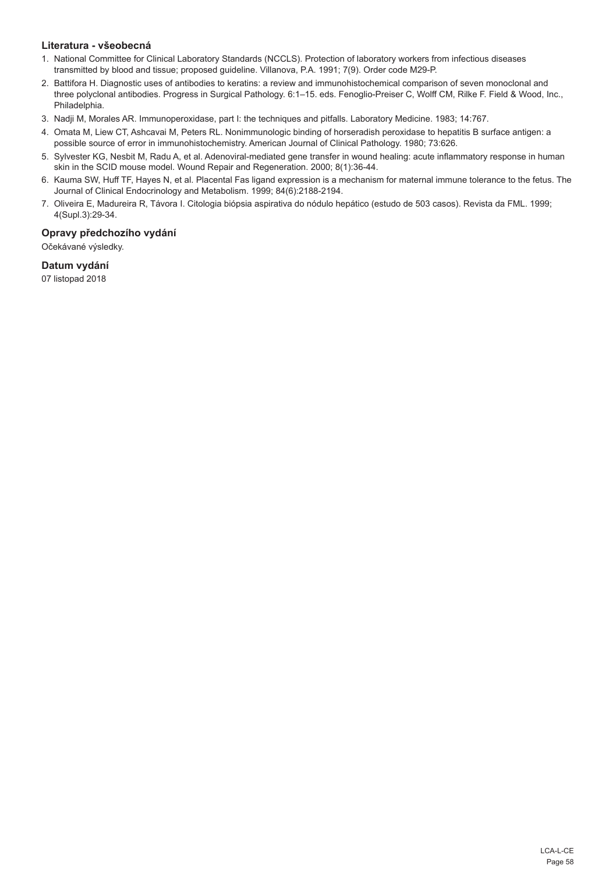## **Literatura - všeobecná**

- 1. National Committee for Clinical Laboratory Standards (NCCLS). Protection of laboratory workers from infectious diseases transmitted by blood and tissue; proposed guideline. Villanova, P.A. 1991; 7(9). Order code M29-P.
- 2. Battifora H. Diagnostic uses of antibodies to keratins: a review and immunohistochemical comparison of seven monoclonal and three polyclonal antibodies. Progress in Surgical Pathology. 6:1–15. eds. Fenoglio-Preiser C, Wolff CM, Rilke F. Field & Wood, Inc., Philadelphia.
- 3. Nadji M, Morales AR. Immunoperoxidase, part I: the techniques and pitfalls. Laboratory Medicine. 1983; 14:767.
- 4. Omata M, Liew CT, Ashcavai M, Peters RL. Nonimmunologic binding of horseradish peroxidase to hepatitis B surface antigen: a possible source of error in immunohistochemistry. American Journal of Clinical Pathology. 1980; 73:626.
- 5. Sylvester KG, Nesbit M, Radu A, et al. Adenoviral-mediated gene transfer in wound healing: acute inflammatory response in human skin in the SCID mouse model. Wound Repair and Regeneration. 2000; 8(1):36-44.
- 6. Kauma SW, Huff TF, Hayes N, et al. Placental Fas ligand expression is a mechanism for maternal immune tolerance to the fetus. The Journal of Clinical Endocrinology and Metabolism. 1999; 84(6):2188-2194.
- 7. Oliveira E, Madureira R, Távora I. Citologia biópsia aspirativa do nódulo hepático (estudo de 503 casos). Revista da FML. 1999; 4(Supl.3):29-34.

## **Opravy předchozího vydání**

Očekávané výsledky.

## **Datum vydání**

07 listopad 2018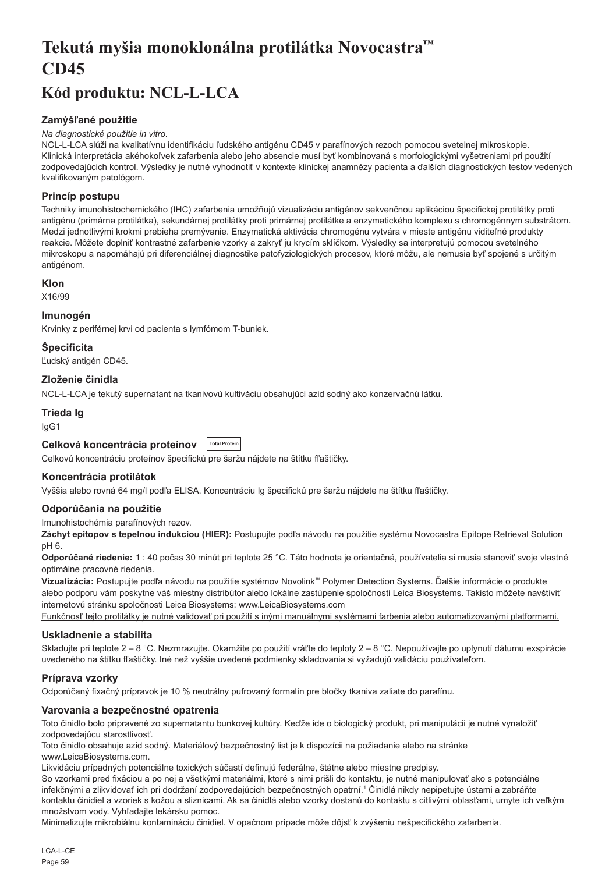## <span id="page-59-0"></span>**Tekutá myšia monoklonálna protilátka Novocastra™ CD45**

## **Kód produktu: NCL-L-LCA**

## **Zamýšľané použitie**

#### *Na diagnostické použitie in vitro.*

NCL-L-LCA slúži na kvalitatívnu identifikáciu ľudského antigénu CD45 v parafínových rezoch pomocou svetelnej mikroskopie. Klinická interpretácia akéhokoľvek zafarbenia alebo jeho absencie musí byť kombinovaná s morfologickými vyšetreniami pri použití zodpovedajúcich kontrol. Výsledky je nutné vyhodnotiť v kontexte klinickej anamnézy pacienta a ďalších diagnostických testov vedených kvalifikovaným patológom.

## **Princíp postupu**

Techniky imunohistochemického (IHC) zafarbenia umožňujú vizualizáciu antigénov sekvenčnou aplikáciou špecifickej protilátky proti antigénu (primárna protilátka), sekundárnej protilátky proti primárnej protilátke a enzymatického komplexu s chromogénnym substrátom. Medzi jednotlivými krokmi prebieha premývanie. Enzymatická aktivácia chromogénu vytvára v mieste antigénu viditeľné produkty reakcie. Môžete doplniť kontrastné zafarbenie vzorky a zakryť ju krycím sklíčkom. Výsledky sa interpretujú pomocou svetelného mikroskopu a napomáhajú pri diferenciálnej diagnostike patofyziologických procesov, ktoré môžu, ale nemusia byť spojené s určitým antigénom.

## **Klon**

X16/99

## **Imunogén**

Krvinky z periférnej krvi od pacienta s lymfómom T-buniek.

## **Špecificita**

Ľudský antigén CD45.

## **Zloženie činidla**

NCL-L-LCA je tekutý supernatant na tkanivovú kultiváciu obsahujúci azid sodný ako konzervačnú látku.

## **Trieda Ig**

IgG1

#### **Celková koncentrácia proteínov Total Protein**

Celkovú koncentráciu proteínov špecifickú pre šaržu nájdete na štítku fľaštičky.

## **Koncentrácia protilátok**

Vyššia alebo rovná 64 mg/l podľa ELISA. Koncentráciu Ig špecifickú pre šaržu nájdete na štítku fľaštičky.

## **Odporúčania na použitie**

Imunohistochémia parafínových rezov.

**Záchyt epitopov s tepelnou indukciou (HIER):** Postupujte podľa návodu na použitie systému Novocastra Epitope Retrieval Solution pH 6.

**Odporúčané riedenie:** 1 : 40 počas 30 minút pri teplote 25 °C. Táto hodnota je orientačná, používatelia si musia stanoviť svoje vlastné optimálne pracovné riedenia.

**Vizualizácia:** Postupujte podľa návodu na použitie systémov Novolink™ Polymer Detection Systems. Ďalšie informácie o produkte alebo podporu vám poskytne váš miestny distribútor alebo lokálne zastúpenie spoločnosti Leica Biosystems. Takisto môžete navštíviť internetovú stránku spoločnosti Leica Biosystems: www.LeicaBiosystems.com

Funkčnosť tejto protilátky je nutné validovať pri použití s inými manuálnymi systémami farbenia alebo automatizovanými platformami.

## **Uskladnenie a stabilita**

Skladujte pri teplote 2 – 8 °C. Nezmrazujte. Okamžite po použití vráťte do teploty 2 – 8 °C. Nepoužívajte po uplynutí dátumu exspirácie uvedeného na štítku fľaštičky. Iné než vyššie uvedené podmienky skladovania si vyžadujú validáciu používateľom.

## **Príprava vzorky**

Odporúčaný fixačný prípravok je 10 % neutrálny pufrovaný formalín pre bločky tkaniva zaliate do parafínu.

## **Varovania a bezpečnostné opatrenia**

Toto činidlo bolo pripravené zo supernatantu bunkovej kultúry. Keďže ide o biologický produkt, pri manipulácii je nutné vynaložiť zodpovedajúcu starostlivosť.

Toto činidlo obsahuje azid sodný. Materiálový bezpečnostný list je k dispozícii na požiadanie alebo na stránke www.LeicaBiosystems.com.

Likvidáciu prípadných potenciálne toxických súčastí definujú federálne, štátne alebo miestne predpisy.

So vzorkami pred fixáciou a po nej a všetkými materiálmi, ktoré s nimi prišli do kontaktu, je nutné manipulovať ako s potenciálne infekčnými a zlikvidovať ich pri dodržaní zodpovedajúcich bezpečnostných opatrní.<sup>1</sup> Činidlá nikdy nepipetujte ústami a zabráňte kontaktu činidiel a vzoriek s kožou a sliznicami. Ak sa činidlá alebo vzorky dostanú do kontaktu s citlivými oblasťami, umyte ich veľkým množstvom vody. Vyhľadajte lekársku pomoc.

Minimalizujte mikrobiálnu kontamináciu činidiel. V opačnom prípade môže dôjsť k zvýšeniu nešpecifického zafarbenia.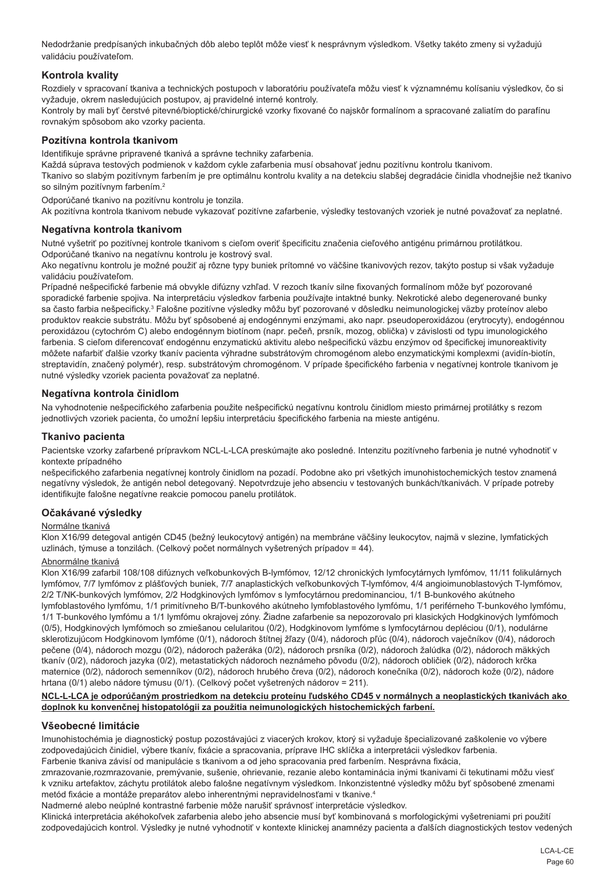Nedodržanie predpísaných inkubačných dôb alebo teplôt môže viesť k nesprávnym výsledkom. Všetky takéto zmeny si vyžadujú validáciu používateľom.

## **Kontrola kvality**

Rozdiely v spracovaní tkaniva a technických postupoch v laboratóriu používateľa môžu viesť k významnému kolísaniu výsledkov, čo si vyžaduje, okrem nasledujúcich postupov, aj pravidelné interné kontroly.

Kontroly by mali byť čerstvé pitevné/bioptické/chirurgické vzorky fixované čo najskôr formalínom a spracované zaliatím do parafínu rovnakým spôsobom ako vzorky pacienta.

## **Pozitívna kontrola tkanivom**

Identifikuje správne pripravené tkanivá a správne techniky zafarbenia.

Každá súprava testových podmienok v každom cykle zafarbenia musí obsahovať jednu pozitívnu kontrolu tkanivom.

Tkanivo so slabým pozitívnym farbením je pre optimálnu kontrolu kvality a na detekciu slabšej degradácie činidla vhodnejšie než tkanivo so silným pozitívnym farbením.<sup>2</sup>

Odporúčané tkanivo na pozitívnu kontrolu je tonzila.

Ak pozitívna kontrola tkanivom nebude vykazovať pozitívne zafarbenie, výsledky testovaných vzoriek je nutné považovať za neplatné.

#### **Negatívna kontrola tkanivom**

Nutné vyšetriť po pozitívnej kontrole tkanivom s cieľom overiť špecificitu značenia cieľového antigénu primárnou protilátkou. Odporúčané tkanivo na negatívnu kontrolu je kostrový sval.

Ako negatívnu kontrolu je možné použiť aj rôzne typy buniek prítomné vo väčšine tkanivových rezov, takýto postup si však vyžaduje validáciu používateľom.

Prípadné nešpecifické farbenie má obvykle difúzny vzhľad. V rezoch tkanív silne fixovaných formalínom môže byť pozorované sporadické farbenie spojiva. Na interpretáciu výsledkov farbenia používajte intaktné bunky. Nekrotické alebo degenerované bunky sa často farbia nešpecificky.<sup>3</sup> Falošne pozitívne výsledky môžu byť pozorované v dôsledku neimunologickej väzby proteínov alebo produktov reakcie substrátu. Môžu byť spôsobené aj endogénnymi enzýmami, ako napr. pseudoperoxidázou (erytrocyty), endogénnou peroxidázou (cytochróm C) alebo endogénnym biotínom (napr. pečeň, prsník, mozog, oblička) v závislosti od typu imunologického farbenia. S cieľom diferencovať endogénnu enzymatickú aktivitu alebo nešpecifickú väzbu enzýmov od špecifickej imunoreaktivity môžete nafarbiť ďalšie vzorky tkanív pacienta výhradne substrátovým chromogénom alebo enzymatickými komplexmi (avidín-biotín, streptavidín, značený polymér), resp. substrátovým chromogénom. V prípade špecifického farbenia v negatívnej kontrole tkanivom je nutné výsledky vzoriek pacienta považovať za neplatné.

#### **Negatívna kontrola činidlom**

Na vyhodnotenie nešpecifického zafarbenia použite nešpecifickú negatívnu kontrolu činidlom miesto primárnej protilátky s rezom jednotlivých vzoriek pacienta, čo umožní lepšiu interpretáciu špecifického farbenia na mieste antigénu.

#### **Tkanivo pacienta**

Pacientske vzorky zafarbené prípravkom NCL-L-LCA preskúmajte ako posledné. Intenzitu pozitívneho farbenia je nutné vyhodnotiť v kontexte prípadného

nešpecifického zafarbenia negatívnej kontroly činidlom na pozadí. Podobne ako pri všetkých imunohistochemických testov znamená negatívny výsledok, že antigén nebol detegovaný. Nepotvrdzuje jeho absenciu v testovaných bunkách/tkanivách. V prípade potreby identifikujte falošne negatívne reakcie pomocou panelu protilátok.

#### **Očakávané výsledky**

#### Normálne tkanivá

Klon X16/99 detegoval antigén CD45 (bežný leukocytový antigén) na membráne väčšiny leukocytov, najmä v slezine, lymfatických uzlinách, týmuse a tonzilách. (Celkový počet normálnych vyšetrených prípadov = 44).

#### Abnormálne tkanivá

Klon X16/99 zafarbil 108/108 difúznych veľkobunkových B-lymfómov, 12/12 chronických lymfocytárnych lymfómov, 11/11 folikulárnych lymfómov, 7/7 lymfómov z plášťových buniek, 7/7 anaplastických veľkobunkových T-lymfómov, 4/4 angioimunoblastových T-lymfómov, 2/2 T/NK-bunkových lymfómov, 2/2 Hodgkinových lymfómov s lymfocytárnou predominanciou, 1/1 B-bunkového akútneho lymfoblastového lymfómu, 1/1 primitívneho B/T-bunkového akútneho lymfoblastového lymfómu, 1/1 periférneho T-bunkového lymfómu, 1/1 T-bunkového lymfómu a 1/1 lymfómu okrajovej zóny. Žiadne zafarbenie sa nepozorovalo pri klasických Hodgkinových lymfómoch (0/5), Hodgkinových lymfómoch so zmiešanou celularitou (0/2), Hodgkinovom lymfóme s lymfocytárnou depléciou (0/1), nodulárne sklerotizujúcom Hodgkinovom lymfóme (0/1), nádoroch štítnej žľazy (0/4), nádoroch pľúc (0/4), nádoroch vaječníkov (0/4), nádoroch pečene (0/4), nádoroch mozgu (0/2), nádoroch pažeráka (0/2), nádoroch prsníka (0/2), nádoroch žalúdka (0/2), nádoroch mäkkých tkanív (0/2), nádoroch jazyka (0/2), metastatických nádoroch neznámeho pôvodu (0/2), nádoroch obličiek (0/2), nádoroch krčka maternice (0/2), nádoroch semenníkov (0/2), nádoroch hrubého čreva (0/2), nádoroch konečníka (0/2), nádoroch kože (0/2), nádore hrtana (0/1) alebo nádore týmusu (0/1). (Celkový počet vyšetrených nádorov = 211).

#### **NCL-L-LCA je odporúčaným prostriedkom na detekciu proteínu ľudského CD45 v normálnych a neoplastických tkanivách ako doplnok ku konvenčnej histopatológii za použitia neimunologických histochemických farbení.**

## **Všeobecné limitácie**

Imunohistochémia je diagnostický postup pozostávajúci z viacerých krokov, ktorý si vyžaduje špecializované zaškolenie vo výbere zodpovedajúcich činidiel, výbere tkanív, fixácie a spracovania, príprave IHC sklíčka a interpretácii výsledkov farbenia. Farbenie tkaniva závisí od manipulácie s tkanivom a od jeho spracovania pred farbením. Nesprávna fixácia,

zmrazovanie,rozmrazovanie, premývanie, sušenie, ohrievanie, rezanie alebo kontaminácia inými tkanivami či tekutinami môžu viesť k vzniku artefaktov, záchytu protilátok alebo falošne negatívnym výsledkom. Inkonzistentné výsledky môžu byť spôsobené zmenami metód fixácie a montáže preparátov alebo inherentnými nepravidelnosťami v tkanive.4

Nadmerné alebo neúplné kontrastné farbenie môže narušiť správnosť interpretácie výsledkov.

Klinická interpretácia akéhokoľvek zafarbenia alebo jeho absencie musí byť kombinovaná s morfologickými vyšetreniami pri použití zodpovedajúcich kontrol. Výsledky je nutné vyhodnotiť v kontexte klinickej anamnézy pacienta a ďalších diagnostických testov vedených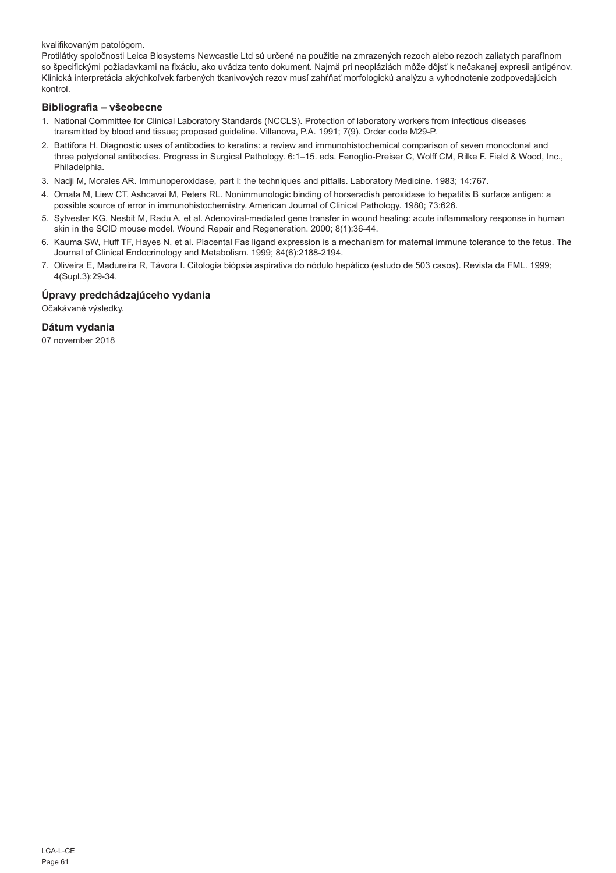kvalifikovaným patológom.

Protilátky spoločnosti Leica Biosystems Newcastle Ltd sú určené na použitie na zmrazených rezoch alebo rezoch zaliatych parafínom so špecifickými požiadavkami na fixáciu, ako uvádza tento dokument. Najmä pri neopláziách môže dôjsť k nečakanej expresii antigénov. Klinická interpretácia akýchkoľvek farbených tkanivových rezov musí zahŕňať morfologickú analýzu a vyhodnotenie zodpovedajúcich kontrol.

## **Bibliografia – všeobecne**

- 1. National Committee for Clinical Laboratory Standards (NCCLS). Protection of laboratory workers from infectious diseases transmitted by blood and tissue; proposed guideline. Villanova, P.A. 1991; 7(9). Order code M29-P.
- 2. Battifora H. Diagnostic uses of antibodies to keratins: a review and immunohistochemical comparison of seven monoclonal and three polyclonal antibodies. Progress in Surgical Pathology. 6:1–15. eds. Fenoglio-Preiser C, Wolff CM, Rilke F. Field & Wood, Inc., Philadelphia.
- 3. Nadji M, Morales AR. Immunoperoxidase, part I: the techniques and pitfalls. Laboratory Medicine. 1983; 14:767.
- 4. Omata M, Liew CT, Ashcavai M, Peters RL. Nonimmunologic binding of horseradish peroxidase to hepatitis B surface antigen: a possible source of error in immunohistochemistry. American Journal of Clinical Pathology. 1980; 73:626.
- 5. Sylvester KG, Nesbit M, Radu A, et al. Adenoviral-mediated gene transfer in wound healing: acute inflammatory response in human skin in the SCID mouse model. Wound Repair and Regeneration. 2000; 8(1):36-44.
- 6. Kauma SW, Huff TF, Hayes N, et al. Placental Fas ligand expression is a mechanism for maternal immune tolerance to the fetus. The Journal of Clinical Endocrinology and Metabolism. 1999; 84(6):2188-2194.
- 7. Oliveira E, Madureira R, Távora I. Citologia biópsia aspirativa do nódulo hepático (estudo de 503 casos). Revista da FML. 1999; 4(Supl.3):29-34.

## **Úpravy predchádzajúceho vydania**

Očakávané výsledky.

## **Dátum vydania**

07 november 2018